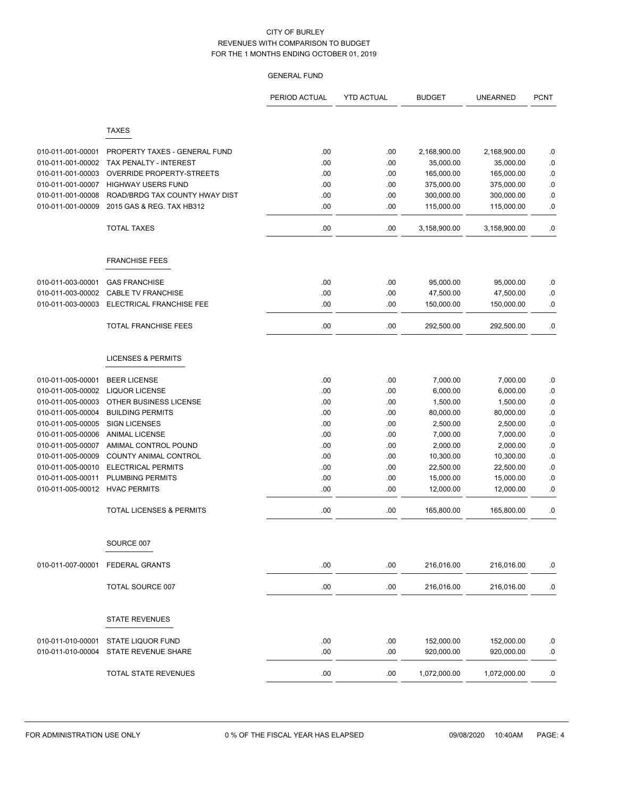|                   |                                     | PERIOD ACTUAL | <b>YTD ACTUAL</b> | <b>BUDGET</b> | <b>UNEARNED</b> | <b>PCNT</b> |
|-------------------|-------------------------------------|---------------|-------------------|---------------|-----------------|-------------|
|                   |                                     |               |                   |               |                 |             |
|                   | <b>TAXES</b>                        |               |                   |               |                 |             |
| 010-011-001-00001 | PROPERTY TAXES - GENERAL FUND       | .00           | .00               | 2,168,900.00  | 2,168,900.00    | .0          |
| 010-011-001-00002 | TAX PENALTY - INTEREST              | .00           | .00               | 35,000.00     | 35,000.00       | .0          |
| 010-011-001-00003 | OVERRIDE PROPERTY-STREETS           | .00           | .00               | 165,000.00    | 165,000.00      | $\cdot$ 0   |
| 010-011-001-00007 | <b>HIGHWAY USERS FUND</b>           | .00           | .00               | 375,000.00    | 375,000.00      | $\cdot$ 0   |
| 010-011-001-00008 | ROAD/BRDG TAX COUNTY HWAY DIST      | .00           | .00               | 300,000.00    | 300,000.00      | .0          |
| 010-011-001-00009 | 2015 GAS & REG. TAX HB312           | .00           | .00               | 115,000.00    | 115,000.00      | .0          |
|                   | <b>TOTAL TAXES</b>                  | .00           | .00               | 3,158,900.00  | 3,158,900.00    | 0.          |
|                   | <b>FRANCHISE FEES</b>               |               |                   |               |                 |             |
|                   |                                     |               |                   |               |                 |             |
| 010-011-003-00001 | <b>GAS FRANCHISE</b>                | .00           | .00               | 95,000.00     | 95,000.00       | .0          |
| 010-011-003-00002 | <b>CABLE TV FRANCHISE</b>           | .00           | .00               | 47,500.00     | 47,500.00       | 0.          |
| 010-011-003-00003 | ELECTRICAL FRANCHISE FEE            | .00           | .00               | 150,000.00    | 150,000.00      | .0          |
|                   | <b>TOTAL FRANCHISE FEES</b>         | .00           | .00               | 292,500.00    | 292,500.00      | .0          |
|                   | <b>LICENSES &amp; PERMITS</b>       |               |                   |               |                 |             |
| 010-011-005-00001 | <b>BEER LICENSE</b>                 | .00           | .00               | 7,000.00      | 7,000.00        | .0          |
| 010-011-005-00002 | <b>LIQUOR LICENSE</b>               | .00           | .00               | 6,000.00      | 6,000.00        | $\cdot$ 0   |
| 010-011-005-00003 | OTHER BUSINESS LICENSE              | .00           | .00               | 1,500.00      | 1,500.00        | .0          |
| 010-011-005-00004 | <b>BUILDING PERMITS</b>             | .00           | .00               | 80,000.00     | 80,000.00       | $\cdot$ 0   |
| 010-011-005-00005 | <b>SIGN LICENSES</b>                | .00           | .00               | 2,500.00      | 2,500.00        | $\cdot$ 0   |
| 010-011-005-00006 | <b>ANIMAL LICENSE</b>               | .00           | .00               | 7,000.00      | 7,000.00        | .0          |
| 010-011-005-00007 | AMIMAL CONTROL POUND                | .00           | .00               | 2,000.00      | 2,000.00        | $\cdot$ 0   |
| 010-011-005-00009 | COUNTY ANIMAL CONTROL               | .00           | .00               | 10,300.00     | 10,300.00       | .0          |
| 010-011-005-00010 | <b>ELECTRICAL PERMITS</b>           | .00           | .00               | 22,500.00     | 22,500.00       | $\cdot$ 0   |
| 010-011-005-00011 | <b>PLUMBING PERMITS</b>             | .00           | .00               | 15,000.00     | 15,000.00       | 0.0         |
| 010-011-005-00012 | <b>HVAC PERMITS</b>                 | .00           | .00               | 12,000.00     | 12,000.00       | .0          |
|                   | <b>TOTAL LICENSES &amp; PERMITS</b> | .00           | .00               | 165,800.00    | 165,800.00      | .0          |
|                   | SOURCE 007                          |               |                   |               |                 |             |
| 010-011-007-00001 | <b>FEDERAL GRANTS</b>               | .00           | .00               | 216,016.00    | 216,016.00      | .0          |
|                   |                                     |               |                   |               |                 |             |
|                   | TOTAL SOURCE 007                    | .00           | .00               | 216,016.00    | 216,016.00      | .0          |
|                   | <b>STATE REVENUES</b>               |               |                   |               |                 |             |
| 010-011-010-00001 | STATE LIQUOR FUND                   | .00           | .00               | 152,000.00    | 152,000.00      | .0          |
| 010-011-010-00004 | STATE REVENUE SHARE                 | .00           | .00               | 920,000.00    | 920,000.00      | .0          |
|                   | TOTAL STATE REVENUES                | .00           | .00.              | 1,072,000.00  | 1,072,000.00    | .0          |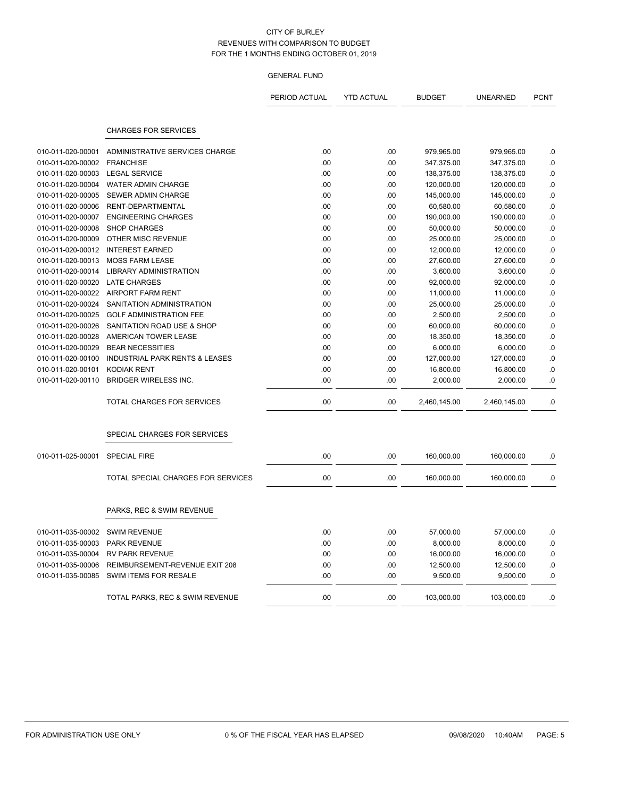|                   |                                           | PERIOD ACTUAL | <b>YTD ACTUAL</b> | <b>BUDGET</b> | <b>UNEARNED</b> | <b>PCNT</b> |
|-------------------|-------------------------------------------|---------------|-------------------|---------------|-----------------|-------------|
|                   | <b>CHARGES FOR SERVICES</b>               |               |                   |               |                 |             |
| 010-011-020-00001 | ADMINISTRATIVE SERVICES CHARGE            | .00           | .00               | 979,965.00    | 979,965.00      | .0          |
| 010-011-020-00002 | <b>FRANCHISE</b>                          | .00           | .00               | 347,375.00    | 347,375.00      | 0.0         |
| 010-011-020-00003 | <b>LEGAL SERVICE</b>                      | .00           | .00               | 138,375.00    | 138,375.00      | .0          |
| 010-011-020-00004 | WATER ADMIN CHARGE                        | .00           | .00               | 120,000.00    | 120,000.00      | .0          |
| 010-011-020-00005 | SEWER ADMIN CHARGE                        | .00           | .00               | 145,000.00    | 145,000.00      | 0.0         |
| 010-011-020-00006 | RENT-DEPARTMENTAL                         | .00           | .00               | 60,580.00     | 60,580.00       | 0.0         |
| 010-011-020-00007 | <b>ENGINEERING CHARGES</b>                | .00           | .00               | 190,000.00    | 190,000.00      | .0          |
| 010-011-020-00008 | <b>SHOP CHARGES</b>                       | .00           | .00               | 50,000.00     | 50,000.00       | .0          |
| 010-011-020-00009 | OTHER MISC REVENUE                        | .00           | .00               | 25,000.00     | 25,000.00       | 0.0         |
| 010-011-020-00012 | <b>INTEREST EARNED</b>                    | .00           | .00               | 12,000.00     | 12,000.00       | .0          |
| 010-011-020-00013 | <b>MOSS FARM LEASE</b>                    | .00           | .00               | 27,600.00     | 27,600.00       | .0          |
| 010-011-020-00014 | <b>LIBRARY ADMINISTRATION</b>             | .00           | .00               | 3,600.00      | 3,600.00        | 0.0         |
| 010-011-020-00020 | <b>LATE CHARGES</b>                       | .00           | .00               | 92,000.00     | 92,000.00       | .0          |
| 010-011-020-00022 | <b>AIRPORT FARM RENT</b>                  | .00           | .00               | 11,000.00     | 11,000.00       | .0          |
| 010-011-020-00024 | SANITATION ADMINISTRATION                 | .00           | .00               | 25,000.00     | 25,000.00       | .0          |
| 010-011-020-00025 | <b>GOLF ADMINISTRATION FEE</b>            | .00           | .00               | 2,500.00      | 2,500.00        | .0          |
| 010-011-020-00026 | SANITATION ROAD USE & SHOP                | .00           | .00               | 60,000.00     | 60,000.00       | .0          |
| 010-011-020-00028 | AMERICAN TOWER LEASE                      | .00           | .00               | 18,350.00     | 18,350.00       | .0          |
| 010-011-020-00029 | <b>BEAR NECESSITIES</b>                   | .00.          | .00               | 6,000.00      | 6,000.00        | 0.0         |
| 010-011-020-00100 | <b>INDUSTRIAL PARK RENTS &amp; LEASES</b> | .00           | .00               | 127,000.00    | 127,000.00      | .0          |
| 010-011-020-00101 | <b>KODIAK RENT</b>                        | .00           | .00               | 16,800.00     | 16,800.00       | 0.0         |
| 010-011-020-00110 | <b>BRIDGER WIRELESS INC.</b>              | .00           | .00               | 2,000.00      | 2,000.00        | .0          |
|                   | TOTAL CHARGES FOR SERVICES                | .00           | .00               | 2,460,145.00  | 2,460,145.00    | .0          |
|                   | SPECIAL CHARGES FOR SERVICES              |               |                   |               |                 |             |
| 010-011-025-00001 | <b>SPECIAL FIRE</b>                       | .00           | .00               | 160,000.00    | 160,000.00      | .0          |
|                   | TOTAL SPECIAL CHARGES FOR SERVICES        | .00           | .00               | 160,000.00    | 160,000.00      | 0.0         |
|                   | PARKS, REC & SWIM REVENUE                 |               |                   |               |                 |             |
| 010-011-035-00002 | <b>SWIM REVENUE</b>                       | .00           | .00               | 57,000.00     | 57,000.00       | 0.0         |
| 010-011-035-00003 | <b>PARK REVENUE</b>                       | .00           | .00               | 8,000.00      | 8,000.00        | .0          |
| 010-011-035-00004 | <b>RV PARK REVENUE</b>                    | .00           | .00               | 16,000.00     | 16,000.00       | .0          |
| 010-011-035-00006 | REIMBURSEMENT-REVENUE EXIT 208            | .00           | .00               | 12,500.00     | 12,500.00       | .0          |
| 010-011-035-00085 | SWIM ITEMS FOR RESALE                     | .00           | .00               | 9,500.00      | 9.500.00        | .0          |
|                   | TOTAL PARKS, REC & SWIM REVENUE           | .00           | .00               | 103,000.00    | 103,000.00      | .0          |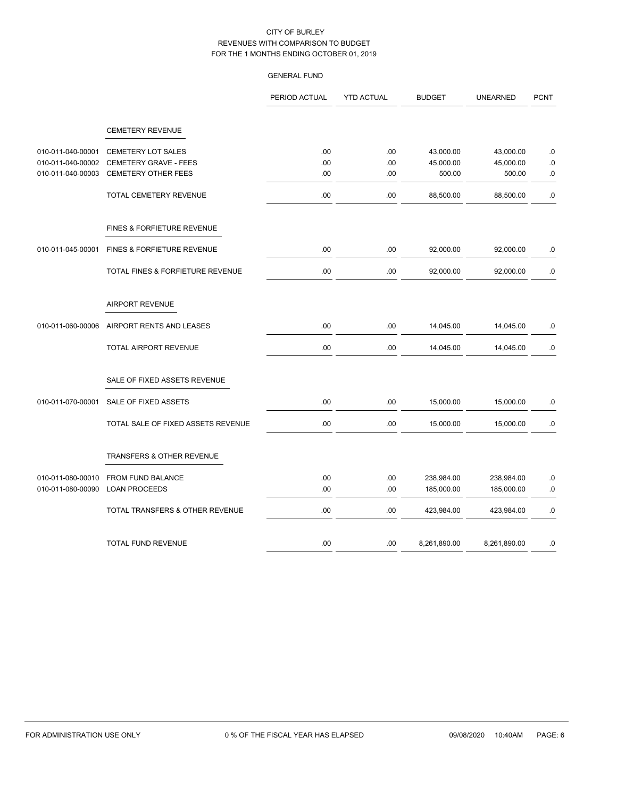|                   |                                       | PERIOD ACTUAL | <b>YTD ACTUAL</b> | <b>BUDGET</b> | <b>UNEARNED</b> | <b>PCNT</b> |
|-------------------|---------------------------------------|---------------|-------------------|---------------|-----------------|-------------|
|                   | <b>CEMETERY REVENUE</b>               |               |                   |               |                 |             |
|                   |                                       |               |                   |               |                 |             |
| 010-011-040-00001 | <b>CEMETERY LOT SALES</b>             | .00           | .00               | 43,000.00     | 43,000.00       | $\cdot$ 0   |
| 010-011-040-00002 | CEMETERY GRAVE - FEES                 | .00           | .00               | 45,000.00     | 45,000.00       | $\cdot$ 0   |
| 010-011-040-00003 | <b>CEMETERY OTHER FEES</b>            | .00           | .00               | 500.00        | 500.00          | 0.          |
|                   | TOTAL CEMETERY REVENUE                | .00           | .00               | 88,500.00     | 88,500.00       | 0.          |
|                   | <b>FINES &amp; FORFIETURE REVENUE</b> |               |                   |               |                 |             |
| 010-011-045-00001 | FINES & FORFIETURE REVENUE            | .00           | .00               | 92,000.00     | 92,000.00       | .0          |
|                   | TOTAL FINES & FORFIETURE REVENUE      | .00           | .00               | 92,000.00     | 92,000.00       | .0          |
|                   | <b>AIRPORT REVENUE</b>                |               |                   |               |                 |             |
| 010-011-060-00006 | AIRPORT RENTS AND LEASES              | .00           | .00               | 14,045.00     | 14,045.00       | .0          |
|                   | <b>TOTAL AIRPORT REVENUE</b>          | .00           | .00               | 14,045.00     | 14,045.00       | .0          |
|                   | SALE OF FIXED ASSETS REVENUE          |               |                   |               |                 |             |
| 010-011-070-00001 | SALE OF FIXED ASSETS                  | .00           | .00               | 15,000.00     | 15,000.00       | $\cdot$ 0   |
|                   | TOTAL SALE OF FIXED ASSETS REVENUE    | .00           | .00               | 15,000.00     | 15,000.00       | .0          |
|                   | TRANSFERS & OTHER REVENUE             |               |                   |               |                 |             |
| 010-011-080-00010 | FROM FUND BALANCE                     | .00           | .00               | 238,984.00    | 238,984.00      | $.0\,$      |
| 010-011-080-00090 | <b>LOAN PROCEEDS</b>                  | .00           | .00               | 185,000.00    | 185,000.00      | .0          |
|                   | TOTAL TRANSFERS & OTHER REVENUE       | .00           | .00               | 423,984.00    | 423,984.00      | 0.0         |
|                   | TOTAL FUND REVENUE                    | .00           | .00.              | 8,261,890.00  | 8,261,890.00    | .0          |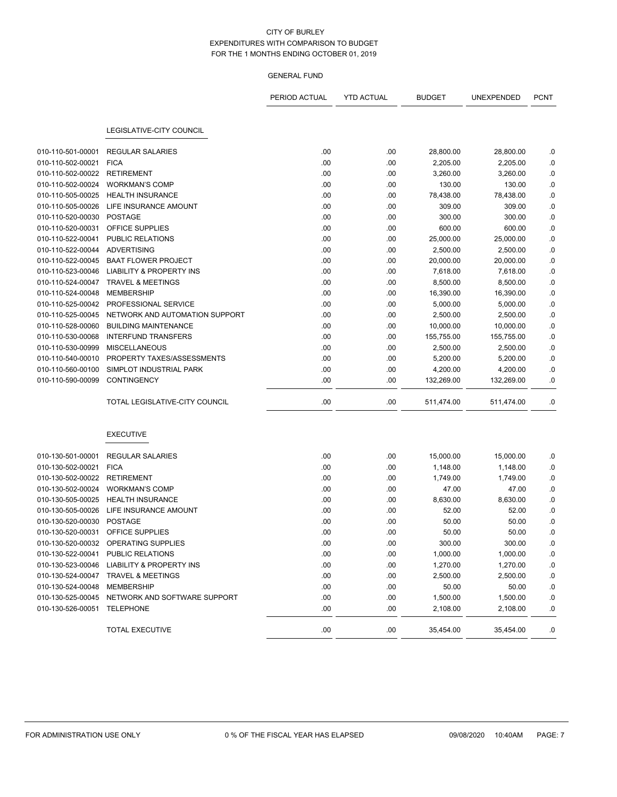# GENERAL FUND

|                   |                                                | PERIOD ACTUAL | <b>YTD ACTUAL</b> | <b>BUDGET</b> | UNEXPENDED | <b>PCNT</b> |
|-------------------|------------------------------------------------|---------------|-------------------|---------------|------------|-------------|
|                   |                                                |               |                   |               |            |             |
|                   | LEGISLATIVE-CITY COUNCIL                       |               |                   |               |            |             |
| 010-110-501-00001 | <b>REGULAR SALARIES</b>                        | .00           | .00               | 28,800.00     | 28,800.00  | .0          |
| 010-110-502-00021 | <b>FICA</b>                                    | .00           | .00               | 2,205.00      | 2,205.00   | .0          |
| 010-110-502-00022 | <b>RETIREMENT</b>                              | .00           | .00               | 3,260.00      | 3,260.00   | .0          |
| 010-110-502-00024 | <b>WORKMAN'S COMP</b>                          | .00           | .00               | 130.00        | 130.00     | .0          |
| 010-110-505-00025 | <b>HEALTH INSURANCE</b>                        | .00           | .00               | 78,438.00     | 78,438.00  | $\cdot$ 0   |
| 010-110-505-00026 | LIFE INSURANCE AMOUNT                          | .00           | .00               | 309.00        | 309.00     | .0          |
| 010-110-520-00030 | <b>POSTAGE</b>                                 | .00           | .00               | 300.00        | 300.00     | .0          |
| 010-110-520-00031 | OFFICE SUPPLIES                                | .00           | .00               | 600.00        | 600.00     | .0          |
| 010-110-522-00041 | PUBLIC RELATIONS                               | .00           | .00               | 25,000.00     | 25,000.00  | $0.$        |
| 010-110-522-00044 | <b>ADVERTISING</b>                             | .00           | .00               | 2,500.00      | 2,500.00   | $\cdot$ 0   |
| 010-110-522-00045 | <b>BAAT FLOWER PROJECT</b>                     | .00           | .00               | 20,000.00     | 20,000.00  | .0          |
| 010-110-523-00046 | <b>LIABILITY &amp; PROPERTY INS</b>            | .00           | .00               | 7,618.00      | 7,618.00   | .0          |
| 010-110-524-00047 | <b>TRAVEL &amp; MEETINGS</b>                   | .00           | .00               | 8,500.00      | 8,500.00   | 0.0         |
| 010-110-524-00048 | <b>MEMBERSHIP</b>                              | .00           | .00               | 16,390.00     | 16,390.00  | .0          |
| 010-110-525-00042 | PROFESSIONAL SERVICE                           | .00           | .00               | 5,000.00      | 5,000.00   | $\cdot$ 0   |
| 010-110-525-00045 | NETWORK AND AUTOMATION SUPPORT                 | .00           | .00               | 2,500.00      | 2,500.00   | .0          |
| 010-110-528-00060 | <b>BUILDING MAINTENANCE</b>                    | .00           | .00               | 10,000.00     | 10,000.00  | .0          |
| 010-110-530-00068 | <b>INTERFUND TRANSFERS</b>                     | .00           | .00               | 155,755.00    | 155,755.00 | .0          |
| 010-110-530-00999 | <b>MISCELLANEOUS</b>                           | .00           | .00               | 2,500.00      | 2,500.00   | .0          |
| 010-110-540-00010 | PROPERTY TAXES/ASSESSMENTS                     | .00.          | .00               | 5,200.00      | 5,200.00   | .0          |
| 010-110-560-00100 | SIMPLOT INDUSTRIAL PARK                        | .00.          | .00               | 4,200.00      | 4,200.00   | .0          |
| 010-110-590-00099 | <b>CONTINGENCY</b>                             | .00           | .00               | 132,269.00    | 132,269.00 | .0          |
|                   | TOTAL LEGISLATIVE-CITY COUNCIL                 | .00           | .00               | 511,474.00    | 511,474.00 | .0          |
|                   | <b>EXECUTIVE</b>                               |               |                   |               |            |             |
| 010-130-501-00001 | <b>REGULAR SALARIES</b>                        | .00           | .00               | 15,000.00     | 15,000.00  | .0          |
| 010-130-502-00021 | <b>FICA</b>                                    | .00           | .00               | 1,148.00      | 1,148.00   | .0          |
| 010-130-502-00022 | <b>RETIREMENT</b>                              | .00           | .00               | 1,749.00      | 1,749.00   | .0          |
| 010-130-502-00024 | <b>WORKMAN'S COMP</b>                          | .00           | .00               | 47.00         | 47.00      | .0          |
| 010-130-505-00025 | <b>HEALTH INSURANCE</b>                        | .00           | .00               | 8,630.00      | 8,630.00   | .0          |
| 010-130-505-00026 | LIFE INSURANCE AMOUNT                          | .00           | .00               | 52.00         | 52.00      | .0          |
| 010-130-520-00030 | <b>POSTAGE</b>                                 | .00           | .00               | 50.00         | 50.00      | .0          |
| 010-130-520-00031 | <b>OFFICE SUPPLIES</b>                         | .00           | .00               | 50.00         | 50.00      | .0          |
|                   | 010-130-520-00032 OPERATING SUPPLIES           | .00           | .00               | 300.00        | 300.00     | .0          |
|                   | 010-130-522-00041 PUBLIC RELATIONS             | .00           | .00               | 1,000.00      | 1,000.00   | .0          |
|                   | 010-130-523-00046 LIABILITY & PROPERTY INS     | .00           | .00               | 1,270.00      | 1,270.00   | .0          |
|                   | 010-130-524-00047 TRAVEL & MEETINGS            | .00           | .00               | 2,500.00      | 2,500.00   | .0          |
| 010-130-524-00048 | <b>MEMBERSHIP</b>                              | .00           | .00               | 50.00         | 50.00      | .0          |
|                   | 010-130-525-00045 NETWORK AND SOFTWARE SUPPORT | .00           | .00               | 1,500.00      | 1,500.00   | .0          |
| 010-130-526-00051 | TELEPHONE                                      | .00.          | .00               | 2,108.00      | 2,108.00   | .0          |
|                   | <b>TOTAL EXECUTIVE</b>                         | .00           | .00               | 35,454.00     | 35,454.00  | .0          |

÷,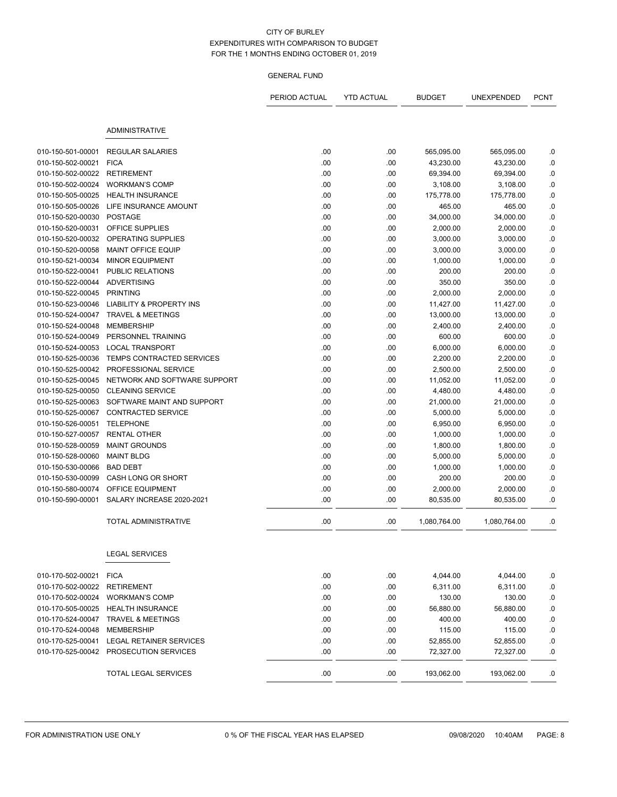|                                        |                                            | PERIOD ACTUAL | <b>YTD ACTUAL</b> | <b>BUDGET</b>          | UNEXPENDED            | <b>PCNT</b>     |
|----------------------------------------|--------------------------------------------|---------------|-------------------|------------------------|-----------------------|-----------------|
|                                        | <b>ADMINISTRATIVE</b>                      |               |                   |                        |                       |                 |
|                                        |                                            |               |                   |                        |                       |                 |
| 010-150-501-00001                      | <b>REGULAR SALARIES</b>                    | .00<br>.00    | .00               | 565,095.00             | 565,095.00            | .0              |
| 010-150-502-00021<br>010-150-502-00022 | <b>FICA</b><br><b>RETIREMENT</b>           | .00           | .00               | 43,230.00              | 43,230.00             | .0              |
| 010-150-502-00024                      | <b>WORKMAN'S COMP</b>                      | .00           | .00<br>.00        | 69,394.00              | 69,394.00             | .0              |
| 010-150-505-00025                      | <b>HEALTH INSURANCE</b>                    | .00           | .00               | 3,108.00               | 3,108.00              | .0              |
| 010-150-505-00026                      | LIFE INSURANCE AMOUNT                      | .00           | .00               | 175,778.00             | 175,778.00            | .0              |
| 010-150-520-00030                      | <b>POSTAGE</b>                             | .00           | .00               | 465.00<br>34,000.00    | 465.00<br>34,000.00   | .0<br>.0        |
| 010-150-520-00031                      | OFFICE SUPPLIES                            | .00           | .00               | 2,000.00               | 2,000.00              | .0              |
| 010-150-520-00032                      | OPERATING SUPPLIES                         | .00           |                   |                        |                       |                 |
| 010-150-520-00058                      | MAINT OFFICE EQUIP                         | .00           | .00               | 3,000.00               | 3,000.00              | .0<br>$\cdot$ 0 |
| 010-150-521-00034                      |                                            | .00           | .00               | 3,000.00               | 3,000.00              |                 |
| 010-150-522-00041                      | <b>MINOR EQUIPMENT</b><br>PUBLIC RELATIONS | .00           | .00<br>.00        | 1,000.00<br>200.00     | 1,000.00<br>200.00    | .0<br>.0        |
| 010-150-522-00044                      | <b>ADVERTISING</b>                         | .00           | .00               | 350.00                 | 350.00                | .0              |
| 010-150-522-00045                      | <b>PRINTING</b>                            | .00           | .00               |                        |                       |                 |
| 010-150-523-00046                      | <b>LIABILITY &amp; PROPERTY INS</b>        | .00           |                   | 2,000.00               | 2,000.00<br>11,427.00 | .0              |
|                                        | <b>TRAVEL &amp; MEETINGS</b>               | .00           | .00               | 11,427.00<br>13,000.00 |                       | .0              |
| 010-150-524-00047                      | <b>MEMBERSHIP</b>                          | .00           | .00               |                        | 13,000.00             | .0              |
| 010-150-524-00048<br>010-150-524-00049 | PERSONNEL TRAINING                         | .00           | .00               | 2,400.00               | 2,400.00              | .0              |
| 010-150-524-00053                      | <b>LOCAL TRANSPORT</b>                     | .00           | .00<br>.00        | 600.00                 | 600.00                | .0              |
| 010-150-525-00036                      | TEMPS CONTRACTED SERVICES                  | .00           | .00               | 6,000.00               | 6,000.00<br>2,200.00  | .0<br>$\cdot$ 0 |
| 010-150-525-00042                      | PROFESSIONAL SERVICE                       |               |                   | 2,200.00<br>2,500.00   |                       |                 |
|                                        | NETWORK AND SOFTWARE SUPPORT               | .00<br>.00    | .00               |                        | 2,500.00              | .0              |
| 010-150-525-00045<br>010-150-525-00050 | <b>CLEANING SERVICE</b>                    | .00           | .00               | 11,052.00              | 11,052.00             | .0              |
|                                        | SOFTWARE MAINT AND SUPPORT                 |               | .00               | 4,480.00               | 4,480.00              | .0              |
| 010-150-525-00063                      | <b>CONTRACTED SERVICE</b>                  | .00           | .00               | 21,000.00              | 21,000.00             | .0              |
| 010-150-525-00067                      | <b>TELEPHONE</b>                           | .00           | .00               | 5,000.00               | 5,000.00              | .0              |
| 010-150-526-00051<br>010-150-527-00057 | <b>RENTAL OTHER</b>                        | .00<br>.00    | .00<br>.00        | 6,950.00               | 6,950.00<br>1,000.00  | .0<br>.0        |
| 010-150-528-00059                      | <b>MAINT GROUNDS</b>                       | .00           | .00               | 1,000.00<br>1,800.00   | 1,800.00              | .0              |
| 010-150-528-00060                      | <b>MAINT BLDG</b>                          | .00           | .00               |                        |                       |                 |
| 010-150-530-00066                      | <b>BAD DEBT</b>                            | .00           | .00               | 5,000.00               | 5,000.00              | .0              |
| 010-150-530-00099                      | CASH LONG OR SHORT                         |               |                   | 1,000.00               | 1,000.00              | .0              |
| 010-150-580-00074                      | OFFICE EQUIPMENT                           | .00<br>.00    | .00<br>.00        | 200.00<br>2,000.00     | 200.00<br>2,000.00    | .0<br>.0        |
| 010-150-590-00001                      | SALARY INCREASE 2020-2021                  | .00           | .00               | 80,535.00              | 80,535.00             | .0              |
|                                        |                                            |               |                   |                        |                       |                 |
|                                        | TOTAL ADMINISTRATIVE                       | .00           | .00               | 1,080,764.00           | 1,080,764.00          | .0              |
|                                        | <b>LEGAL SERVICES</b>                      |               |                   |                        |                       |                 |
| 010-170-502-00021                      | <b>FICA</b>                                | .00           | .00               | 4,044.00               | 4,044.00              | .0              |
| 010-170-502-00022                      | <b>RETIREMENT</b>                          | .00           | .00               | 6,311.00               | 6,311.00              | 0.              |
| 010-170-502-00024                      | <b>WORKMAN'S COMP</b>                      | .00           | .00               | 130.00                 | 130.00                | 0.              |
| 010-170-505-00025                      | <b>HEALTH INSURANCE</b>                    | .00           | .00               | 56,880.00              | 56,880.00             | .0              |
| 010-170-524-00047                      | <b>TRAVEL &amp; MEETINGS</b>               | .00           | .00               | 400.00                 | 400.00                | 0.0             |
| 010-170-524-00048                      | <b>MEMBERSHIP</b>                          | .00           | .00               | 115.00                 | 115.00                | $\cdot$ 0       |
| 010-170-525-00041                      | <b>LEGAL RETAINER SERVICES</b>             | .00           | .00               | 52,855.00              | 52,855.00             | .0              |
| 010-170-525-00042                      | PROSECUTION SERVICES                       | .00           | .00               | 72,327.00              | 72,327.00             | .0              |
|                                        | <b>TOTAL LEGAL SERVICES</b>                | .00           | .00               | 193,062.00             | 193,062.00            | .0              |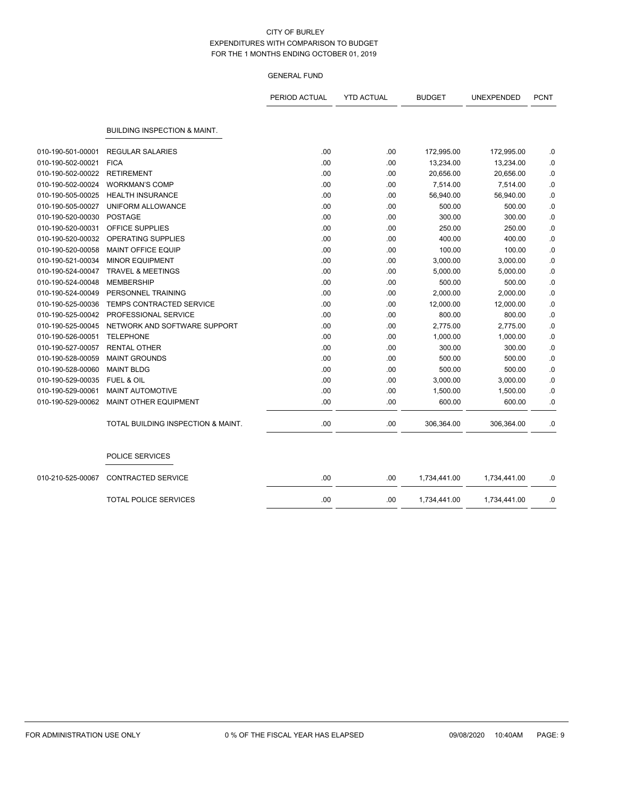|                   |                                         | PERIOD ACTUAL | <b>YTD ACTUAL</b> | <b>BUDGET</b> | UNEXPENDED   | <b>PCNT</b> |
|-------------------|-----------------------------------------|---------------|-------------------|---------------|--------------|-------------|
|                   | <b>BUILDING INSPECTION &amp; MAINT.</b> |               |                   |               |              |             |
| 010-190-501-00001 | <b>REGULAR SALARIES</b>                 | .00           | .00.              | 172,995.00    | 172,995.00   | .0          |
| 010-190-502-00021 | <b>FICA</b>                             | .00           | .00               | 13,234.00     | 13,234.00    | $\cdot$ 0   |
| 010-190-502-00022 | <b>RETIREMENT</b>                       | .00           | .00               | 20,656.00     | 20,656.00    | $\cdot$ 0   |
| 010-190-502-00024 | <b>WORKMAN'S COMP</b>                   | .00           | .00               | 7,514.00      | 7,514.00     | $\cdot$ 0   |
| 010-190-505-00025 | <b>HEALTH INSURANCE</b>                 | .00           | .00               | 56,940.00     | 56,940.00    | .0          |
| 010-190-505-00027 | UNIFORM ALLOWANCE                       | .00           | .00               | 500.00        | 500.00       | .0          |
| 010-190-520-00030 | <b>POSTAGE</b>                          | .00           | .00               | 300.00        | 300.00       | .0          |
| 010-190-520-00031 | OFFICE SUPPLIES                         | .00           | .00               | 250.00        | 250.00       | $\cdot$ 0   |
| 010-190-520-00032 | <b>OPERATING SUPPLIES</b>               | .00           | .00               | 400.00        | 400.00       | .0          |
| 010-190-520-00058 | <b>MAINT OFFICE EQUIP</b>               | .00           | .00               | 100.00        | 100.00       | .0          |
| 010-190-521-00034 | <b>MINOR EQUIPMENT</b>                  | .00           | .00               | 3,000.00      | 3,000.00     | .0          |
| 010-190-524-00047 | <b>TRAVEL &amp; MEETINGS</b>            | .00           | .00               | 5,000.00      | 5,000.00     | $\cdot$ 0   |
| 010-190-524-00048 | <b>MEMBERSHIP</b>                       | .00           | .00               | 500.00        | 500.00       | .0          |
| 010-190-524-00049 | PERSONNEL TRAINING                      | .00           | .00               | 2,000.00      | 2,000.00     | .0          |
| 010-190-525-00036 | <b>TEMPS CONTRACTED SERVICE</b>         | .00           | .00               | 12,000.00     | 12,000.00    | .0          |
| 010-190-525-00042 | PROFESSIONAL SERVICE                    | .00           | .00               | 800.00        | 800.00       | .0          |
| 010-190-525-00045 | NETWORK AND SOFTWARE SUPPORT            | .00           | .00               | 2,775.00      | 2,775.00     | .0          |
| 010-190-526-00051 | <b>TELEPHONE</b>                        | .00           | .00.              | 1,000.00      | 1,000.00     | .0          |
| 010-190-527-00057 | <b>RENTAL OTHER</b>                     | .00           | .00.              | 300.00        | 300.00       | .0          |
| 010-190-528-00059 | <b>MAINT GROUNDS</b>                    | .00           | .00               | 500.00        | 500.00       | 0.0         |
| 010-190-528-00060 | <b>MAINT BLDG</b>                       | .00           | .00               | 500.00        | 500.00       | $\cdot$ 0   |
| 010-190-529-00035 | FUEL & OIL                              | .00           | .00               | 3,000.00      | 3,000.00     | 0.0         |
| 010-190-529-00061 | MAINT AUTOMOTIVE                        | .00           | .00               | 1,500.00      | 1,500.00     | .0          |
| 010-190-529-00062 | MAINT OTHER EQUIPMENT                   | .00           | .00               | 600.00        | 600.00       | .0          |
|                   | TOTAL BUILDING INSPECTION & MAINT.      | .00           | .00               | 306,364.00    | 306,364.00   | .0          |
|                   | POLICE SERVICES                         |               |                   |               |              |             |
| 010-210-525-00067 | <b>CONTRACTED SERVICE</b>               | .00           | .00               | 1,734,441.00  | 1,734,441.00 | .0          |
|                   | <b>TOTAL POLICE SERVICES</b>            | .00           | .00               | 1,734,441.00  | 1,734,441.00 | .0          |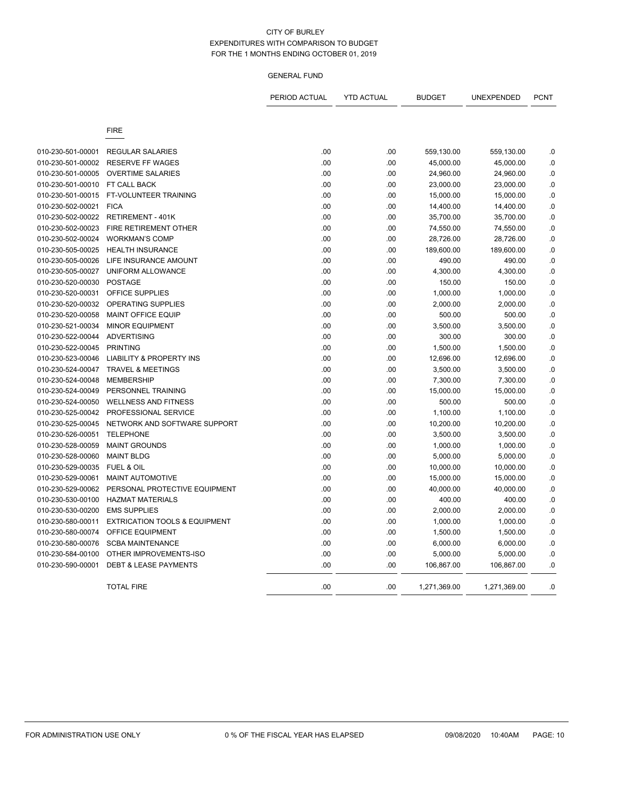|                                        |                                          | PERIOD ACTUAL | <b>YTD ACTUAL</b> | <b>BUDGET</b>          | UNEXPENDED             | <b>PCNT</b>     |
|----------------------------------------|------------------------------------------|---------------|-------------------|------------------------|------------------------|-----------------|
|                                        | <b>FIRE</b>                              |               |                   |                        |                        |                 |
|                                        | <b>REGULAR SALARIES</b>                  |               |                   |                        |                        |                 |
| 010-230-501-00001<br>010-230-501-00002 | <b>RESERVE FF WAGES</b>                  | .00<br>.00    | .00               | 559,130.00             | 559,130.00             | .0              |
| 010-230-501-00005                      | <b>OVERTIME SALARIES</b>                 | .00           | .00<br>.00        | 45,000.00<br>24,960.00 | 45,000.00<br>24,960.00 | .0<br>.0        |
| 010-230-501-00010                      | FT CALL BACK                             | .00           | .00               | 23,000.00              | 23,000.00              |                 |
| 010-230-501-00015                      | FT-VOLUNTEER TRAINING                    | .00           | .00               |                        |                        | .0<br>.0        |
| 010-230-502-00021                      | <b>FICA</b>                              | .00           | .00               | 15,000.00              | 15,000.00              |                 |
| 010-230-502-00022                      | <b>RETIREMENT - 401K</b>                 | .00           | .00               | 14,400.00<br>35,700.00 | 14,400.00<br>35,700.00 | .0<br>$\cdot$ 0 |
| 010-230-502-00023                      | FIRE RETIREMENT OTHER                    |               |                   |                        |                        |                 |
| 010-230-502-00024                      |                                          | .00           | .00               | 74,550.00              | 74,550.00              | .0              |
|                                        | <b>WORKMAN'S COMP</b>                    | .00           | .00               | 28,726.00              | 28,726.00              | $\cdot$ 0       |
| 010-230-505-00025                      | <b>HEALTH INSURANCE</b>                  | .00           | .00               | 189,600.00             | 189,600.00             | .0              |
| 010-230-505-00026                      | LIFE INSURANCE AMOUNT                    | .00           | .00               | 490.00                 | 490.00                 | 0.              |
| 010-230-505-00027                      | UNIFORM ALLOWANCE                        | .00           | .00               | 4,300.00               | 4,300.00               | .0              |
| 010-230-520-00030                      | <b>POSTAGE</b>                           | .00           | .00               | 150.00                 | 150.00                 | 0.              |
| 010-230-520-00031                      | OFFICE SUPPLIES                          | .00           | .00               | 1,000.00               | 1,000.00               | .0              |
| 010-230-520-00032                      | OPERATING SUPPLIES                       | .00           | .00               | 2,000.00               | 2,000.00               | $\cdot$ 0       |
| 010-230-520-00058                      | <b>MAINT OFFICE EQUIP</b>                | .00           | .00               | 500.00                 | 500.00                 | .0              |
| 010-230-521-00034                      | <b>MINOR EQUIPMENT</b>                   | .00           | .00               | 3,500.00               | 3,500.00               | .0              |
| 010-230-522-00044                      | <b>ADVERTISING</b>                       | .00           | .00               | 300.00                 | 300.00                 | .0              |
| 010-230-522-00045                      | <b>PRINTING</b>                          | .00           | .00               | 1,500.00               | 1,500.00               | .0              |
| 010-230-523-00046                      | <b>LIABILITY &amp; PROPERTY INS</b>      | .00           | .00               | 12,696.00              | 12,696.00              | 0.              |
| 010-230-524-00047                      | <b>TRAVEL &amp; MEETINGS</b>             | .00           | .00               | 3,500.00               | 3,500.00               | .0              |
| 010-230-524-00048                      | <b>MEMBERSHIP</b>                        | .00           | .00               | 7,300.00               | 7,300.00               | .0              |
| 010-230-524-00049                      | PERSONNEL TRAINING                       | .00           | .00               | 15,000.00              | 15,000.00              | .0              |
| 010-230-524-00050                      | <b>WELLNESS AND FITNESS</b>              | .00           | .00               | 500.00                 | 500.00                 | 0.              |
| 010-230-525-00042                      | PROFESSIONAL SERVICE                     | .00           | .00               | 1,100.00               | 1,100.00               | .0              |
| 010-230-525-00045                      | NETWORK AND SOFTWARE SUPPORT             | .00           | .00               | 10,200.00              | 10,200.00              | $\cdot$ 0       |
| 010-230-526-00051                      | <b>TELEPHONE</b>                         | .00           | .00               | 3,500.00               | 3,500.00               | .0              |
| 010-230-528-00059                      | <b>MAINT GROUNDS</b>                     | .00           | .00               | 1,000.00               | 1,000.00               | $\cdot$         |
| 010-230-528-00060                      | <b>MAINT BLDG</b>                        | .00           | .00               | 5,000.00               | 5,000.00               | $\cdot$         |
| 010-230-529-00035                      | FUEL & OIL                               | .00           | .00               | 10,000.00              | 10,000.00              | 0.              |
| 010-230-529-00061                      | <b>MAINT AUTOMOTIVE</b>                  | .00           | .00               | 15,000.00              | 15,000.00              | 0.              |
| 010-230-529-00062                      | PERSONAL PROTECTIVE EQUIPMENT            | .00           | .00               | 40,000.00              | 40,000.00              | .0              |
| 010-230-530-00100                      | <b>HAZMAT MATERIALS</b>                  | .00           | .00               | 400.00                 | 400.00                 | 0.              |
| 010-230-530-00200                      | <b>EMS SUPPLIES</b>                      | .00           | .00               | 2,000.00               | 2,000.00               | .0              |
| 010-230-580-00011                      | <b>EXTRICATION TOOLS &amp; EQUIPMENT</b> | .00           | .00               | 1,000.00               | 1,000.00               | 0.              |
| 010-230-580-00074                      | <b>OFFICE EQUIPMENT</b>                  | .00           | .00               | 1,500.00               | 1,500.00               | .0              |
| 010-230-580-00076                      | <b>SCBA MAINTENANCE</b>                  | .00           | .00               | 6,000.00               | 6,000.00               | .0              |
| 010-230-584-00100                      | OTHER IMPROVEMENTS-ISO                   | .00           | .00               | 5,000.00               | 5,000.00               | 0.0             |
| 010-230-590-00001                      | <b>DEBT &amp; LEASE PAYMENTS</b>         | .00           | .00               | 106,867.00             | 106,867.00             | $\cdot$ 0       |
|                                        | <b>TOTAL FIRE</b>                        | .00           | .00               | 1,271,369.00           | 1,271,369.00           | $\cdot$ 0       |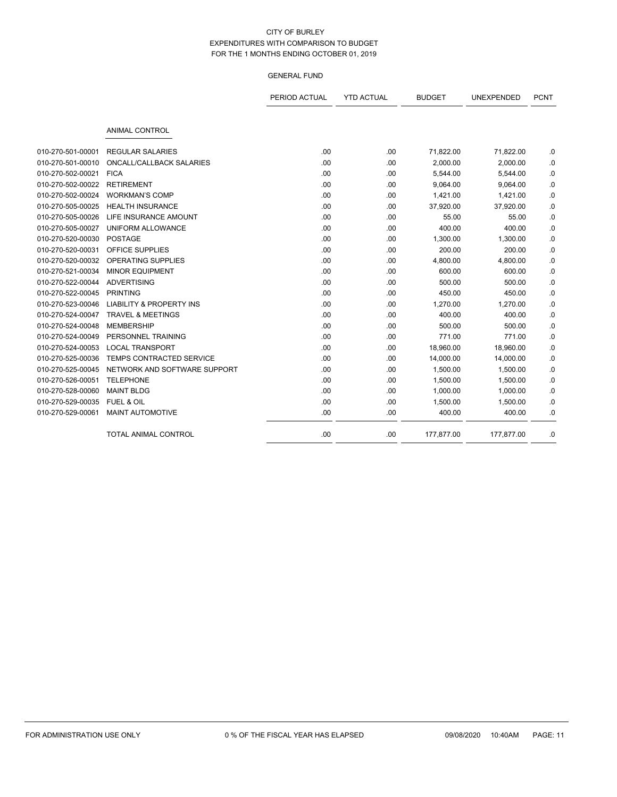|                   |                                     | PERIOD ACTUAL | <b>YTD ACTUAL</b> | <b>BUDGET</b> | UNEXPENDED | <b>PCNT</b> |
|-------------------|-------------------------------------|---------------|-------------------|---------------|------------|-------------|
|                   | <b>ANIMAL CONTROL</b>               |               |                   |               |            |             |
| 010-270-501-00001 | <b>REGULAR SALARIES</b>             | .00           | .00               | 71,822.00     | 71,822.00  | .0          |
| 010-270-501-00010 | ONCALL/CALLBACK SALARIES            | .00           | .00               | 2,000.00      | 2,000.00   | 0.0         |
| 010-270-502-00021 | <b>FICA</b>                         | .00           | .00               | 5,544.00      | 5,544.00   | .0          |
| 010-270-502-00022 | <b>RETIREMENT</b>                   | .00           | .00               | 9,064.00      | 9,064.00   | .0          |
| 010-270-502-00024 | <b>WORKMAN'S COMP</b>               | .00           | .00               | 1,421.00      | 1,421.00   | .0          |
| 010-270-505-00025 | <b>HEALTH INSURANCE</b>             | .00           | .00               | 37,920.00     | 37,920.00  | .0          |
| 010-270-505-00026 | LIFE INSURANCE AMOUNT               | .00           | .00               | 55.00         | 55.00      | .0          |
| 010-270-505-00027 | UNIFORM ALLOWANCE                   | .00           | .00               | 400.00        | 400.00     | 0.0         |
| 010-270-520-00030 | <b>POSTAGE</b>                      | .00           | .00               | 1,300.00      | 1,300.00   | .0          |
| 010-270-520-00031 | <b>OFFICE SUPPLIES</b>              | .00           | .00               | 200.00        | 200.00     | .0          |
| 010-270-520-00032 | <b>OPERATING SUPPLIES</b>           | .00           | .00               | 4,800.00      | 4,800.00   | .0          |
| 010-270-521-00034 | <b>MINOR EQUIPMENT</b>              | .00           | .00               | 600.00        | 600.00     | 0.0         |
| 010-270-522-00044 | <b>ADVERTISING</b>                  | .00           | .00               | 500.00        | 500.00     | .0          |
| 010-270-522-00045 | <b>PRINTING</b>                     | .00           | .00               | 450.00        | 450.00     | 0.          |
| 010-270-523-00046 | <b>LIABILITY &amp; PROPERTY INS</b> | .00           | .00               | 1,270.00      | 1,270.00   | .0          |
| 010-270-524-00047 | <b>TRAVEL &amp; MEETINGS</b>        | .00           | .00               | 400.00        | 400.00     | .0          |
| 010-270-524-00048 | <b>MEMBERSHIP</b>                   | .00           | .00               | 500.00        | 500.00     | .0          |
| 010-270-524-00049 | PERSONNEL TRAINING                  | .00           | .00               | 771.00        | 771.00     | .0          |
| 010-270-524-00053 | <b>LOCAL TRANSPORT</b>              | .00           | .00               | 18,960.00     | 18,960.00  | .0          |
| 010-270-525-00036 | TEMPS CONTRACTED SERVICE            | .00           | .00               | 14,000.00     | 14,000.00  | 0.          |
| 010-270-525-00045 | NETWORK AND SOFTWARE SUPPORT        | .00           | .00               | 1,500.00      | 1,500.00   | .0          |
| 010-270-526-00051 | <b>TELEPHONE</b>                    | .00           | .00               | 1,500.00      | 1,500.00   | .0          |
| 010-270-528-00060 | <b>MAINT BLDG</b>                   | .00           | .00               | 1,000.00      | 1,000.00   | .0          |
| 010-270-529-00035 | <b>FUEL &amp; OIL</b>               | .00           | .00               | 1,500.00      | 1,500.00   | .0          |
| 010-270-529-00061 | <b>MAINT AUTOMOTIVE</b>             | .00           | .00               | 400.00        | 400.00     | 0.          |
|                   | <b>TOTAL ANIMAL CONTROL</b>         | .00           | .00               | 177,877.00    | 177,877.00 | .0          |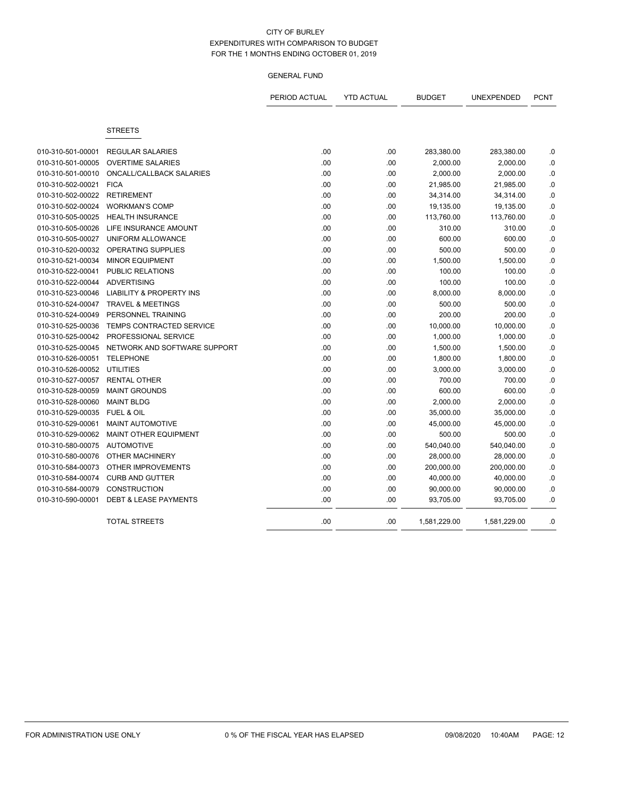|                   |                                     | PERIOD ACTUAL | <b>YTD ACTUAL</b> | <b>BUDGET</b> | UNEXPENDED   | <b>PCNT</b> |
|-------------------|-------------------------------------|---------------|-------------------|---------------|--------------|-------------|
|                   | <b>STREETS</b>                      |               |                   |               |              |             |
|                   |                                     |               |                   |               |              |             |
| 010-310-501-00001 | <b>REGULAR SALARIES</b>             | .00           | .00               | 283,380.00    | 283,380.00   | .0          |
| 010-310-501-00005 | <b>OVERTIME SALARIES</b>            | .00           | .00               | 2,000.00      | 2,000.00     | .0          |
| 010-310-501-00010 | ONCALL/CALLBACK SALARIES            | .00           | .00               | 2,000.00      | 2,000.00     | .0          |
| 010-310-502-00021 | <b>FICA</b>                         | .00           | .00               | 21,985.00     | 21,985.00    | .0          |
| 010-310-502-00022 | <b>RETIREMENT</b>                   | .00           | .00               | 34,314.00     | 34,314.00    | .0          |
| 010-310-502-00024 | <b>WORKMAN'S COMP</b>               | .00           | .00               | 19,135.00     | 19,135.00    | 0.0         |
| 010-310-505-00025 | <b>HEALTH INSURANCE</b>             | .00           | .00               | 113,760.00    | 113,760.00   | .0          |
| 010-310-505-00026 | LIFE INSURANCE AMOUNT               | .00           | .00               | 310.00        | 310.00       | .0          |
| 010-310-505-00027 | UNIFORM ALLOWANCE                   | .00           | .00               | 600.00        | 600.00       | .0          |
| 010-310-520-00032 | OPERATING SUPPLIES                  | .00           | .00               | 500.00        | 500.00       | .0          |
| 010-310-521-00034 | <b>MINOR EQUIPMENT</b>              | .00           | .00               | 1,500.00      | 1,500.00     | 0.0         |
| 010-310-522-00041 | PUBLIC RELATIONS                    | .00           | .00               | 100.00        | 100.00       | $\cdot$ 0   |
| 010-310-522-00044 | <b>ADVERTISING</b>                  | .00           | .00               | 100.00        | 100.00       | $\cdot$ 0   |
| 010-310-523-00046 | <b>LIABILITY &amp; PROPERTY INS</b> | .00           | .00               | 8,000.00      | 8,000.00     | $\cdot$ 0   |
| 010-310-524-00047 | <b>TRAVEL &amp; MEETINGS</b>        | .00           | .00               | 500.00        | 500.00       | .0          |
| 010-310-524-00049 | PERSONNEL TRAINING                  | .00           | .00               | 200.00        | 200.00       | 0.0         |
| 010-310-525-00036 | TEMPS CONTRACTED SERVICE            | .00           | .00               | 10,000.00     | 10,000.00    | 0.          |
| 010-310-525-00042 | PROFESSIONAL SERVICE                | .00           | .00               | 1,000.00      | 1,000.00     | .0          |
| 010-310-525-00045 | NETWORK AND SOFTWARE SUPPORT        | .00           | .00               | 1,500.00      | 1,500.00     | .0          |
| 010-310-526-00051 | <b>TELEPHONE</b>                    | .00           | .00               | 1,800.00      | 1,800.00     | .0          |
| 010-310-526-00052 | <b>UTILITIES</b>                    | .00           | .00               | 3,000.00      | 3,000.00     | .0          |
| 010-310-527-00057 | <b>RENTAL OTHER</b>                 | .00           | .00               | 700.00        | 700.00       | .0          |
| 010-310-528-00059 | <b>MAINT GROUNDS</b>                | .00           | .00               | 600.00        | 600.00       | .0          |
| 010-310-528-00060 | <b>MAINT BLDG</b>                   | .00           | .00               | 2,000.00      | 2,000.00     | .0          |
| 010-310-529-00035 | <b>FUEL &amp; OIL</b>               | .00           | .00               | 35,000.00     | 35,000.00    | .0          |
| 010-310-529-00061 | <b>MAINT AUTOMOTIVE</b>             | .00           | .00               | 45,000.00     | 45,000.00    | .0          |
| 010-310-529-00062 | <b>MAINT OTHER EQUIPMENT</b>        | .00           | .00               | 500.00        | 500.00       | .0          |
| 010-310-580-00075 | <b>AUTOMOTIVE</b>                   | .00           | .00               | 540,040.00    | 540,040.00   | .0          |
| 010-310-580-00076 | OTHER MACHINERY                     | .00           | .00               | 28,000.00     | 28,000.00    | 0.0         |
| 010-310-584-00073 | OTHER IMPROVEMENTS                  | .00           | .00               | 200,000.00    | 200,000.00   | .0          |
| 010-310-584-00074 | <b>CURB AND GUTTER</b>              | .00           | .00               | 40,000.00     | 40,000.00    | .0          |
| 010-310-584-00079 | <b>CONSTRUCTION</b>                 | .00           | .00               | 90,000.00     | 90,000.00    | .0          |
| 010-310-590-00001 | <b>DEBT &amp; LEASE PAYMENTS</b>    | .00           | .00               | 93,705.00     | 93,705.00    | .0          |
|                   | <b>TOTAL STREETS</b>                | .00           | .00               | 1,581,229.00  | 1,581,229.00 | .0          |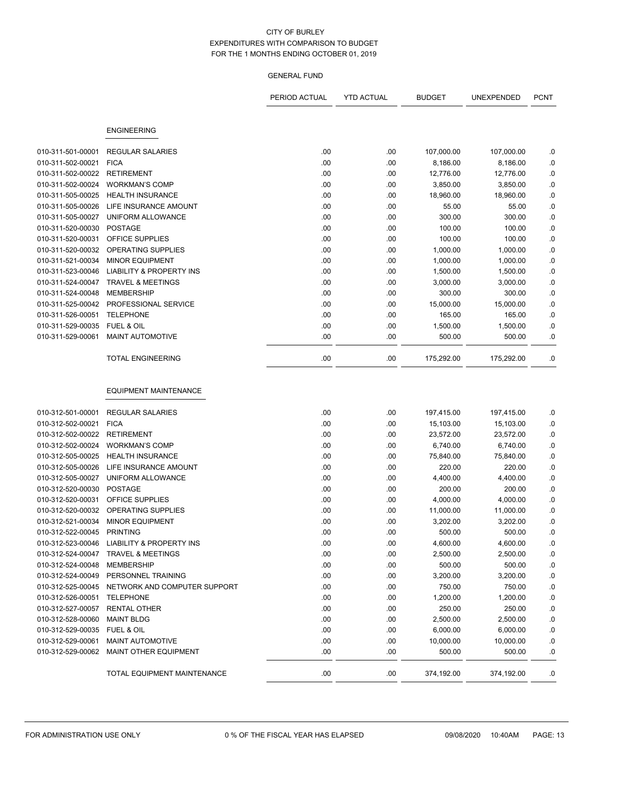|                   |                                            | PERIOD ACTUAL | <b>YTD ACTUAL</b> | <b>BUDGET</b> | UNEXPENDED | <b>PCNT</b> |
|-------------------|--------------------------------------------|---------------|-------------------|---------------|------------|-------------|
|                   | <b>ENGINEERING</b>                         |               |                   |               |            |             |
|                   |                                            |               |                   |               |            |             |
| 010-311-501-00001 | <b>REGULAR SALARIES</b>                    | .00           | .00               | 107,000.00    | 107,000.00 | .0          |
| 010-311-502-00021 | <b>FICA</b>                                | .00           | .00               | 8,186.00      | 8,186.00   | $\cdot$ 0   |
| 010-311-502-00022 | <b>RETIREMENT</b>                          | .00           | .00               | 12,776.00     | 12,776.00  | $\cdot$ 0   |
| 010-311-502-00024 | <b>WORKMAN'S COMP</b>                      | .00           | .00               | 3,850.00      | 3,850.00   | $\cdot$ 0   |
| 010-311-505-00025 | <b>HEALTH INSURANCE</b>                    | .00           | .00               | 18,960.00     | 18,960.00  | $\cdot$ 0   |
| 010-311-505-00026 | LIFE INSURANCE AMOUNT                      | .00           | .00               | 55.00         | 55.00      | .0          |
| 010-311-505-00027 | UNIFORM ALLOWANCE                          | .00           | .00               | 300.00        | 300.00     | $\cdot$ 0   |
| 010-311-520-00030 | <b>POSTAGE</b>                             | .00           | .00               | 100.00        | 100.00     | $\cdot$ 0   |
| 010-311-520-00031 | OFFICE SUPPLIES                            | .00           | .00               | 100.00        | 100.00     | $\cdot$ 0   |
| 010-311-520-00032 | OPERATING SUPPLIES                         | .00           | .00               | 1,000.00      | 1,000.00   | .0          |
| 010-311-521-00034 | <b>MINOR EQUIPMENT</b>                     | .00           | .00               | 1,000.00      | 1,000.00   | .0          |
| 010-311-523-00046 | <b>LIABILITY &amp; PROPERTY INS</b>        | .00           | .00               | 1,500.00      | 1,500.00   | $\cdot$ 0   |
| 010-311-524-00047 | <b>TRAVEL &amp; MEETINGS</b>               | .00           | .00               | 3,000.00      | 3,000.00   | .0          |
| 010-311-524-00048 | <b>MEMBERSHIP</b>                          | .00           | .00               | 300.00        | 300.00     | .0          |
| 010-311-525-00042 | PROFESSIONAL SERVICE                       | .00           | .00               | 15,000.00     | 15,000.00  | $\cdot$ 0   |
| 010-311-526-00051 | <b>TELEPHONE</b>                           | .00           | .00               | 165.00        | 165.00     | .0          |
| 010-311-529-00035 | <b>FUEL &amp; OIL</b>                      | .00           | .00               | 1,500.00      | 1,500.00   | $\cdot$ 0   |
| 010-311-529-00061 | MAINT AUTOMOTIVE                           | .00           | .00               | 500.00        | 500.00     | .0          |
|                   | <b>TOTAL ENGINEERING</b>                   | .00           | .00               | 175,292.00    | 175,292.00 | .0          |
|                   | <b>EQUIPMENT MAINTENANCE</b>               |               |                   |               |            |             |
| 010-312-501-00001 | <b>REGULAR SALARIES</b>                    | .00           | .00               | 197,415.00    | 197,415.00 | .0          |
| 010-312-502-00021 | <b>FICA</b>                                | .00           | .00               | 15,103.00     | 15,103.00  | $\cdot$ 0   |
| 010-312-502-00022 | <b>RETIREMENT</b>                          | .00           | .00               | 23,572.00     | 23,572.00  | $\cdot$ 0   |
| 010-312-502-00024 | <b>WORKMAN'S COMP</b>                      | .00           | .00               | 6,740.00      | 6,740.00   | $\cdot$ 0   |
| 010-312-505-00025 | <b>HEALTH INSURANCE</b>                    | .00           | .00               | 75,840.00     | 75,840.00  | .0          |
| 010-312-505-00026 | LIFE INSURANCE AMOUNT                      | .00           | .00               | 220.00        | 220.00     | .0          |
| 010-312-505-00027 | UNIFORM ALLOWANCE                          | .00           | .00               | 4,400.00      | 4,400.00   | .0          |
| 010-312-520-00030 | <b>POSTAGE</b>                             | .00           | .00               | 200.00        | 200.00     | $\cdot$ 0   |
| 010-312-520-00031 | OFFICE SUPPLIES                            | .00           | .00               | 4,000.00      | 4,000.00   | .0          |
| 010-312-520-00032 | OPERATING SUPPLIES                         | .00           | .00               | 11,000.00     | 11,000.00  | .0          |
| 010-312-521-00034 | <b>MINOR EQUIPMENT</b>                     | .00           | .00               | 3,202.00      | 3,202.00   | $\cdot$ 0   |
| 010-312-522-00045 | <b>PRINTING</b>                            | .00           | .00               | 500.00        | 500.00     | $\cdot$ 0   |
|                   | 010-312-523-00046 LIABILITY & PROPERTY INS | .00           | .00               | 4,600.00      | 4,600.00   | .0          |
|                   | 010-312-524-00047 TRAVEL & MEETINGS        | .00           | .00               | 2,500.00      | 2,500.00   | .0          |
| 010-312-524-00048 | <b>MEMBERSHIP</b>                          | .00           | .00               | 500.00        | 500.00     | .0          |
| 010-312-524-00049 | PERSONNEL TRAINING                         | .00           | .00               | 3,200.00      | 3,200.00   | $\cdot$ 0   |
| 010-312-525-00045 | NETWORK AND COMPUTER SUPPORT               | .00           | .00               | 750.00        | 750.00     | .0          |
| 010-312-526-00051 | <b>TELEPHONE</b>                           | .00           | .00               | 1,200.00      | 1,200.00   | .0          |
| 010-312-527-00057 | <b>RENTAL OTHER</b>                        | .00           | .00               | 250.00        | 250.00     | .0          |
| 010-312-528-00060 | <b>MAINT BLDG</b>                          | .00           | .00               | 2,500.00      | 2,500.00   | .0          |
| 010-312-529-00035 | FUEL & OIL                                 | .00           | .00               | 6,000.00      | 6,000.00   | .0          |
| 010-312-529-00061 | MAINT AUTOMOTIVE                           | .00           | .00               | 10,000.00     | 10,000.00  | .0          |
| 010-312-529-00062 | MAINT OTHER EQUIPMENT                      | .00           | .00               | 500.00        | 500.00     | .0          |
|                   | TOTAL EQUIPMENT MAINTENANCE                | .00           | .00               | 374,192.00    | 374,192.00 | .0          |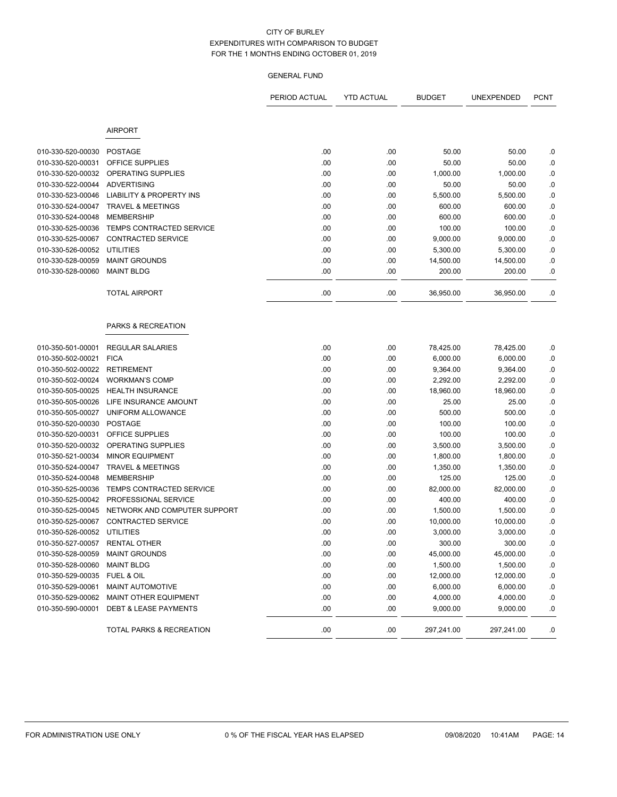# GENERAL FUND

|                   |                                     | PERIOD ACTUAL | <b>YTD ACTUAL</b> | <b>BUDGET</b> | UNEXPENDED | <b>PCNT</b> |
|-------------------|-------------------------------------|---------------|-------------------|---------------|------------|-------------|
|                   |                                     |               |                   |               |            |             |
|                   | <b>AIRPORT</b>                      |               |                   |               |            |             |
| 010-330-520-00030 | <b>POSTAGE</b>                      | .00.          | .00               | 50.00         | 50.00      | .0          |
| 010-330-520-00031 | <b>OFFICE SUPPLIES</b>              | .00.          | .00               | 50.00         | 50.00      | .0          |
| 010-330-520-00032 | OPERATING SUPPLIES                  | .00           | .00               | 1,000.00      | 1,000.00   | .0          |
| 010-330-522-00044 | <b>ADVERTISING</b>                  | .00           | .00               | 50.00         | 50.00      | .0          |
| 010-330-523-00046 | <b>LIABILITY &amp; PROPERTY INS</b> | .00           | .00               | 5,500.00      | 5,500.00   | .0          |
| 010-330-524-00047 | <b>TRAVEL &amp; MEETINGS</b>        | .00           | .00               | 600.00        | 600.00     | .0          |
| 010-330-524-00048 | <b>MEMBERSHIP</b>                   | .00           | .00               | 600.00        | 600.00     | $\cdot$ 0   |
| 010-330-525-00036 | TEMPS CONTRACTED SERVICE            | .00           | .00               | 100.00        | 100.00     | $\cdot$ 0   |
| 010-330-525-00067 | <b>CONTRACTED SERVICE</b>           | .00           | .00               | 9,000.00      | 9,000.00   | $\cdot$ 0   |
| 010-330-526-00052 | <b>UTILITIES</b>                    | .00           | .00               | 5,300.00      | 5,300.00   | .0          |
| 010-330-528-00059 | <b>MAINT GROUNDS</b>                | .00.          | .00               | 14,500.00     | 14,500.00  | .0          |
| 010-330-528-00060 | <b>MAINT BLDG</b>                   | .00           | .00               | 200.00        | 200.00     | .0          |
|                   | <b>TOTAL AIRPORT</b>                | .00           | .00               | 36,950.00     | 36,950.00  | .0          |
|                   |                                     |               |                   |               |            |             |
|                   | PARKS & RECREATION                  |               |                   |               |            |             |
| 010-350-501-00001 | <b>REGULAR SALARIES</b>             | .00           | .00               | 78,425.00     | 78,425.00  | .0          |
| 010-350-502-00021 | <b>FICA</b>                         | .00           | .00               | 6,000.00      | 6,000.00   | .0          |
| 010-350-502-00022 | <b>RETIREMENT</b>                   | .00           | .00               | 9,364.00      | 9,364.00   | $\cdot$ 0   |
| 010-350-502-00024 | <b>WORKMAN'S COMP</b>               | .00           | .00               | 2,292.00      | 2,292.00   | .0          |
| 010-350-505-00025 | <b>HEALTH INSURANCE</b>             | .00           | .00               | 18,960.00     | 18,960.00  | .0          |
| 010-350-505-00026 | LIFE INSURANCE AMOUNT               | .00           | .00               | 25.00         | 25.00      | .0          |
| 010-350-505-00027 | UNIFORM ALLOWANCE                   | .00           | .00               | 500.00        | 500.00     | .0          |
| 010-350-520-00030 | <b>POSTAGE</b>                      | .00           | .00               | 100.00        | 100.00     | .0          |
| 010-350-520-00031 | OFFICE SUPPLIES                     | .00           | .00               | 100.00        | 100.00     | $\cdot$ 0   |
| 010-350-520-00032 | OPERATING SUPPLIES                  | .00           | .00               | 3,500.00      | 3,500.00   | $\cdot$ 0   |
| 010-350-521-00034 | <b>MINOR EQUIPMENT</b>              | .00           | .00               | 1,800.00      | 1,800.00   | $\cdot$ 0   |
| 010-350-524-00047 | <b>TRAVEL &amp; MEETINGS</b>        | .00           | .00               | 1,350.00      | 1,350.00   | .0          |
| 010-350-524-00048 | <b>MEMBERSHIP</b>                   | .00.          | .00               | 125.00        | 125.00     | .0          |
| 010-350-525-00036 | <b>TEMPS CONTRACTED SERVICE</b>     | .00           | .00               | 82,000.00     | 82,000.00  | .0          |
| 010-350-525-00042 | PROFESSIONAL SERVICE                | .00           | .00               | 400.00        | 400.00     | .0          |
| 010-350-525-00045 | NETWORK AND COMPUTER SUPPORT        | .00           | .00               | 1,500.00      | 1,500.00   | .0          |
| 010-350-525-00067 | CONTRACTED SERVICE                  | .00           | .00               | 10,000.00     | 10,000.00  | .0          |
| 010-350-526-00052 | <b>UTILITIES</b>                    | .00           | .00               | 3,000.00      | 3,000.00   | $0.$        |
| 010-350-527-00057 | RENTAL OTHER                        | .00           | .00               | 300.00        | 300.00     | .0          |
| 010-350-528-00059 | <b>MAINT GROUNDS</b>                | .00           | .00               | 45,000.00     | 45,000.00  | .0          |
| 010-350-528-00060 | <b>MAINT BLDG</b>                   | .00           | .00               | 1,500.00      | 1,500.00   | .0          |
| 010-350-529-00035 | FUEL & OIL                          | .00           | .00               | 12,000.00     | 12,000.00  | $\cdot$ 0   |
| 010-350-529-00061 | <b>MAINT AUTOMOTIVE</b>             | .00.          | .00               | 6,000.00      | 6,000.00   | .0          |
| 010-350-529-00062 | MAINT OTHER EQUIPMENT               | .00           | .00               | 4,000.00      | 4,000.00   | .0          |
| 010-350-590-00001 | <b>DEBT &amp; LEASE PAYMENTS</b>    | .00           | .00               | 9,000.00      | 9,000.00   | .0          |
|                   | TOTAL PARKS & RECREATION            | .00           | .00               | 297,241.00    | 297,241.00 | .0          |

 $\overline{\phantom{a}}$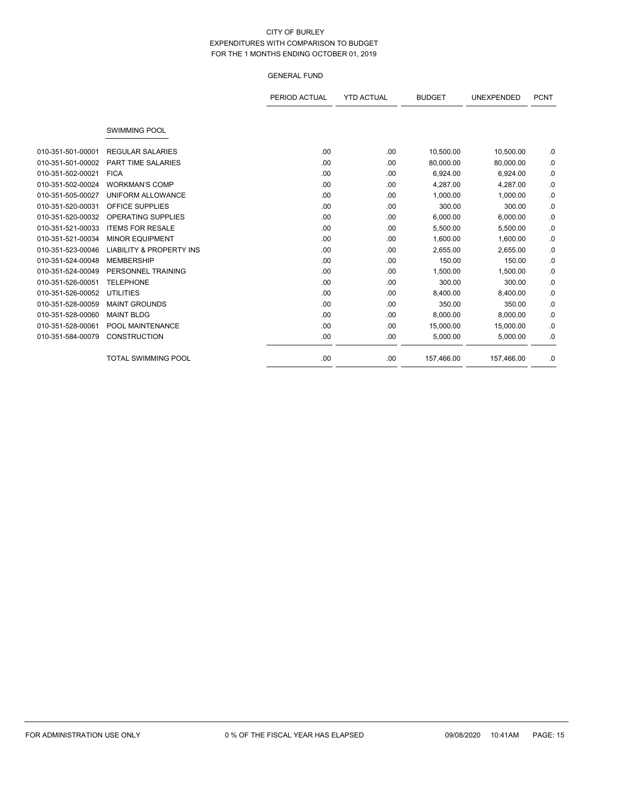|                   |                                     | PERIOD ACTUAL | <b>YTD ACTUAL</b> | <b>BUDGET</b> | <b>UNEXPENDED</b> | <b>PCNT</b> |
|-------------------|-------------------------------------|---------------|-------------------|---------------|-------------------|-------------|
|                   |                                     |               |                   |               |                   |             |
|                   | <b>SWIMMING POOL</b>                |               |                   |               |                   |             |
| 010-351-501-00001 | <b>REGULAR SALARIES</b>             | .00.          | .00               | 10,500.00     | 10,500.00         | .0          |
| 010-351-501-00002 | <b>PART TIME SALARIES</b>           | .00           | .00               | 80,000.00     | 80,000.00         | .0          |
| 010-351-502-00021 | <b>FICA</b>                         | .00           | .00               | 6,924.00      | 6,924.00          | .0          |
| 010-351-502-00024 | <b>WORKMAN'S COMP</b>               | .00           | .00               | 4,287.00      | 4,287.00          | .0          |
| 010-351-505-00027 | <b>UNIFORM ALLOWANCE</b>            | .00           | .00               | 1,000.00      | 1,000.00          | .0          |
| 010-351-520-00031 | <b>OFFICE SUPPLIES</b>              | .00.          | .00               | 300.00        | 300.00            | .0          |
| 010-351-520-00032 | OPERATING SUPPLIES                  | .00           | .00               | 6,000.00      | 6,000.00          | .0          |
| 010-351-521-00033 | <b>ITEMS FOR RESALE</b>             | .00           | .00               | 5,500.00      | 5,500.00          | .0          |
| 010-351-521-00034 | <b>MINOR EQUIPMENT</b>              | .00           | .00               | 1,600.00      | 1,600.00          | .0          |
| 010-351-523-00046 | <b>LIABILITY &amp; PROPERTY INS</b> | .00           | .00               | 2,655.00      | 2,655.00          | .0          |
| 010-351-524-00048 | <b>MEMBERSHIP</b>                   | .00.          | .00               | 150.00        | 150.00            | .0          |
| 010-351-524-00049 | PERSONNEL TRAINING                  | .00           | .00               | 1,500.00      | 1,500.00          | .0          |
| 010-351-526-00051 | <b>TELEPHONE</b>                    | .00.          | .00               | 300.00        | 300.00            | .0          |
| 010-351-526-00052 | UTILITIES                           | .00           | .00               | 8,400.00      | 8,400.00          | .0          |
| 010-351-528-00059 | <b>MAINT GROUNDS</b>                | .00           | .00               | 350.00        | 350.00            | .0          |
| 010-351-528-00060 | <b>MAINT BLDG</b>                   | .00           | .00               | 8,000.00      | 8,000.00          | .0          |
| 010-351-528-00061 | POOL MAINTENANCE                    | .00.          | .00               | 15,000.00     | 15,000.00         | .0          |
| 010-351-584-00079 | <b>CONSTRUCTION</b>                 | .00.          | .00               | 5,000.00      | 5,000.00          | .0          |
|                   | <b>TOTAL SWIMMING POOL</b>          | .00.          | .00               | 157,466.00    | 157,466.00        | .0          |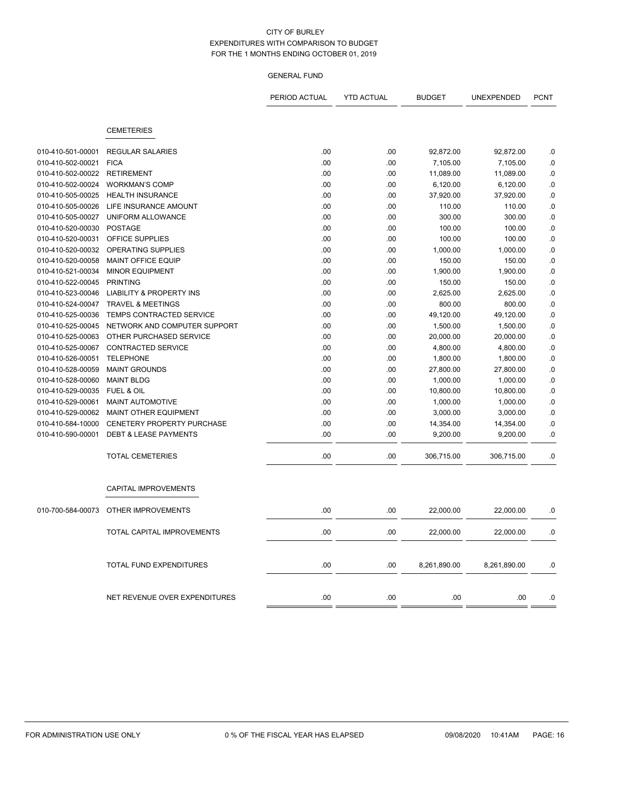|                   |                                     | PERIOD ACTUAL | <b>YTD ACTUAL</b> | <b>BUDGET</b> | UNEXPENDED   | <b>PCNT</b> |
|-------------------|-------------------------------------|---------------|-------------------|---------------|--------------|-------------|
|                   | <b>CEMETERIES</b>                   |               |                   |               |              |             |
| 010-410-501-00001 | <b>REGULAR SALARIES</b>             | .00           | .00               | 92,872.00     | 92,872.00    | 0.          |
| 010-410-502-00021 | <b>FICA</b>                         | .00           | .00               | 7,105.00      | 7,105.00     | $\cdot$ 0   |
| 010-410-502-00022 | <b>RETIREMENT</b>                   | .00           | .00               | 11,089.00     | 11,089.00    | $\cdot$ 0   |
| 010-410-502-00024 | <b>WORKMAN'S COMP</b>               | .00           | .00               | 6,120.00      | 6,120.00     | 0.          |
| 010-410-505-00025 | <b>HEALTH INSURANCE</b>             | .00           | .00.              | 37,920.00     | 37,920.00    | 0.          |
| 010-410-505-00026 | LIFE INSURANCE AMOUNT               | .00           | .00               | 110.00        | 110.00       | .0          |
| 010-410-505-00027 | UNIFORM ALLOWANCE                   | .00           | .00               | 300.00        | 300.00       | .0          |
| 010-410-520-00030 | <b>POSTAGE</b>                      | .00           | .00               | 100.00        | 100.00       | .0          |
| 010-410-520-00031 | <b>OFFICE SUPPLIES</b>              | .00           | .00               | 100.00        | 100.00       | $\cdot$ 0   |
| 010-410-520-00032 | OPERATING SUPPLIES                  | .00           | .00               | 1,000.00      | 1,000.00     | $0.$        |
| 010-410-520-00058 | <b>MAINT OFFICE EQUIP</b>           | .00           | .00.              | 150.00        | 150.00       | 0.0         |
| 010-410-521-00034 | <b>MINOR EQUIPMENT</b>              | .00           | .00               | 1,900.00      | 1,900.00     | 0.          |
| 010-410-522-00045 | <b>PRINTING</b>                     | .00           | .00               | 150.00        | 150.00       | 0.          |
| 010-410-523-00046 | <b>LIABILITY &amp; PROPERTY INS</b> | .00           | .00               | 2,625.00      | 2,625.00     | .0          |
| 010-410-524-00047 | <b>TRAVEL &amp; MEETINGS</b>        | .00           | .00               | 800.00        | 800.00       | .0          |
| 010-410-525-00036 | TEMPS CONTRACTED SERVICE            | .00           | .00               | 49,120.00     | 49,120.00    | .0          |
| 010-410-525-00045 | NETWORK AND COMPUTER SUPPORT        | .00           | .00               | 1,500.00      | 1,500.00     | $\cdot$ 0   |
| 010-410-525-00063 | OTHER PURCHASED SERVICE             | .00           | .00               | 20,000.00     | 20,000.00    | .0          |
| 010-410-525-00067 | <b>CONTRACTED SERVICE</b>           | .00           | .00               | 4,800.00      | 4,800.00     | $0.$        |
| 010-410-526-00051 | <b>TELEPHONE</b>                    | .00           | .00               | 1,800.00      | 1,800.00     | .0          |
| 010-410-528-00059 | <b>MAINT GROUNDS</b>                | .00           | .00               | 27,800.00     | 27,800.00    | .0          |
| 010-410-528-00060 | <b>MAINT BLDG</b>                   | .00           | .00               | 1,000.00      | 1,000.00     | .0          |
| 010-410-529-00035 | FUEL & OIL                          | .00           | .00               | 10,800.00     | 10,800.00    | .0          |
| 010-410-529-00061 | <b>MAINT AUTOMOTIVE</b>             | .00           | .00               | 1,000.00      | 1,000.00     | 0.          |
| 010-410-529-00062 | <b>MAINT OTHER EQUIPMENT</b>        | .00           | .00               | 3,000.00      | 3,000.00     | .0          |
| 010-410-584-10000 | CENETERY PROPERTY PURCHASE          | .00           | .00               | 14,354.00     | 14,354.00    | .0          |
| 010-410-590-00001 | <b>DEBT &amp; LEASE PAYMENTS</b>    | .00           | .00               | 9,200.00      | 9,200.00     | .0          |
|                   | <b>TOTAL CEMETERIES</b>             | .00           | .00               | 306,715.00    | 306,715.00   | .0          |
|                   | <b>CAPITAL IMPROVEMENTS</b>         |               |                   |               |              |             |
| 010-700-584-00073 | OTHER IMPROVEMENTS                  | .00           | .00               | 22.000.00     | 22,000.00    | .0          |
|                   | TOTAL CAPITAL IMPROVEMENTS          | .00           | .00               | 22,000.00     | 22,000.00    | .0          |
|                   | TOTAL FUND EXPENDITURES             | .00           | .00               | 8,261,890.00  | 8,261,890.00 | .0          |
|                   | NET REVENUE OVER EXPENDITURES       | .00           | .00               | .00           | .00          | .0          |
|                   |                                     |               |                   |               |              |             |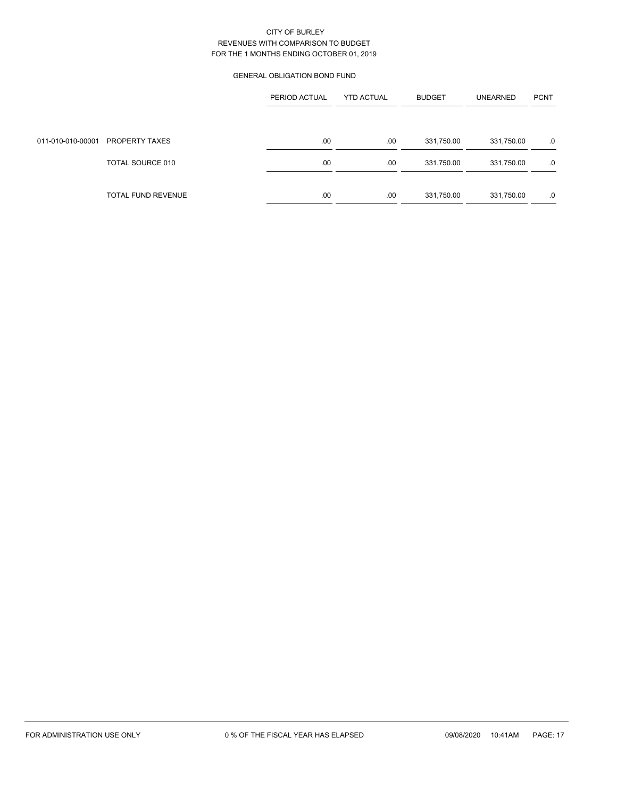## GENERAL OBLIGATION BOND FUND

|                   |                    | PERIOD ACTUAL | <b>YTD ACTUAL</b> | <b>BUDGET</b> | <b>UNEARNED</b> | <b>PCNT</b> |
|-------------------|--------------------|---------------|-------------------|---------------|-----------------|-------------|
|                   |                    |               |                   |               |                 |             |
| 011-010-010-00001 | PROPERTY TAXES     | .00           | .00               | 331,750.00    | 331,750.00      | .0          |
|                   | TOTAL SOURCE 010   | .00           | .00               | 331,750.00    | 331,750.00      | .0          |
|                   | TOTAL FUND REVENUE | .00           | .00               | 331,750.00    | 331,750.00      | .0          |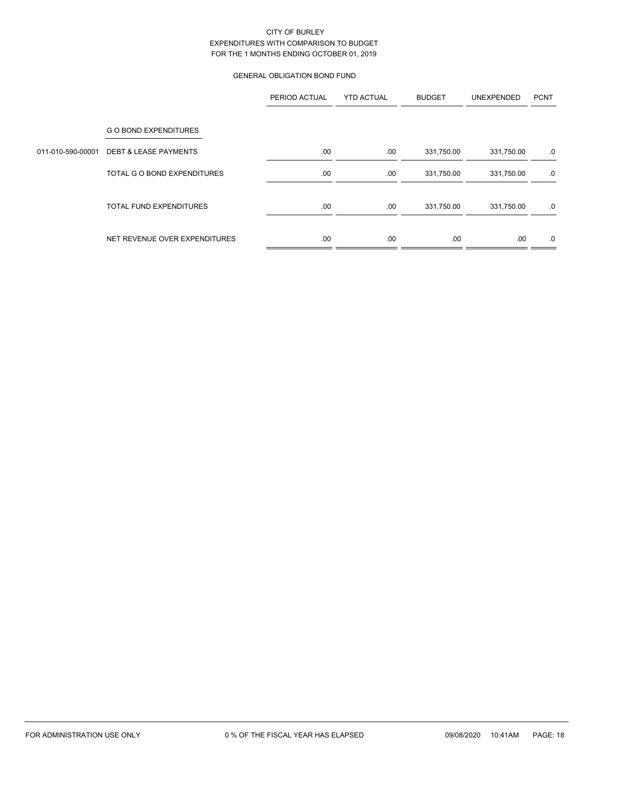# GENERAL OBLIGATION BOND FUND

|                   |                                  | PERIOD ACTUAL | <b>YTD ACTUAL</b> | <b>BUDGET</b> | UNEXPENDED | <b>PCNT</b> |
|-------------------|----------------------------------|---------------|-------------------|---------------|------------|-------------|
|                   | <b>GO BOND EXPENDITURES</b>      |               |                   |               |            |             |
| 011-010-590-00001 | <b>DEBT &amp; LEASE PAYMENTS</b> | .00.          | .00               | 331,750.00    | 331,750.00 | .0          |
|                   | TOTAL G O BOND EXPENDITURES      | .00.          | .00               | 331,750.00    | 331,750.00 | .0          |
|                   | <b>TOTAL FUND EXPENDITURES</b>   | .00           | .00               | 331,750.00    | 331,750.00 | .0          |
|                   | NET REVENUE OVER EXPENDITURES    | .00           | .00               | .00           | .00        | .0          |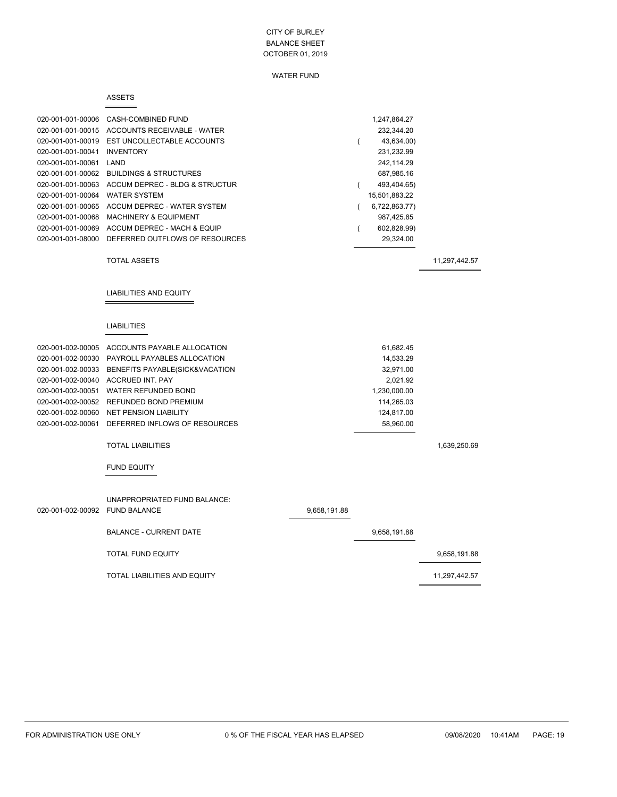### WATER FUND

#### ASSETS

|                                | 020-001-001-00006 CASH-COMBINED FUND             |              |          | 1,247,864.27  |               |
|--------------------------------|--------------------------------------------------|--------------|----------|---------------|---------------|
|                                | 020-001-001-00015 ACCOUNTS RECEIVABLE - WATER    |              |          | 232,344.20    |               |
| 020-001-001-00019              | EST UNCOLLECTABLE ACCOUNTS                       |              |          | 43,634.00)    |               |
| 020-001-001-00041              | INVENTORY                                        |              |          | 231,232.99    |               |
| 020-001-001-00061 LAND         |                                                  |              |          | 242,114.29    |               |
|                                | 020-001-001-00062 BUILDINGS & STRUCTURES         |              |          | 687,985.16    |               |
|                                | 020-001-001-00063 ACCUM DEPREC - BLDG & STRUCTUR |              | $\left($ | 493,404.65)   |               |
| 020-001-001-00064              | <b>WATER SYSTEM</b>                              |              |          | 15,501,883.22 |               |
|                                | 020-001-001-00065 ACCUM DEPREC - WATER SYSTEM    |              | $\left($ | 6,722,863.77) |               |
| 020-001-001-00068              | <b>MACHINERY &amp; EQUIPMENT</b>                 |              |          | 987,425.85    |               |
| 020-001-001-00069              | ACCUM DEPREC - MACH & EQUIP                      |              | (        | 602,828.99)   |               |
|                                | 020-001-001-08000 DEFERRED OUTFLOWS OF RESOURCES |              |          | 29,324.00     |               |
|                                | <b>TOTAL ASSETS</b>                              |              |          |               | 11,297,442.57 |
|                                |                                                  |              |          |               |               |
|                                | LIABILITIES AND EQUITY                           |              |          |               |               |
|                                |                                                  |              |          |               |               |
|                                | <b>LIABILITIES</b>                               |              |          |               |               |
|                                | 020-001-002-00005 ACCOUNTS PAYABLE ALLOCATION    |              |          | 61,682.45     |               |
|                                | 020-001-002-00030 PAYROLL PAYABLES ALLOCATION    |              |          | 14,533.29     |               |
|                                | 020-001-002-00033 BENEFITS PAYABLE(SICK&VACATION |              |          | 32,971.00     |               |
|                                | 020-001-002-00040 ACCRUED INT. PAY               |              |          | 2,021.92      |               |
|                                | 020-001-002-00051 WATER REFUNDED BOND            |              |          | 1,230,000.00  |               |
|                                | 020-001-002-00052 REFUNDED BOND PREMIUM          |              |          | 114,265.03    |               |
|                                | 020-001-002-00060 NET PENSION LIABILITY          |              |          | 124,817.00    |               |
| 020-001-002-00061              | DEFERRED INFLOWS OF RESOURCES                    |              |          | 58,960.00     |               |
|                                | <b>TOTAL LIABILITIES</b>                         |              |          |               | 1,639,250.69  |
|                                | <b>FUND EQUITY</b>                               |              |          |               |               |
|                                |                                                  |              |          |               |               |
|                                | UNAPPROPRIATED FUND BALANCE:                     |              |          |               |               |
| 020-001-002-00092 FUND BALANCE |                                                  | 9,658,191.88 |          |               |               |
|                                | <b>BALANCE - CURRENT DATE</b>                    |              |          | 9,658,191.88  |               |
|                                | <b>TOTAL FUND EQUITY</b>                         |              |          |               | 9,658,191.88  |
|                                | TOTAL LIABILITIES AND EQUITY                     |              |          |               | 11,297,442.57 |
|                                |                                                  |              |          |               |               |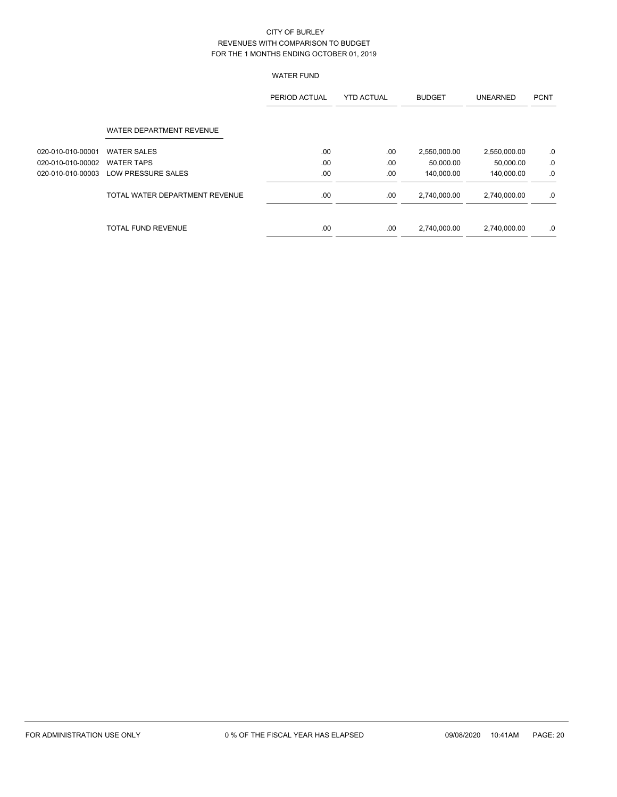# WATER FUND

|                   |                                | PERIOD ACTUAL | <b>YTD ACTUAL</b> | <b>BUDGET</b> | <b>UNEARNED</b> | <b>PCNT</b> |
|-------------------|--------------------------------|---------------|-------------------|---------------|-----------------|-------------|
|                   | WATER DEPARTMENT REVENUE       |               |                   |               |                 |             |
| 020-010-010-00001 | <b>WATER SALES</b>             | .00           | .00               | 2,550,000.00  | 2,550,000.00    | $.0\,$      |
| 020-010-010-00002 | <b>WATER TAPS</b>              | .00           | .00               | 50,000.00     | 50,000.00       | .0          |
| 020-010-010-00003 | LOW PRESSURE SALES             | .00           | .00               | 140,000.00    | 140,000.00      | .0          |
|                   | TOTAL WATER DEPARTMENT REVENUE | .00           | .00               | 2,740,000.00  | 2.740.000.00    | .0          |
|                   | <b>TOTAL FUND REVENUE</b>      | .00           | .00               | 2,740,000.00  | 2,740,000.00    | .0          |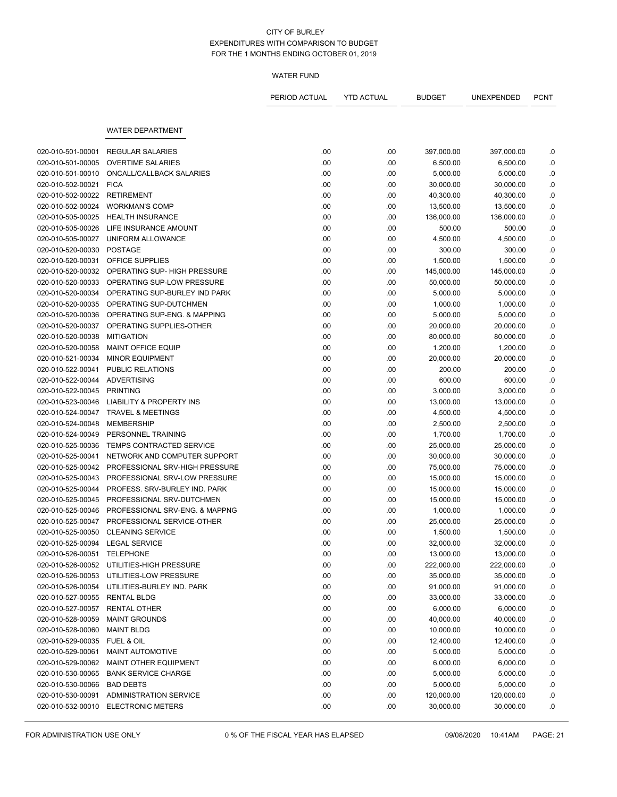### WATER FUND

|                                 |                                     | PERIOD ACTUAL | <b>YTD ACTUAL</b> | <b>BUDGET</b> | UNEXPENDED | <b>PCNT</b> |
|---------------------------------|-------------------------------------|---------------|-------------------|---------------|------------|-------------|
|                                 | <b>WATER DEPARTMENT</b>             |               |                   |               |            |             |
|                                 |                                     |               |                   |               |            |             |
| 020-010-501-00001               | <b>REGULAR SALARIES</b>             | .00           | .00               | 397,000.00    | 397,000.00 | .0          |
| 020-010-501-00005               | <b>OVERTIME SALARIES</b>            | .00           | .00               | 6,500.00      | 6,500.00   | .0          |
| 020-010-501-00010               | ONCALL/CALLBACK SALARIES            | .00           | .00               | 5,000.00      | 5,000.00   | .0          |
| 020-010-502-00021               | <b>FICA</b>                         | .00           | .00               | 30,000.00     | 30,000.00  | .0          |
| 020-010-502-00022               | <b>RETIREMENT</b>                   | .00           | .00               | 40,300.00     | 40,300.00  | .0          |
| 020-010-502-00024               | <b>WORKMAN'S COMP</b>               | .00           | .00               | 13,500.00     | 13,500.00  | .0          |
| 020-010-505-00025               | <b>HEALTH INSURANCE</b>             | .00           | .00               | 136,000.00    | 136,000.00 | 0.0         |
| 020-010-505-00026               | LIFE INSURANCE AMOUNT               | .00           | .00               | 500.00        | 500.00     | .0          |
| 020-010-505-00027               | UNIFORM ALLOWANCE                   | .00           | .00               | 4,500.00      | 4,500.00   | .0          |
| 020-010-520-00030               | <b>POSTAGE</b>                      | .00           | .00               | 300.00        | 300.00     | .0          |
| 020-010-520-00031               | OFFICE SUPPLIES                     | .00           | .00               | 1,500.00      | 1,500.00   | .0          |
| 020-010-520-00032               | OPERATING SUP- HIGH PRESSURE        | .00           | .00               | 145,000.00    | 145,000.00 | .0          |
| 020-010-520-00033               | OPERATING SUP-LOW PRESSURE          | .00           | .00               | 50,000.00     | 50,000.00  | .0          |
| 020-010-520-00034               | OPERATING SUP-BURLEY IND PARK       | .00           | .00               | 5,000.00      | 5,000.00   | .0          |
| 020-010-520-00035               | OPERATING SUP-DUTCHMEN              | .00           | .00               | 1,000.00      | 1,000.00   | .0          |
| 020-010-520-00036               | OPERATING SUP-ENG. & MAPPING        | .00           | .00               | 5,000.00      | 5,000.00   | .0          |
| 020-010-520-00037               | OPERATING SUPPLIES-OTHER            | .00           | .00               | 20,000.00     | 20,000.00  | 0.0         |
| 020-010-520-00038               | <b>MITIGATION</b>                   | .00           | .00               | 80,000.00     | 80,000.00  | 0.0         |
| 020-010-520-00058               | <b>MAINT OFFICE EQUIP</b>           | .00           | .00               | 1,200.00      | 1,200.00   | .0          |
| 020-010-521-00034               | <b>MINOR EQUIPMENT</b>              | .00           | .00               | 20,000.00     | 20,000.00  | .0          |
| 020-010-522-00041               | PUBLIC RELATIONS                    | .00           | .00               | 200.00        | 200.00     | .0          |
| 020-010-522-00044               | <b>ADVERTISING</b>                  | .00           | .00               | 600.00        | 600.00     | 0.0         |
| 020-010-522-00045               | <b>PRINTING</b>                     | .00           | .00               | 3,000.00      | 3,000.00   | 0.0         |
| 020-010-523-00046               | <b>LIABILITY &amp; PROPERTY INS</b> | .00           | .00               | 13,000.00     | 13,000.00  | .0          |
| 020-010-524-00047               | <b>TRAVEL &amp; MEETINGS</b>        | .00           | .00               | 4,500.00      | 4,500.00   | .0          |
| 020-010-524-00048               | <b>MEMBERSHIP</b>                   | .00           | .00               | 2,500.00      | 2,500.00   | .0          |
| 020-010-524-00049               | PERSONNEL TRAINING                  | .00           | .00               | 1,700.00      | 1,700.00   | $\cdot$ 0   |
| 020-010-525-00036               | TEMPS CONTRACTED SERVICE            | .00           | .00               | 25,000.00     | 25,000.00  | .0          |
| 020-010-525-00041               | NETWORK AND COMPUTER SUPPORT        | .00           | .00               | 30,000.00     | 30,000.00  | .0          |
| 020-010-525-00042               | PROFESSIONAL SRV-HIGH PRESSURE      | .00           | .00               | 75,000.00     | 75,000.00  | .0          |
| 020-010-525-00043               | PROFESSIONAL SRV-LOW PRESSURE       | .00           | .00               | 15,000.00     | 15,000.00  | .0          |
| 020-010-525-00044               | PROFESS, SRV-BURLEY IND, PARK       | .00           | .00               | 15,000.00     | 15,000.00  | .0          |
| 020-010-525-00045               | PROFESSIONAL SRV-DUTCHMEN           | .00           | .00               | 15,000.00     | 15,000.00  | .0          |
| 020-010-525-00046               | PROFESSIONAL SRV-ENG. & MAPPNG      | .00           | .00               | 1,000.00      | 1,000.00   | .0          |
| 020-010-525-00047               | PROFESSIONAL SERVICE-OTHER          | .00           | .00.              | 25,000.00     | 25,000.00  | .0          |
| 020-010-525-00050               | <b>CLEANING SERVICE</b>             | .00           | .00               | 1,500.00      | 1,500.00   | .0          |
| 020-010-525-00094 LEGAL SERVICE |                                     | .00           | .00               | 32,000.00     | 32,000.00  | .0          |
| 020-010-526-00051 TELEPHONE     |                                     | .00           | .00.              | 13,000.00     | 13,000.00  | .0          |
| 020-010-526-00052               | UTILITIES-HIGH PRESSURE             | .00           | .00               | 222,000.00    | 222,000.00 | .0          |
| 020-010-526-00053               | UTILITIES-LOW PRESSURE              | .00           | .00               | 35,000.00     | 35,000.00  | .0          |
| 020-010-526-00054               | UTILITIES-BURLEY IND. PARK          | .00           | .00               | 91,000.00     | 91,000.00  |             |
| 020-010-527-00055               | <b>RENTAL BLDG</b>                  | .00           |                   | 33,000.00     | 33,000.00  | .0          |
| 020-010-527-00057               | <b>RENTAL OTHER</b>                 |               | .00               |               |            | .0          |
|                                 |                                     | .00           | .00.              | 6,000.00      | 6,000.00   | .0          |
| 020-010-528-00059               | <b>MAINT GROUNDS</b>                | .00           | .00               | 40,000.00     | 40,000.00  | .0          |
| 020-010-528-00060               | <b>MAINT BLDG</b>                   | .00           | .00               | 10,000.00     | 10,000.00  | .0          |
| 020-010-529-00035               | FUEL & OIL                          | .00           | .00               | 12,400.00     | 12,400.00  | .0          |
| 020-010-529-00061               | <b>MAINT AUTOMOTIVE</b>             | .00           | .00               | 5,000.00      | 5,000.00   | .0          |
| 020-010-529-00062               | MAINT OTHER EQUIPMENT               | .00           | .00.              | 6,000.00      | 6,000.00   | .0          |
| 020-010-530-00065               | <b>BANK SERVICE CHARGE</b>          | .00           | .00               | 5,000.00      | 5,000.00   | .0          |
| 020-010-530-00066               | <b>BAD DEBTS</b>                    | .00           | .00.              | 5,000.00      | 5,000.00   | .0          |
| 020-010-530-00091               | <b>ADMINISTRATION SERVICE</b>       | .00           | .00               | 120,000.00    | 120,000.00 | .0          |
| 020-010-532-00010               | <b>ELECTRONIC METERS</b>            | .00           | .00               | 30,000.00     | 30,000.00  | .0          |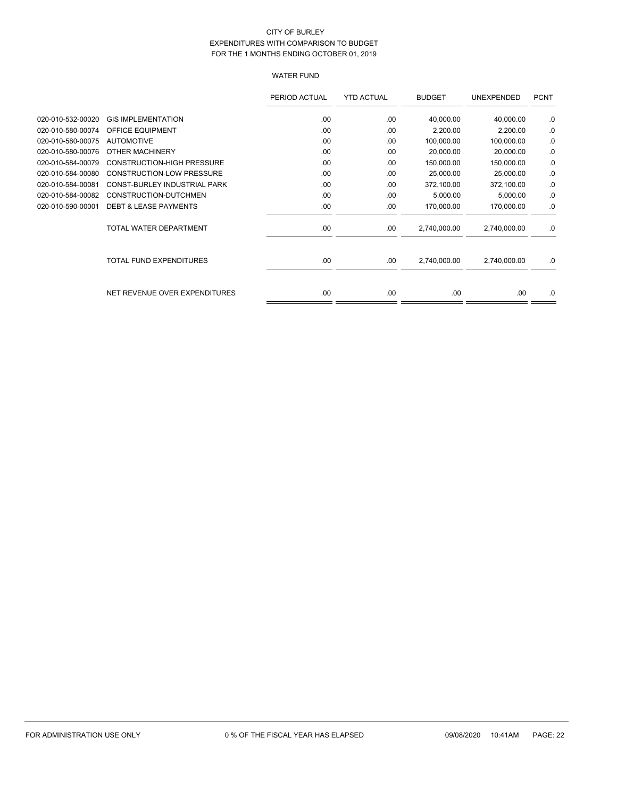# WATER FUND

|                   |                                   | PERIOD ACTUAL | <b>YTD ACTUAL</b> | <b>BUDGET</b> | UNEXPENDED   | <b>PCNT</b> |
|-------------------|-----------------------------------|---------------|-------------------|---------------|--------------|-------------|
| 020-010-532-00020 | <b>GIS IMPLEMENTATION</b>         | .00           | .00               | 40,000.00     | 40,000.00    | .0          |
| 020-010-580-00074 | <b>OFFICE EQUIPMENT</b>           | .00           | .00               | 2,200.00      | 2,200.00     | .0          |
| 020-010-580-00075 | <b>AUTOMOTIVE</b>                 | .00           | .00               | 100,000.00    | 100,000.00   | .0          |
| 020-010-580-00076 | OTHER MACHINERY                   | .00.          | .00               | 20,000.00     | 20,000.00    | .0          |
| 020-010-584-00079 | <b>CONSTRUCTION-HIGH PRESSURE</b> | .00           | .00               | 150,000.00    | 150,000.00   | .0          |
| 020-010-584-00080 | <b>CONSTRUCTION-LOW PRESSURE</b>  | .00           | .00               | 25,000.00     | 25,000.00    | .0          |
| 020-010-584-00081 | CONST-BURLEY INDUSTRIAL PARK      | .00           | .00               | 372,100.00    | 372,100.00   | .0          |
| 020-010-584-00082 | CONSTRUCTION-DUTCHMEN             | .00           | .00               | 5,000.00      | 5,000.00     | .0          |
| 020-010-590-00001 | <b>DEBT &amp; LEASE PAYMENTS</b>  | .00           | .00               | 170,000.00    | 170,000.00   | .0          |
|                   | TOTAL WATER DEPARTMENT            | .00           | .00               | 2,740,000.00  | 2,740,000.00 | .0          |
|                   | <b>TOTAL FUND EXPENDITURES</b>    | .00.          | .00               | 2,740,000.00  | 2,740,000.00 | .0          |
|                   | NET REVENUE OVER EXPENDITURES     | .00           | .00               | .00           | .00          | .0          |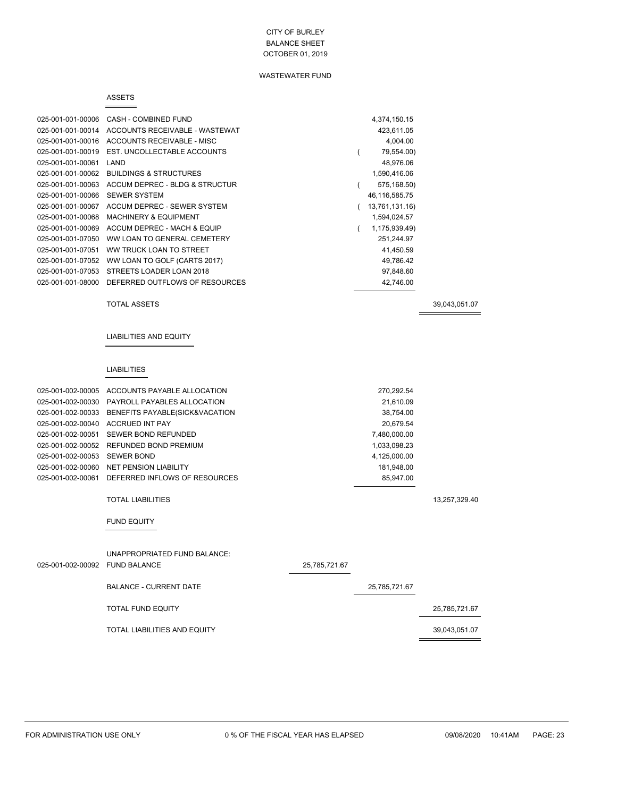### WASTEWATER FUND

#### ASSETS

 $=$ 

| 025-001-001-00006 | CASH - COMBINED FUND              | 4,374,150.15   |
|-------------------|-----------------------------------|----------------|
| 025-001-001-00014 | ACCOUNTS RECEIVABLE - WASTEWAT    | 423,611.05     |
| 025-001-001-00016 | ACCOUNTS RECEIVABLE - MISC        | 4,004.00       |
| 025-001-001-00019 | EST. UNCOLLECTABLE ACCOUNTS       | 79,554.00)     |
| 025-001-001-00061 | LAND                              | 48.976.06      |
| 025-001-001-00062 | <b>BUILDINGS &amp; STRUCTURES</b> | 1,590,416.06   |
| 025-001-001-00063 | ACCUM DEPREC - BLDG & STRUCTUR    | 575,168.50)    |
| 025-001-001-00066 | <b>SEWER SYSTEM</b>               | 46,116,585.75  |
| 025-001-001-00067 | ACCUM DEPREC - SEWER SYSTEM       | 13,761,131.16) |
| 025-001-001-00068 | <b>MACHINERY &amp; EQUIPMENT</b>  | 1,594,024.57   |
| 025-001-001-00069 | ACCUM DEPREC - MACH & EQUIP       | 1,175,939.49)  |
| 025-001-001-07050 | WW LOAN TO GENERAL CEMETERY       | 251,244.97     |
| 025-001-001-07051 | WW TRUCK LOAN TO STREET           | 41,450.59      |
| 025-001-001-07052 | WW LOAN TO GOLF (CARTS 2017)      | 49.786.42      |
| 025-001-001-07053 | STREETS LOADER LOAN 2018          | 97,848.60      |
| 025-001-001-08000 | DEFERRED OUTFLOWS OF RESOURCES    | 42.746.00      |
|                   |                                   |                |

TOTAL ASSETS 39,043,051.07

 $\equiv$ 

#### LIABILITIES AND EQUITY

#### LIABILITIES

| 025-001-002-00005              | ACCOUNTS PAYABLE ALLOCATION         |               | 270,292.54    |               |
|--------------------------------|-------------------------------------|---------------|---------------|---------------|
| 025-001-002-00030              | PAYROLL PAYABLES ALLOCATION         |               | 21,610.09     |               |
| 025-001-002-00033              | BENEFITS PAYABLE(SICK&VACATION      |               | 38,754.00     |               |
| 025-001-002-00040              | <b>ACCRUED INT PAY</b>              |               | 20,679.54     |               |
| 025-001-002-00051              | SEWER BOND REFUNDED                 |               | 7,480,000.00  |               |
| 025-001-002-00052              | REFUNDED BOND PREMIUM               |               | 1,033,098.23  |               |
| 025-001-002-00053              | <b>SEWER BOND</b>                   |               | 4,125,000.00  |               |
| 025-001-002-00060              | <b>NET PENSION LIABILITY</b>        |               | 181,948.00    |               |
| 025-001-002-00061              | DEFERRED INFLOWS OF RESOURCES       |               | 85,947.00     |               |
|                                | <b>TOTAL LIABILITIES</b>            |               |               | 13,257,329.40 |
|                                | <b>FUND EQUITY</b>                  |               |               |               |
| 025-001-002-00092 FUND BALANCE | UNAPPROPRIATED FUND BALANCE:        | 25,785,721.67 |               |               |
|                                |                                     |               |               |               |
|                                | <b>BALANCE - CURRENT DATE</b>       |               | 25,785,721.67 |               |
|                                | <b>TOTAL FUND EQUITY</b>            |               |               | 25,785,721.67 |
|                                | <b>TOTAL LIABILITIES AND EQUITY</b> |               |               | 39,043,051.07 |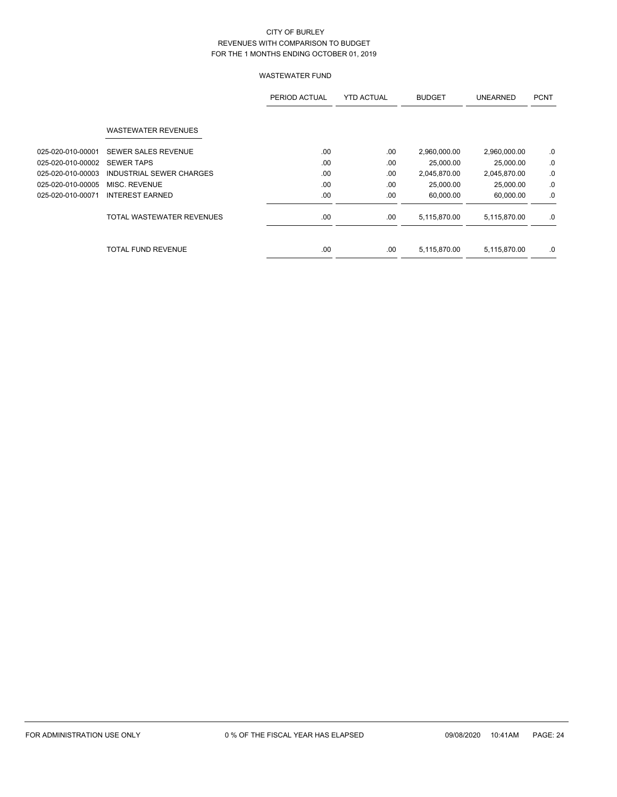|                   |                            | PERIOD ACTUAL | <b>YTD ACTUAL</b> | <b>BUDGET</b> | <b>UNEARNED</b> | <b>PCNT</b> |
|-------------------|----------------------------|---------------|-------------------|---------------|-----------------|-------------|
|                   | <b>WASTEWATER REVENUES</b> |               |                   |               |                 |             |
| 025-020-010-00001 | <b>SEWER SALES REVENUE</b> | .00           | .00               | 2,960,000.00  | 2,960,000.00    | .0          |
| 025-020-010-00002 | <b>SEWER TAPS</b>          | .00           | .00               | 25,000.00     | 25,000.00       | .0          |
| 025-020-010-00003 | INDUSTRIAL SEWER CHARGES   | .00           | .00               | 2,045,870.00  | 2,045,870.00    | .0          |
| 025-020-010-00005 | MISC. REVENUE              | .00.          | .00               | 25,000.00     | 25,000.00       | .0          |
| 025-020-010-00071 | <b>INTEREST EARNED</b>     | .00.          | .00               | 60,000.00     | 60,000.00       | .0          |
|                   | TOTAL WASTEWATER REVENUES  | .00           | .00               | 5,115,870.00  | 5,115,870.00    | .0          |
|                   | TOTAL FUND REVENUE         | .00           | .00               | 5,115,870.00  | 5,115,870.00    | .0          |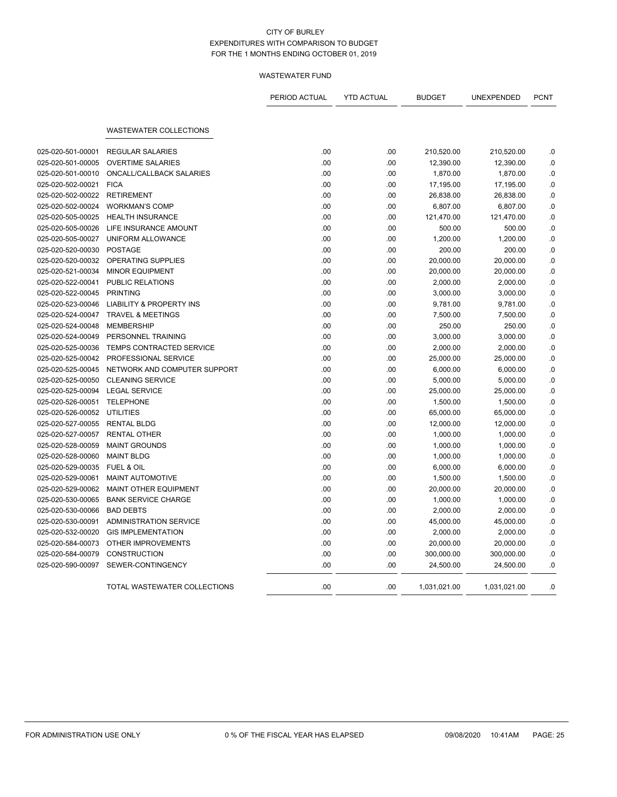|                   |                                     | PERIOD ACTUAL | <b>YTD ACTUAL</b> | <b>BUDGET</b> | UNEXPENDED   | <b>PCNT</b> |
|-------------------|-------------------------------------|---------------|-------------------|---------------|--------------|-------------|
|                   | <b>WASTEWATER COLLECTIONS</b>       |               |                   |               |              |             |
|                   |                                     |               |                   |               |              |             |
| 025-020-501-00001 | <b>REGULAR SALARIES</b>             | .00           | .00               | 210,520.00    | 210,520.00   | .0          |
| 025-020-501-00005 | <b>OVERTIME SALARIES</b>            | .00           | .00               | 12,390.00     | 12,390.00    | .0          |
| 025-020-501-00010 | ONCALL/CALLBACK SALARIES            | .00           | .00               | 1,870.00      | 1,870.00     | .0          |
| 025-020-502-00021 | <b>FICA</b>                         | .00           | .00               | 17,195.00     | 17,195.00    | 0.0         |
| 025-020-502-00022 | <b>RETIREMENT</b>                   | .00           | .00               | 26,838.00     | 26,838.00    | 0.0         |
| 025-020-502-00024 | <b>WORKMAN'S COMP</b>               | .00           | .00               | 6,807.00      | 6,807.00     | .0          |
| 025-020-505-00025 | <b>HEALTH INSURANCE</b>             | .00           | .00               | 121,470.00    | 121,470.00   | .0          |
| 025-020-505-00026 | LIFE INSURANCE AMOUNT               | .00           | .00               | 500.00        | 500.00       | .0          |
| 025-020-505-00027 | UNIFORM ALLOWANCE                   | .00           | .00               | 1,200.00      | 1,200.00     | 0.0         |
| 025-020-520-00030 | <b>POSTAGE</b>                      | .00           | .00               | 200.00        | 200.00       | .0          |
| 025-020-520-00032 | <b>OPERATING SUPPLIES</b>           | .00           | .00               | 20,000.00     | 20,000.00    | .0          |
| 025-020-521-00034 | <b>MINOR EQUIPMENT</b>              | .00           | .00               | 20,000.00     | 20,000.00    | .0          |
| 025-020-522-00041 | PUBLIC RELATIONS                    | .00           | .00               | 2,000.00      | 2,000.00     | .0          |
| 025-020-522-00045 | <b>PRINTING</b>                     | .00           | .00               | 3,000.00      | 3,000.00     | .0          |
| 025-020-523-00046 | <b>LIABILITY &amp; PROPERTY INS</b> | .00           | .00               | 9,781.00      | 9,781.00     | .0          |
| 025-020-524-00047 | <b>TRAVEL &amp; MEETINGS</b>        | .00           | .00               | 7,500.00      | 7,500.00     | .0          |
| 025-020-524-00048 | <b>MEMBERSHIP</b>                   | .00           | .00               | 250.00        | 250.00       | .0          |
| 025-020-524-00049 | PERSONNEL TRAINING                  | .00           | .00               | 3,000.00      | 3,000.00     | .0          |
| 025-020-525-00036 | TEMPS CONTRACTED SERVICE            | .00           | .00               | 2,000.00      | 2,000.00     | .0          |
| 025-020-525-00042 | PROFESSIONAL SERVICE                | .00           | .00               | 25,000.00     | 25,000.00    | .0          |
| 025-020-525-00045 | NETWORK AND COMPUTER SUPPORT        | .00           | .00               | 6,000.00      | 6,000.00     | .0          |
| 025-020-525-00050 | <b>CLEANING SERVICE</b>             | .00           | .00               | 5,000.00      | 5,000.00     | .0          |
| 025-020-525-00094 | <b>LEGAL SERVICE</b>                | .00           | .00               | 25,000.00     | 25,000.00    | .0          |
| 025-020-526-00051 | <b>TELEPHONE</b>                    | .00           | .00               | 1,500.00      | 1,500.00     | .0          |
| 025-020-526-00052 | <b>UTILITIES</b>                    | .00           | .00               | 65,000.00     | 65,000.00    | .0          |
| 025-020-527-00055 | <b>RENTAL BLDG</b>                  | .00           | .00               | 12,000.00     | 12,000.00    | .0          |
| 025-020-527-00057 | <b>RENTAL OTHER</b>                 | .00           | .00               | 1,000.00      | 1,000.00     | .0          |
| 025-020-528-00059 | <b>MAINT GROUNDS</b>                | .00           | .00               | 1,000.00      | 1,000.00     | .0          |
| 025-020-528-00060 | <b>MAINT BLDG</b>                   | .00           | .00               | 1,000.00      | 1,000.00     | 0.0         |
| 025-020-529-00035 | <b>FUEL &amp; OIL</b>               | .00           | .00               | 6,000.00      | 6,000.00     | .0          |
| 025-020-529-00061 | <b>MAINT AUTOMOTIVE</b>             | .00           | .00               | 1,500.00      | 1,500.00     | .0          |
| 025-020-529-00062 | MAINT OTHER EQUIPMENT               | .00           | .00               | 20,000.00     | 20,000.00    | .0          |
| 025-020-530-00065 | <b>BANK SERVICE CHARGE</b>          | .00           | .00               | 1,000.00      | 1,000.00     | 0.0         |
| 025-020-530-00066 | <b>BAD DEBTS</b>                    | .00           | .00               | 2,000.00      | 2,000.00     | .0          |
| 025-020-530-00091 | <b>ADMINISTRATION SERVICE</b>       | .00           | .00               | 45,000.00     | 45,000.00    | .0          |
| 025-020-532-00020 | <b>GIS IMPLEMENTATION</b>           | .00           | .00               | 2,000.00      | 2,000.00     | .0          |
| 025-020-584-00073 | OTHER IMPROVEMENTS                  | .00           | .00               | 20,000.00     | 20,000.00    | .0          |
| 025-020-584-00079 | <b>CONSTRUCTION</b>                 | .00           | .00               | 300,000.00    | 300,000.00   | .0          |
| 025-020-590-00097 | SEWER-CONTINGENCY                   | .00           | .00               | 24,500.00     | 24,500.00    | .0          |
|                   | TOTAL WASTEWATER COLLECTIONS        | .00           | .00               | 1,031,021.00  | 1,031,021.00 | .0          |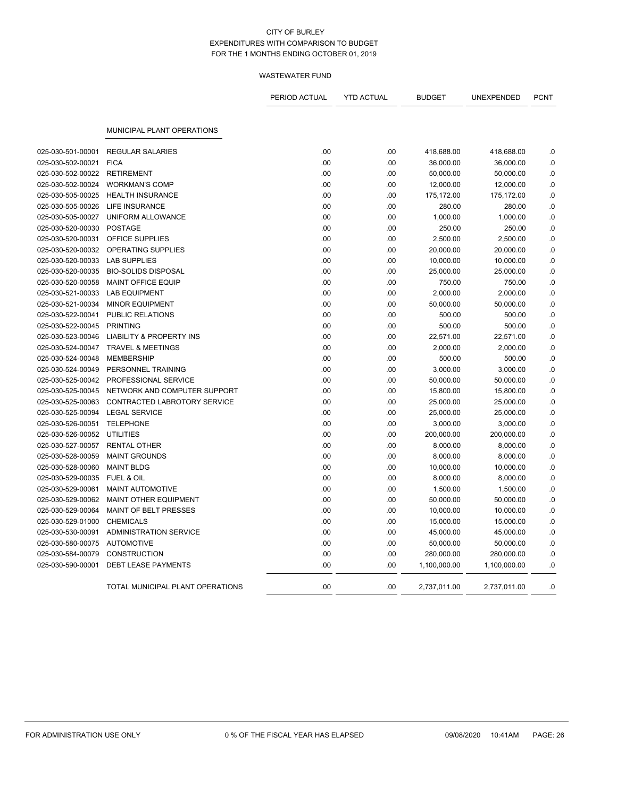|                                        |                                                   | PERIOD ACTUAL | <b>YTD ACTUAL</b> | <b>BUDGET</b>           | UNEXPENDED              | <b>PCNT</b>     |
|----------------------------------------|---------------------------------------------------|---------------|-------------------|-------------------------|-------------------------|-----------------|
|                                        | MUNICIPAL PLANT OPERATIONS                        |               |                   |                         |                         |                 |
| 025-030-501-00001                      | <b>REGULAR SALARIES</b>                           | .00           |                   |                         |                         |                 |
| 025-030-502-00021                      | <b>FICA</b>                                       | .00           | .00<br>.00        | 418,688.00<br>36,000.00 | 418,688.00<br>36,000.00 | .0<br>$\cdot$ 0 |
| 025-030-502-00022                      | <b>RETIREMENT</b>                                 | .00           | .00               | 50,000.00               | 50,000.00               | $\cdot$ 0       |
| 025-030-502-00024                      | <b>WORKMAN'S COMP</b>                             | .00           | .00               | 12,000.00               | 12,000.00               | .0              |
| 025-030-505-00025                      | <b>HEALTH INSURANCE</b>                           | .00           | .00               | 175,172.00              | 175,172.00              | .0              |
| 025-030-505-00026                      | LIFE INSURANCE                                    | .00           | .00               | 280.00                  | 280.00                  | $\cdot$ 0       |
| 025-030-505-00027                      | UNIFORM ALLOWANCE                                 | .00           | .00               | 1,000.00                | 1,000.00                | 0.0             |
| 025-030-520-00030                      | <b>POSTAGE</b>                                    | .00           | .00               | 250.00                  | 250.00                  | .0              |
| 025-030-520-00031                      | OFFICE SUPPLIES                                   | .00           | .00               | 2,500.00                | 2,500.00                | .0              |
|                                        | OPERATING SUPPLIES                                | .00           |                   |                         |                         |                 |
| 025-030-520-00032                      |                                                   |               | .00               | 20,000.00               | 20,000.00               | 0.0             |
| 025-030-520-00033<br>025-030-520-00035 | <b>LAB SUPPLIES</b><br><b>BIO-SOLIDS DISPOSAL</b> | .00<br>.00    | .00<br>.00        | 10,000.00               | 10,000.00               | .0<br>.0        |
|                                        |                                                   | .00           |                   | 25,000.00               | 25,000.00               | .0              |
| 025-030-520-00058                      | <b>MAINT OFFICE EQUIP</b>                         |               | .00               | 750.00                  | 750.00                  |                 |
| 025-030-521-00033                      | <b>LAB EQUIPMENT</b>                              | .00           | .00               | 2,000.00                | 2,000.00                | $\cdot$ 0       |
| 025-030-521-00034                      | <b>MINOR EQUIPMENT</b>                            | .00           | .00               | 50,000.00               | 50,000.00               | .0              |
| 025-030-522-00041                      | PUBLIC RELATIONS                                  | .00           | .00               | 500.00                  | 500.00                  | .0              |
| 025-030-522-00045                      | <b>PRINTING</b>                                   | .00           | .00               | 500.00                  | 500.00                  | .0              |
| 025-030-523-00046                      | <b>LIABILITY &amp; PROPERTY INS</b>               | .00           | .00               | 22,571.00               | 22,571.00               | .0              |
| 025-030-524-00047                      | <b>TRAVEL &amp; MEETINGS</b>                      | .00           | .00               | 2,000.00                | 2,000.00                | .0              |
| 025-030-524-00048                      | <b>MEMBERSHIP</b>                                 | .00           | .00               | 500.00                  | 500.00                  | .0              |
| 025-030-524-00049                      | PERSONNEL TRAINING                                | .00           | .00               | 3,000.00                | 3,000.00                | .0              |
| 025-030-525-00042                      | PROFESSIONAL SERVICE                              | .00           | .00               | 50,000.00               | 50,000.00               | $\cdot$ 0       |
| 025-030-525-00045                      | NETWORK AND COMPUTER SUPPORT                      | .00           | .00               | 15,800.00               | 15,800.00               | .0              |
| 025-030-525-00063                      | CONTRACTED LABROTORY SERVICE                      | .00           | .00               | 25,000.00               | 25,000.00               | .0              |
| 025-030-525-00094                      | <b>LEGAL SERVICE</b>                              | .00           | .00               | 25,000.00               | 25,000.00               | .0              |
| 025-030-526-00051                      | <b>TELEPHONE</b>                                  | .00           | .00               | 3,000.00                | 3,000.00                | .0              |
| 025-030-526-00052                      | <b>UTILITIES</b>                                  | .00           | .00               | 200,000.00              | 200,000.00              | $\cdot$ 0       |
| 025-030-527-00057                      | <b>RENTAL OTHER</b>                               | .00           | .00               | 8,000.00                | 8,000.00                | .0              |
| 025-030-528-00059                      | <b>MAINT GROUNDS</b>                              | .00           | .00               | 8,000.00                | 8,000.00                | .0              |
| 025-030-528-00060                      | <b>MAINT BLDG</b>                                 | .00           | .00               | 10,000.00               | 10,000.00               | .0              |
| 025-030-529-00035                      | FUEL & OIL                                        | .00           | .00               | 8,000.00                | 8,000.00                | .0              |
| 025-030-529-00061                      | <b>MAINT AUTOMOTIVE</b>                           | .00           | .00               | 1,500.00                | 1,500.00                | .0              |
| 025-030-529-00062                      | <b>MAINT OTHER EQUIPMENT</b>                      | .00           | .00               | 50,000.00               | 50,000.00               | .0              |
| 025-030-529-00064                      | MAINT OF BELT PRESSES                             | .00           | .00               | 10,000.00               | 10,000.00               | .0              |
| 025-030-529-01000                      | <b>CHEMICALS</b>                                  | .00           | .00               | 15,000.00               | 15,000.00               | .0              |
| 025-030-530-00091                      | <b>ADMINISTRATION SERVICE</b>                     | .00           | .00               | 45,000.00               | 45,000.00               | .0              |
| 025-030-580-00075                      | <b>AUTOMOTIVE</b>                                 | .00           | .00               | 50,000.00               | 50,000.00               | .0              |
| 025-030-584-00079                      | <b>CONSTRUCTION</b>                               | .00           | .00               | 280,000.00              | 280,000.00              | .0              |
| 025-030-590-00001                      | <b>DEBT LEASE PAYMENTS</b>                        | .00           | .00               | 1,100,000.00            | 1,100,000.00            | .0              |
|                                        | TOTAL MUNICIPAL PLANT OPERATIONS                  | .00           | .00               | 2,737,011.00            | 2,737,011.00            | .0              |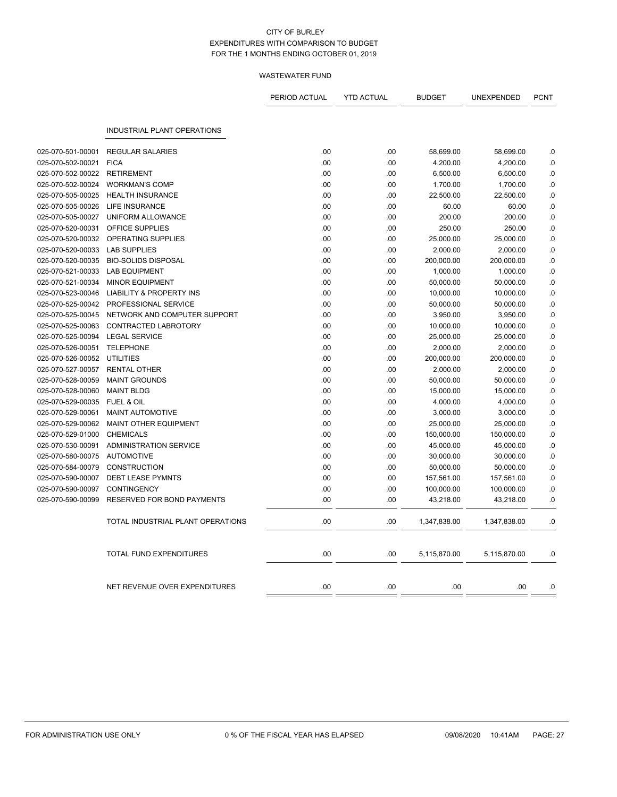|                   |                                     | PERIOD ACTUAL | <b>YTD ACTUAL</b> | <b>BUDGET</b> | UNEXPENDED   | <b>PCNT</b> |
|-------------------|-------------------------------------|---------------|-------------------|---------------|--------------|-------------|
|                   | INDUSTRIAL PLANT OPERATIONS         |               |                   |               |              |             |
| 025-070-501-00001 | <b>REGULAR SALARIES</b>             | .00           | .00               | 58,699.00     | 58,699.00    | .0          |
| 025-070-502-00021 | <b>FICA</b>                         | .00           | .00               | 4,200.00      | 4,200.00     | .0          |
| 025-070-502-00022 | <b>RETIREMENT</b>                   | .00           | .00               | 6,500.00      | 6,500.00     | $0.$        |
| 025-070-502-00024 | <b>WORKMAN'S COMP</b>               | .00           | .00               | 1,700.00      | 1,700.00     | .0          |
| 025-070-505-00025 | <b>HEALTH INSURANCE</b>             | .00           | .00               | 22,500.00     | 22,500.00    | .0          |
| 025-070-505-00026 | LIFE INSURANCE                      | .00           | .00               | 60.00         | 60.00        | 0.0         |
| 025-070-505-00027 | UNIFORM ALLOWANCE                   | .00           | .00               | 200.00        | 200.00       | .0          |
| 025-070-520-00031 | <b>OFFICE SUPPLIES</b>              | .00           | .00               | 250.00        | 250.00       | .0          |
| 025-070-520-00032 | OPERATING SUPPLIES                  | .00           | .00               | 25,000.00     | 25,000.00    | .0          |
| 025-070-520-00033 | <b>LAB SUPPLIES</b>                 | .00           | .00               | 2,000.00      | 2,000.00     | 0.0         |
| 025-070-520-00035 | <b>BIO-SOLIDS DISPOSAL</b>          | .00           | .00               | 200,000.00    | 200,000.00   | 0.          |
| 025-070-521-00033 | <b>LAB EQUIPMENT</b>                | .00           | .00               | 1,000.00      | 1,000.00     | .0          |
| 025-070-521-00034 | <b>MINOR EQUIPMENT</b>              | .00           | .00               | 50,000.00     | 50,000.00    | .0          |
| 025-070-523-00046 | <b>LIABILITY &amp; PROPERTY INS</b> | .00           | .00               | 10,000.00     | 10,000.00    | .0          |
| 025-070-525-00042 | PROFESSIONAL SERVICE                | .00           | .00               | 50,000.00     | 50,000.00    | .0          |
| 025-070-525-00045 | NETWORK AND COMPUTER SUPPORT        | .00           | .00               | 3,950.00      | 3,950.00     | .0          |
| 025-070-525-00063 | CONTRACTED LABROTORY                | .00           | .00               | 10,000.00     | 10,000.00    | .0          |
| 025-070-525-00094 | <b>LEGAL SERVICE</b>                | .00           | .00               | 25,000.00     | 25,000.00    | .0          |
| 025-070-526-00051 | <b>TELEPHONE</b>                    | .00           | .00.              | 2,000.00      | 2,000.00     | .0          |
| 025-070-526-00052 | <b>UTILITIES</b>                    | .00           | .00               | 200,000.00    | 200,000.00   | .0          |
| 025-070-527-00057 | <b>RENTAL OTHER</b>                 | .00           | .00               | 2,000.00      | 2,000.00     | .0          |
| 025-070-528-00059 | <b>MAINT GROUNDS</b>                | .00           | .00               | 50,000.00     | 50,000.00    | .0          |
| 025-070-528-00060 | <b>MAINT BLDG</b>                   | .00           | .00               | 15,000.00     | 15,000.00    | $0.$        |
| 025-070-529-00035 | FUEL & OIL                          | .00           | .00               | 4,000.00      | 4,000.00     | .0          |
| 025-070-529-00061 | <b>MAINT AUTOMOTIVE</b>             | .00           | .00               | 3,000.00      | 3,000.00     | 0.0         |
| 025-070-529-00062 | MAINT OTHER EQUIPMENT               | .00           | .00               | 25,000.00     | 25,000.00    | .0          |
| 025-070-529-01000 | <b>CHEMICALS</b>                    | .00           | .00               | 150,000.00    | 150,000.00   | .0          |
| 025-070-530-00091 | <b>ADMINISTRATION SERVICE</b>       | .00           | .00               | 45,000.00     | 45,000.00    | .0          |
| 025-070-580-00075 | <b>AUTOMOTIVE</b>                   | .00           | .00               | 30,000.00     | 30,000.00    | .0          |
| 025-070-584-00079 | <b>CONSTRUCTION</b>                 | .00           | .00               | 50,000.00     | 50,000.00    | .0          |
| 025-070-590-00007 | <b>DEBT LEASE PYMNTS</b>            | .00           | .00               | 157,561.00    | 157,561.00   | 0.0         |
| 025-070-590-00097 | <b>CONTINGENCY</b>                  | .00           | .00               | 100,000.00    | 100,000.00   | .0          |
| 025-070-590-00099 | RESERVED FOR BOND PAYMENTS          | .00           | .00               |               |              | .0          |
|                   |                                     |               |                   | 43,218.00     | 43,218.00    |             |
|                   | TOTAL INDUSTRIAL PLANT OPERATIONS   | .00           | .00               | 1,347,838.00  | 1,347,838.00 | .0          |
|                   | <b>TOTAL FUND EXPENDITURES</b>      | .00           | .00               | 5,115,870.00  | 5,115,870.00 | .0          |
|                   | NET REVENUE OVER EXPENDITURES       | .00           | .00               | .00           | .00          | .0          |
|                   |                                     |               |                   |               |              |             |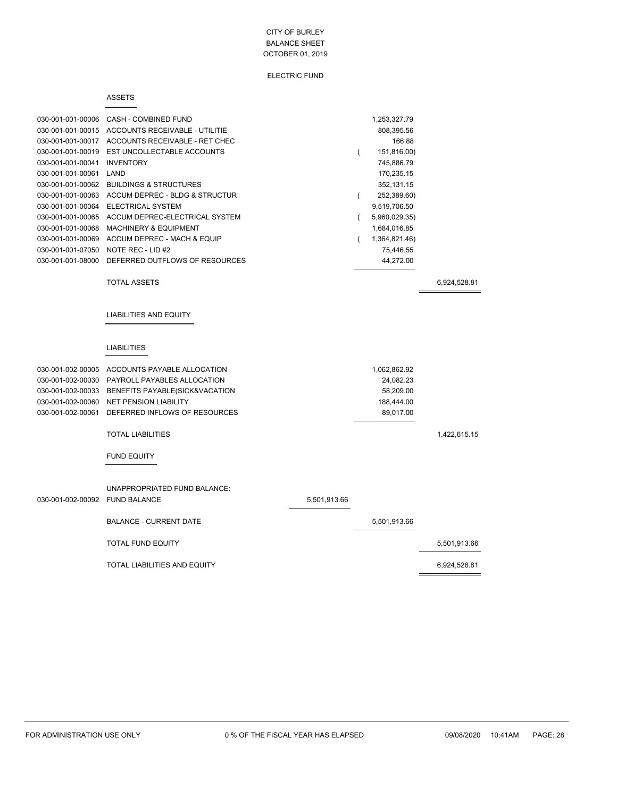ELECTRIC FUND

#### ASSETS

 $=$ 

| 030-001-001-00006 | CASH - COMBINED FUND             | 1,253,327.79  |
|-------------------|----------------------------------|---------------|
| 030-001-001-00015 | ACCOUNTS RECEIVABLE - UTILITIE   | 808,395.56    |
| 030-001-001-00017 | ACCOUNTS RECEIVABLE - RET CHEC   | 166.88        |
| 030-001-001-00019 | EST UNCOLLECTABLE ACCOUNTS       | 151,816.00)   |
| 030-001-001-00041 | <b>INVENTORY</b>                 | 745.886.79    |
| 030-001-001-00061 | LAND                             | 170.235.15    |
| 030-001-001-00062 | BUILDINGS & STRUCTURES           | 352,131.15    |
| 030-001-001-00063 | ACCUM DEPREC - BLDG & STRUCTUR   | 252,389.60)   |
| 030-001-001-00064 | FLECTRICAL SYSTEM                | 9,519,706.50  |
| 030-001-001-00065 | ACCUM DEPREC-ELECTRICAL SYSTEM   | 5,960,029.35) |
| 030-001-001-00068 | <b>MACHINERY &amp; EQUIPMENT</b> | 1,684,016.85  |
| 030-001-001-00069 | ACCUM DEPREC - MACH & EQUIP      | 1,364,821.46) |
| 030-001-001-07050 | NOTE REC - LID #2                | 75.446.55     |
| 030-001-001-08000 | DEFERRED OUTFLOWS OF RESOURCES   | 44,272.00     |
|                   |                                  |               |

TOTAL ASSETS 6,924,528.81

 $\equiv$ 

LIABILITIES AND EQUITY

### LIABILITIES

| 030-001-002-00005 | ACCOUNTS PAYABLE ALLOCATION    |              | 1,062,862.92 |              |
|-------------------|--------------------------------|--------------|--------------|--------------|
| 030-001-002-00030 | PAYROLL PAYABLES ALLOCATION    |              | 24,082.23    |              |
| 030-001-002-00033 | BENEFITS PAYABLE(SICK&VACATION |              | 58,209.00    |              |
| 030-001-002-00060 | <b>NET PENSION LIABILITY</b>   |              | 188,444.00   |              |
| 030-001-002-00061 | DEFERRED INFLOWS OF RESOURCES  |              | 89,017.00    |              |
|                   | <b>TOTAL LIABILITIES</b>       |              |              | 1,422,615.15 |
|                   | <b>FUND EQUITY</b>             |              |              |              |
|                   | UNAPPROPRIATED FUND BALANCE:   |              |              |              |
| 030-001-002-00092 | <b>FUND BALANCE</b>            | 5,501,913.66 |              |              |
|                   | <b>BALANCE - CURRENT DATE</b>  |              | 5,501,913.66 |              |
|                   | <b>TOTAL FUND EQUITY</b>       |              |              | 5,501,913.66 |
|                   | TOTAL LIABILITIES AND EQUITY   |              |              | 6,924,528.81 |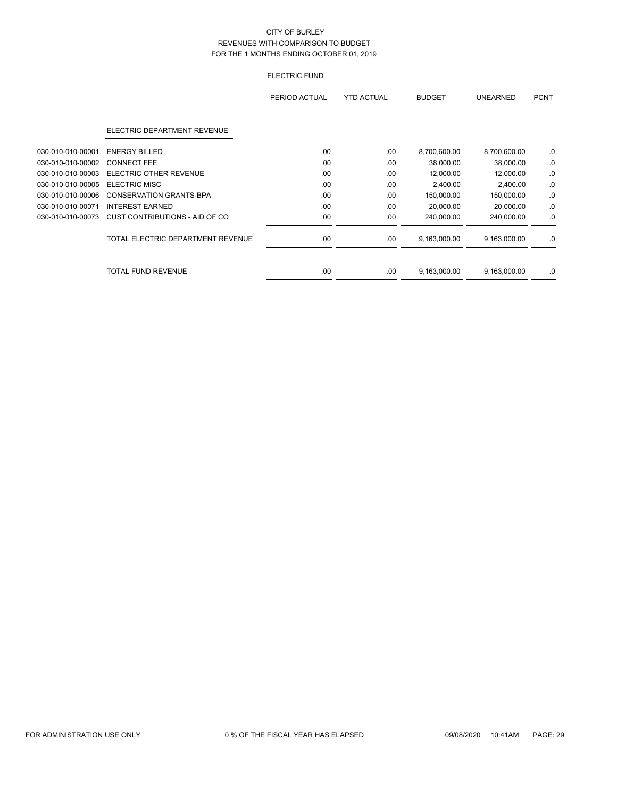## ELECTRIC FUND

|                   |                                   | PERIOD ACTUAL | <b>YTD ACTUAL</b> | <b>BUDGET</b> | <b>UNEARNED</b> | <b>PCNT</b> |
|-------------------|-----------------------------------|---------------|-------------------|---------------|-----------------|-------------|
|                   | ELECTRIC DEPARTMENT REVENUE       |               |                   |               |                 |             |
| 030-010-010-00001 | <b>ENERGY BILLED</b>              | .00           | .00               | 8,700,600.00  | 8,700,600.00    | .0          |
| 030-010-010-00002 | <b>CONNECT FEE</b>                | .00           | .00               | 38,000.00     | 38,000.00       | .0          |
| 030-010-010-00003 | ELECTRIC OTHER REVENUE            | .00           | .00               | 12,000.00     | 12,000.00       | .0          |
| 030-010-010-00005 | <b>ELECTRIC MISC</b>              | .00           | .00               | 2,400.00      | 2,400.00        | .0          |
| 030-010-010-00006 | CONSERVATION GRANTS-BPA           | .00           | .00               | 150,000.00    | 150,000.00      | .0          |
| 030-010-010-00071 | <b>INTEREST EARNED</b>            | .00           | .00               | 20,000.00     | 20,000.00       | .0          |
| 030-010-010-00073 | CUST CONTRIBUTIONS - AID OF CO    | .00           | .00               | 240,000.00    | 240,000.00      | .0          |
|                   | TOTAL ELECTRIC DEPARTMENT REVENUE | .00           | .00               | 9,163,000.00  | 9,163,000.00    | .0          |
|                   | <b>TOTAL FUND REVENUE</b>         | .00           | .00               | 9,163,000.00  | 9,163,000.00    | .0          |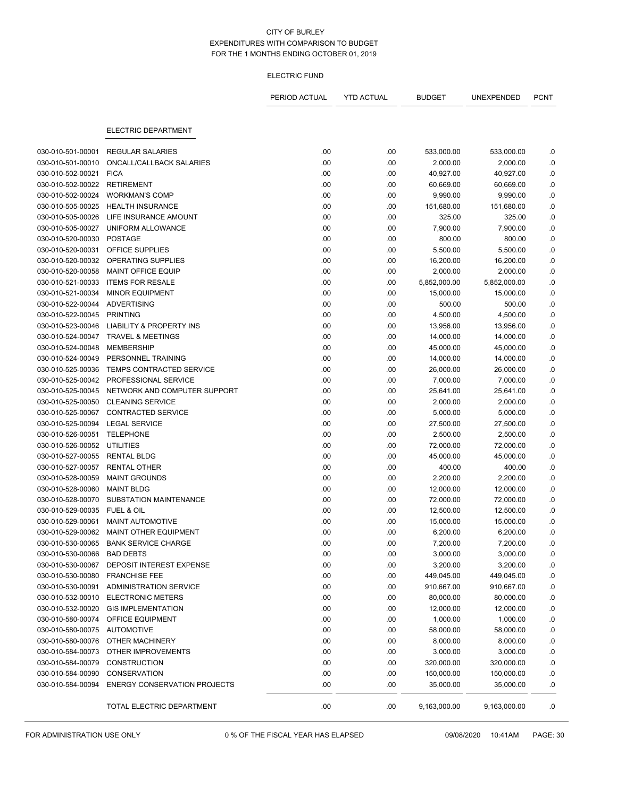#### ELECTRIC FUND

|                   |                                     | PERIOD ACTUAL | <b>YTD ACTUAL</b> | <b>BUDGET</b> | UNEXPENDED   | <b>PCNT</b> |
|-------------------|-------------------------------------|---------------|-------------------|---------------|--------------|-------------|
|                   | ELECTRIC DEPARTMENT                 |               |                   |               |              |             |
|                   |                                     |               |                   |               |              |             |
| 030-010-501-00001 | <b>REGULAR SALARIES</b>             | .00           | .00               | 533,000.00    | 533,000.00   | .0          |
| 030-010-501-00010 | ONCALL/CALLBACK SALARIES            | .00           | .00               | 2,000.00      | 2,000.00     | .0          |
| 030-010-502-00021 | <b>FICA</b>                         | .00           | .00               | 40,927.00     | 40,927.00    | $\cdot$ 0   |
| 030-010-502-00022 | <b>RETIREMENT</b>                   | .00           | .00               | 60,669.00     | 60,669.00    | 0.0         |
| 030-010-502-00024 | <b>WORKMAN'S COMP</b>               | .00           | .00               | 9,990.00      | 9,990.00     | $\cdot$ 0   |
| 030-010-505-00025 | <b>HEALTH INSURANCE</b>             | .00           | .00               | 151,680.00    | 151,680.00   | $\cdot$ 0   |
| 030-010-505-00026 | LIFE INSURANCE AMOUNT               | .00           | .00               | 325.00        | 325.00       | .0          |
| 030-010-505-00027 | UNIFORM ALLOWANCE                   | .00           | .00               | 7,900.00      | 7,900.00     | $\cdot$ 0   |
| 030-010-520-00030 | <b>POSTAGE</b>                      | .00           | .00               | 800.00        | 800.00       | .0          |
| 030-010-520-00031 | OFFICE SUPPLIES                     | .00           | .00               | 5,500.00      | 5,500.00     | .0          |
| 030-010-520-00032 | OPERATING SUPPLIES                  | .00           | .00               | 16,200.00     | 16,200.00    | $\cdot$ 0   |
| 030-010-520-00058 | <b>MAINT OFFICE EQUIP</b>           | .00           | .00               | 2,000.00      | 2,000.00     | .0          |
| 030-010-521-00033 | <b>ITEMS FOR RESALE</b>             | .00           | .00               | 5,852,000.00  | 5,852,000.00 | .0          |
| 030-010-521-00034 | <b>MINOR EQUIPMENT</b>              | .00           | .00               | 15,000.00     | 15,000.00    | 0.0         |
| 030-010-522-00044 | <b>ADVERTISING</b>                  | .00           | .00               | 500.00        | 500.00       | 0.0         |
| 030-010-522-00045 | <b>PRINTING</b>                     | .00           | .00               | 4,500.00      | 4,500.00     | $\cdot$ 0   |
| 030-010-523-00046 | LIABILITY & PROPERTY INS            | .00           | .00               | 13,956.00     | 13,956.00    | 0.0         |
| 030-010-524-00047 | <b>TRAVEL &amp; MEETINGS</b>        | .00           | .00               | 14,000.00     | 14,000.00    | $\cdot$ 0   |
| 030-010-524-00048 | <b>MEMBERSHIP</b>                   | .00           | .00               | 45,000.00     | 45,000.00    | .0          |
| 030-010-524-00049 | PERSONNEL TRAINING                  | .00           | .00               | 14,000.00     | 14,000.00    | $\cdot$ 0   |
| 030-010-525-00036 | <b>TEMPS CONTRACTED SERVICE</b>     | .00           | .00               | 26,000.00     | 26,000.00    | .0          |
| 030-010-525-00042 | PROFESSIONAL SERVICE                | .00           | .00               | 7,000.00      | 7,000.00     | 0.0         |
| 030-010-525-00045 | NETWORK AND COMPUTER SUPPORT        | .00           | .00               | 25,641.00     | 25,641.00    | .0          |
| 030-010-525-00050 | <b>CLEANING SERVICE</b>             | .00           | .00               | 2,000.00      | 2,000.00     | 0.0         |
| 030-010-525-00067 | CONTRACTED SERVICE                  | .00           | .00               | 5,000.00      | 5,000.00     | $\cdot$ 0   |
| 030-010-525-00094 | <b>LEGAL SERVICE</b>                | .00           | .00               | 27,500.00     | 27,500.00    | $\cdot$ 0   |
| 030-010-526-00051 | <b>TELEPHONE</b>                    | .00           | .00               | 2,500.00      | 2,500.00     | .0          |
| 030-010-526-00052 | <b>UTILITIES</b>                    | .00           | .00               | 72,000.00     | 72,000.00    | 0.0         |
| 030-010-527-00055 | <b>RENTAL BLDG</b>                  | .00           | .00               | 45,000.00     | 45,000.00    | 0.0         |
| 030-010-527-00057 | RENTAL OTHER                        | .00           | .00               | 400.00        | 400.00       | .0          |
| 030-010-528-00059 | <b>MAINT GROUNDS</b>                | .00           | .00               | 2,200.00      | 2,200.00     | $\cdot$ 0   |
| 030-010-528-00060 | <b>MAINT BLDG</b>                   | .00           | .00               | 12,000.00     | 12,000.00    | 0.0         |
| 030-010-528-00070 | SUBSTATION MAINTENANCE              | .00           | .00               | 72,000.00     | 72,000.00    | .0          |
| 030-010-529-00035 | FUEL & OIL                          | .00           | .00               | 12,500.00     | 12,500.00    | .0          |
| 030-010-529-00061 | MAINT AUTOMOTIVE                    | .00           | .00               | 15,000.00     | 15,000.00    | .0          |
| 030-010-529-00062 | MAINT OTHER EQUIPMENT               | .00           | .00               | 6,200.00      | 6,200.00     | 0.0         |
| 030-010-530-00065 | <b>BANK SERVICE CHARGE</b>          | .00           | .00               | 7,200.00      | 7,200.00     | .0          |
| 030-010-530-00066 | <b>BAD DEBTS</b>                    | .00           | .00               | 3,000.00      | 3,000.00     | .0          |
| 030-010-530-00067 | DEPOSIT INTEREST EXPENSE            | .00           | .00               | 3,200.00      | 3,200.00     | ${\bf .0}$  |
| 030-010-530-00080 | <b>FRANCHISE FEE</b>                | .00           | .00               | 449,045.00    | 449,045.00   | $\cdot$ 0   |
| 030-010-530-00091 | <b>ADMINISTRATION SERVICE</b>       | .00           | .00               | 910,667.00    | 910,667.00   | 0.0         |
| 030-010-532-00010 | <b>ELECTRONIC METERS</b>            | .00           | .00               | 80,000.00     | 80,000.00    | $\cdot$ 0   |
| 030-010-532-00020 | <b>GIS IMPLEMENTATION</b>           | .00           | .00               | 12,000.00     | 12,000.00    | $\cdot$ 0   |
| 030-010-580-00074 | OFFICE EQUIPMENT                    | .00           | .00               | 1,000.00      | 1,000.00     | $\cdot$ 0   |
| 030-010-580-00075 | AUTOMOTIVE                          | .00           | .00               | 58,000.00     | 58,000.00    | .0          |
| 030-010-580-00076 | OTHER MACHINERY                     | .00           | .00               | 8,000.00      | 8,000.00     | $\cdot$ 0   |
| 030-010-584-00073 | OTHER IMPROVEMENTS                  | .00           | .00               | 3,000.00      | 3,000.00     | .0          |
| 030-010-584-00079 | <b>CONSTRUCTION</b>                 | .00           | .00               | 320,000.00    | 320,000.00   | $\cdot$ 0   |
| 030-010-584-00090 | <b>CONSERVATION</b>                 | .00           | .00               | 150,000.00    | 150,000.00   | .0          |
| 030-010-584-00094 | <b>ENERGY CONSERVATION PROJECTS</b> | .00           | .00               | 35,000.00     | 35,000.00    | .0          |
|                   | TOTAL ELECTRIC DEPARTMENT           | .00           | .00               | 9,163,000.00  | 9,163,000.00 | .0          |

FOR ADMINISTRATION USE ONLY 0 % OF THE FISCAL YEAR HAS ELAPSED 09/08/2020 10:41AM PAGE: 30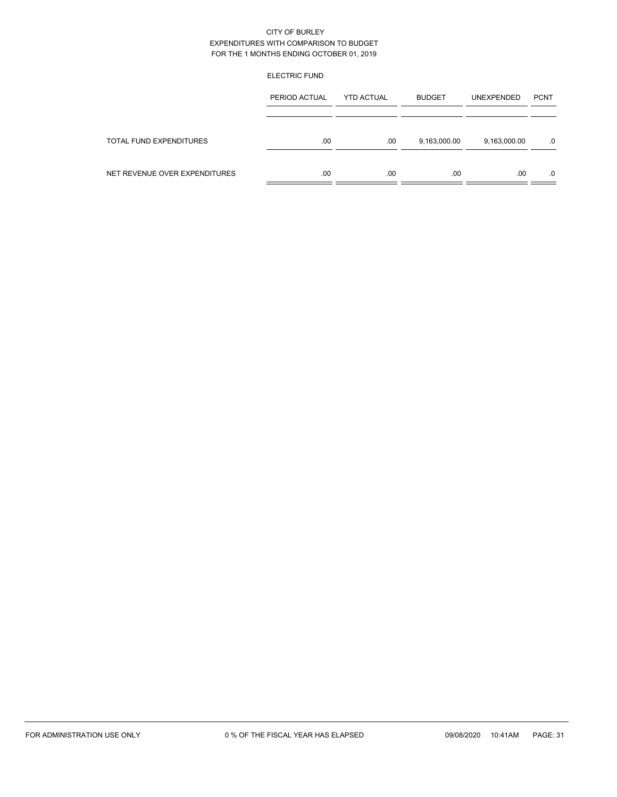#### ELECTRIC FUND

|                               | PERIOD ACTUAL | <b>YTD ACTUAL</b> | <b>BUDGET</b> | <b>UNEXPENDED</b> | <b>PCNT</b> |
|-------------------------------|---------------|-------------------|---------------|-------------------|-------------|
|                               |               |                   |               |                   |             |
| TOTAL FUND EXPENDITURES       | .00           | .00               | 9,163,000.00  | 9,163,000.00      | .0          |
| NET REVENUE OVER EXPENDITURES | .00           | .00               | .00           | .00               | .0          |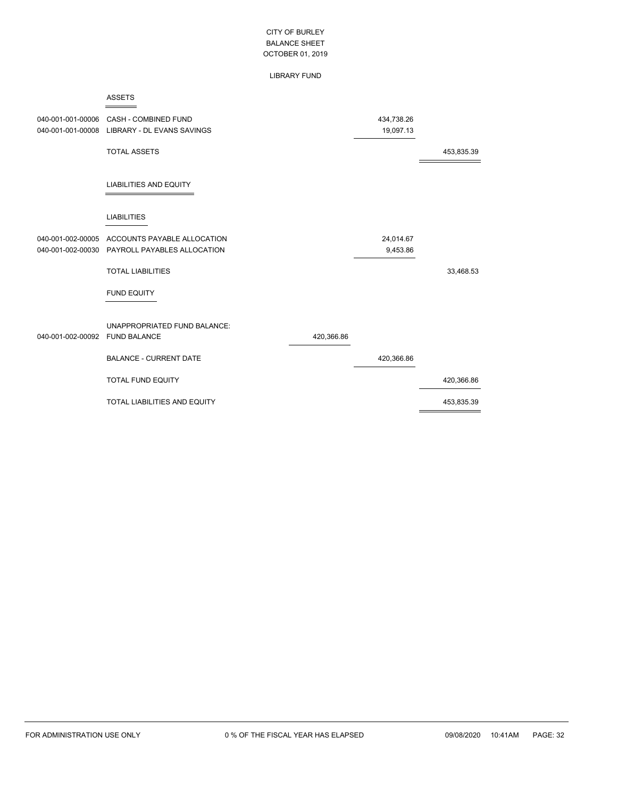LIBRARY FUND

|                   | <b>ASSETS</b>                                       |            |            |            |
|-------------------|-----------------------------------------------------|------------|------------|------------|
| 040-001-001-00006 | <b>CASH - COMBINED FUND</b>                         |            | 434,738.26 |            |
| 040-001-001-00008 | LIBRARY - DL EVANS SAVINGS                          |            | 19,097.13  |            |
|                   | <b>TOTAL ASSETS</b>                                 |            |            | 453,835.39 |
|                   | <b>LIABILITIES AND EQUITY</b>                       |            |            |            |
|                   | <b>LIABILITIES</b>                                  |            |            |            |
| 040-001-002-00005 | ACCOUNTS PAYABLE ALLOCATION                         |            | 24,014.67  |            |
| 040-001-002-00030 | PAYROLL PAYABLES ALLOCATION                         |            | 9,453.86   |            |
|                   | <b>TOTAL LIABILITIES</b>                            |            |            | 33,468.53  |
|                   | <b>FUND EQUITY</b>                                  |            |            |            |
| 040-001-002-00092 | UNAPPROPRIATED FUND BALANCE:<br><b>FUND BALANCE</b> | 420,366.86 |            |            |
|                   | <b>BALANCE - CURRENT DATE</b>                       |            | 420,366.86 |            |
|                   | <b>TOTAL FUND EQUITY</b>                            |            |            | 420,366.86 |
|                   | TOTAL LIABILITIES AND EQUITY                        |            |            | 453,835.39 |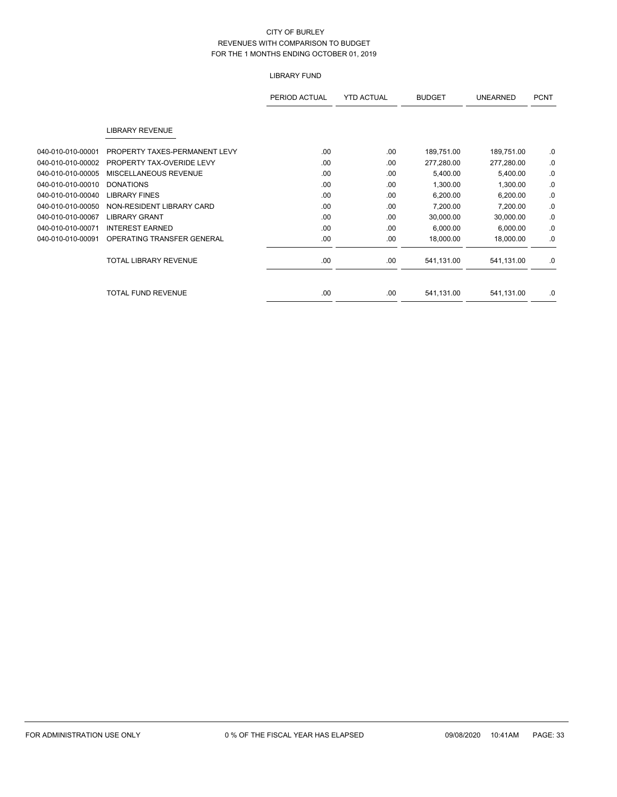## LIBRARY FUND

|                   |                               | PERIOD ACTUAL | <b>YTD ACTUAL</b> | <b>BUDGET</b> | <b>UNEARNED</b> | <b>PCNT</b> |
|-------------------|-------------------------------|---------------|-------------------|---------------|-----------------|-------------|
|                   | <b>LIBRARY REVENUE</b>        |               |                   |               |                 |             |
| 040-010-010-00001 | PROPERTY TAXES-PERMANENT LEVY | .00           | .00               | 189,751.00    | 189,751.00      | .0          |
| 040-010-010-00002 | PROPERTY TAX-OVERIDE LEVY     | .00           | .00               | 277,280.00    | 277,280.00      | .0          |
| 040-010-010-00005 | MISCELLANEOUS REVENUE         | .00           | .00               | 5,400.00      | 5,400.00        | .0          |
| 040-010-010-00010 | <b>DONATIONS</b>              | .00           | .00               | 1,300.00      | 1,300.00        | .0          |
| 040-010-010-00040 | <b>LIBRARY FINES</b>          | .00.          | .00               | 6,200.00      | 6,200.00        | .0          |
| 040-010-010-00050 | NON-RESIDENT LIBRARY CARD     | .00           | .00               | 7,200.00      | 7,200.00        | .0          |
| 040-010-010-00067 | <b>LIBRARY GRANT</b>          | .00.          | .00               | 30,000.00     | 30,000.00       | .0          |
| 040-010-010-00071 | <b>INTEREST EARNED</b>        | .00.          | .00               | 6,000.00      | 6,000.00        | .0          |
| 040-010-010-00091 | OPERATING TRANSFER GENERAL    | .00           | .00               | 18,000.00     | 18,000.00       | .0          |
|                   | <b>TOTAL LIBRARY REVENUE</b>  | .00.          | .00               | 541,131.00    | 541,131.00      | .0          |
|                   | <b>TOTAL FUND REVENUE</b>     | .00           | .00.              | 541,131.00    | 541,131.00      | .0          |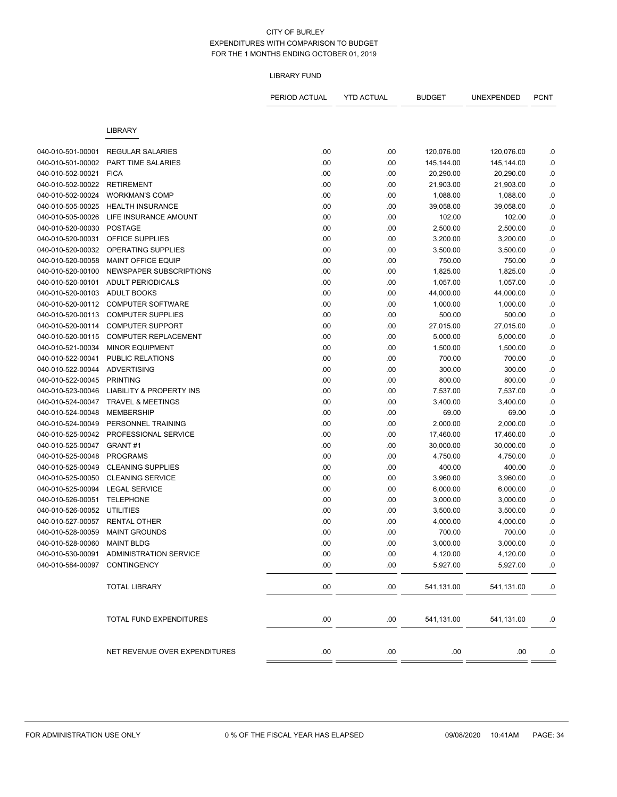#### LIBRARY FUND

|                               |                                          | PERIOD ACTUAL | <b>YTD ACTUAL</b> | <b>BUDGET</b> | UNEXPENDED | <b>PCNT</b> |
|-------------------------------|------------------------------------------|---------------|-------------------|---------------|------------|-------------|
|                               | <b>LIBRARY</b>                           |               |                   |               |            |             |
|                               |                                          |               |                   |               |            |             |
| 040-010-501-00001             | <b>REGULAR SALARIES</b>                  | .00           | .00               | 120,076.00    | 120,076.00 | .0          |
| 040-010-501-00002             | PART TIME SALARIES                       | .00           | .00               | 145,144.00    | 145,144.00 | .0          |
| 040-010-502-00021             | <b>FICA</b>                              | .00           | .00               | 20,290.00     | 20,290.00  | .0          |
| 040-010-502-00022             | <b>RETIREMENT</b>                        | .00           | .00               | 21,903.00     | 21,903.00  | .0          |
| 040-010-502-00024             | <b>WORKMAN'S COMP</b>                    | .00           | .00               | 1,088.00      | 1,088.00   | $\cdot$     |
| 040-010-505-00025             | <b>HEALTH INSURANCE</b>                  | .00           | .00               | 39,058.00     | 39,058.00  | .0          |
| 040-010-505-00026             | LIFE INSURANCE AMOUNT                    | .00           | .00               | 102.00        | 102.00     | $\cdot$ 0   |
| 040-010-520-00030             | <b>POSTAGE</b>                           | .00           | .00               | 2,500.00      | 2,500.00   | $\cdot$ 0   |
| 040-010-520-00031             | OFFICE SUPPLIES                          | .00           | .00               | 3,200.00      | 3,200.00   | $\cdot$     |
| 040-010-520-00032             | OPERATING SUPPLIES                       | .00           | .00               | 3,500.00      | 3,500.00   | $\cdot$     |
| 040-010-520-00058             | <b>MAINT OFFICE EQUIP</b>                | .00           | .00               | 750.00        | 750.00     | .0          |
| 040-010-520-00100             | NEWSPAPER SUBSCRIPTIONS                  | .00           | .00               | 1,825.00      | 1,825.00   | 0.          |
| 040-010-520-00101             | <b>ADULT PERIODICALS</b>                 | .00           | .00               | 1,057.00      | 1,057.00   | $0.$        |
| 040-010-520-00103             | <b>ADULT BOOKS</b>                       | .00           | .00               | 44,000.00     | 44,000.00  | .0          |
| 040-010-520-00112             | <b>COMPUTER SOFTWARE</b>                 | .00           | .00               | 1,000.00      | 1,000.00   | 0.          |
| 040-010-520-00113             | <b>COMPUTER SUPPLIES</b>                 | .00           | .00               | 500.00        | 500.00     | .0          |
| 040-010-520-00114             | <b>COMPUTER SUPPORT</b>                  | .00           | .00               | 27,015.00     | 27,015.00  | .0          |
| 040-010-520-00115             | <b>COMPUTER REPLACEMENT</b>              | .00           | .00               | 5,000.00      | 5,000.00   | $\cdot$     |
| 040-010-521-00034             | <b>MINOR EQUIPMENT</b>                   | .00           | .00               | 1,500.00      | 1,500.00   | $\cdot$     |
| 040-010-522-00041             | PUBLIC RELATIONS                         | .00           | .00               | 700.00        | 700.00     | $\cdot$     |
| 040-010-522-00044             | <b>ADVERTISING</b>                       | .00           | .00               | 300.00        | 300.00     | .0          |
| 040-010-522-00045             | <b>PRINTING</b>                          | .00           | .00               | 800.00        | 800.00     | .0          |
| 040-010-523-00046             | <b>LIABILITY &amp; PROPERTY INS</b>      | .00           | .00               | 7,537.00      | 7,537.00   | $\cdot$ 0   |
| 040-010-524-00047             | <b>TRAVEL &amp; MEETINGS</b>             | .00           | .00               | 3,400.00      | 3,400.00   | .0          |
| 040-010-524-00048             | <b>MEMBERSHIP</b>                        | .00           | .00               | 69.00         | 69.00      | $\cdot$ 0   |
| 040-010-524-00049             | PERSONNEL TRAINING                       | .00           | .00               | 2,000.00      | 2,000.00   | .0          |
| 040-010-525-00042             | PROFESSIONAL SERVICE                     | .00           | .00               | 17,460.00     | 17,460.00  | .0          |
| 040-010-525-00047             | GRANT#1                                  | .00           | .00               | 30,000.00     | 30,000.00  | $\cdot$     |
| 040-010-525-00048             | <b>PROGRAMS</b>                          | .00           | .00               | 4,750.00      | 4,750.00   | .0          |
| 040-010-525-00049             | <b>CLEANING SUPPLIES</b>                 | .00           | .00               | 400.00        | 400.00     | $\cdot$ 0   |
| 040-010-525-00050             | <b>CLEANING SERVICE</b>                  | .00           | .00               | 3,960.00      | 3,960.00   | .0          |
| 040-010-525-00094             | <b>LEGAL SERVICE</b>                     | .00           | .00               | 6,000.00      | 6,000.00   | .0          |
| 040-010-526-00051             | <b>TELEPHONE</b>                         | .00           | .00               | 3,000.00      | 3,000.00   | $\cdot$ 0   |
| 040-010-526-00052             | <b>UTILITIES</b>                         | .00           | .00               | 3,500.00      | 3,500.00   | .0          |
| 040-010-527-00057             | <b>RENTAL OTHER</b>                      | .00           | .00               | 4,000.00      | 4,000.00   | .0          |
| 040-010-528-00059             | <b>MAINT GROUNDS</b>                     | .00           | .00               | 700.00        | 700.00     | .0          |
| 040-010-528-00060 MAINT BLDG  |                                          | .00           | .00               | 3,000.00      | 3,000.00   | 0.          |
|                               | 040-010-530-00091 ADMINISTRATION SERVICE | .00           | .00               | 4,120.00      | 4,120.00   | 0.          |
| 040-010-584-00097 CONTINGENCY |                                          | .00.          | .00               | 5,927.00      | 5,927.00   | .0          |
|                               | <b>TOTAL LIBRARY</b>                     | .00.          | .00.              | 541,131.00    | 541,131.00 | .0          |
|                               | TOTAL FUND EXPENDITURES                  | .00           | .00.              | 541,131.00    | 541,131.00 | .0          |
|                               | NET REVENUE OVER EXPENDITURES            | .00           | .00               | .00           | .00        | .0          |
|                               |                                          |               |                   |               |            |             |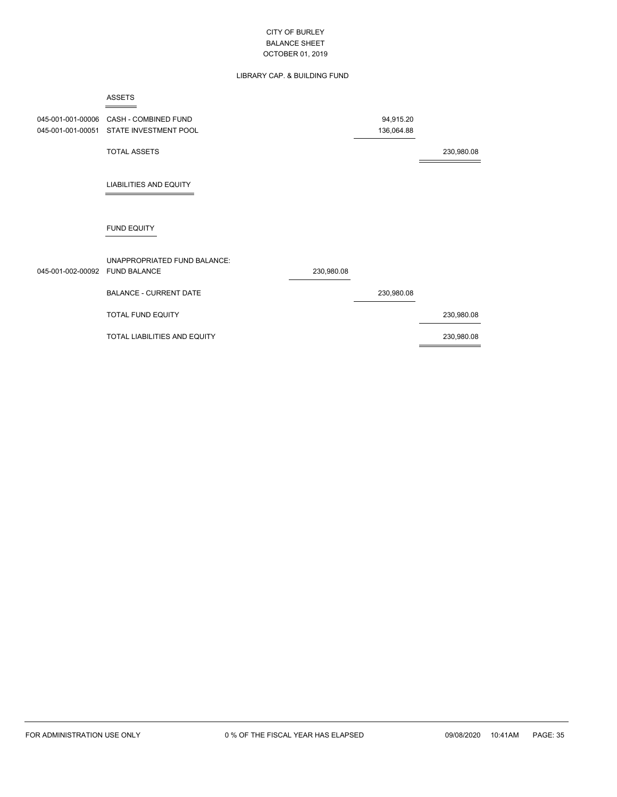## LIBRARY CAP. & BUILDING FUND

|                                        | <b>ASSETS</b>                                       |            |                         |            |
|----------------------------------------|-----------------------------------------------------|------------|-------------------------|------------|
| 045-001-001-00006<br>045-001-001-00051 | CASH - COMBINED FUND<br>STATE INVESTMENT POOL       |            | 94,915.20<br>136,064.88 |            |
|                                        | <b>TOTAL ASSETS</b>                                 |            |                         | 230,980.08 |
|                                        | <b>LIABILITIES AND EQUITY</b>                       |            |                         |            |
|                                        | <b>FUND EQUITY</b>                                  |            |                         |            |
| 045-001-002-00092                      | UNAPPROPRIATED FUND BALANCE:<br><b>FUND BALANCE</b> | 230,980.08 |                         |            |
|                                        | <b>BALANCE - CURRENT DATE</b>                       |            | 230,980.08              |            |
|                                        | TOTAL FUND EQUITY                                   |            |                         | 230,980.08 |
|                                        | TOTAL LIABILITIES AND EQUITY                        |            |                         | 230,980.08 |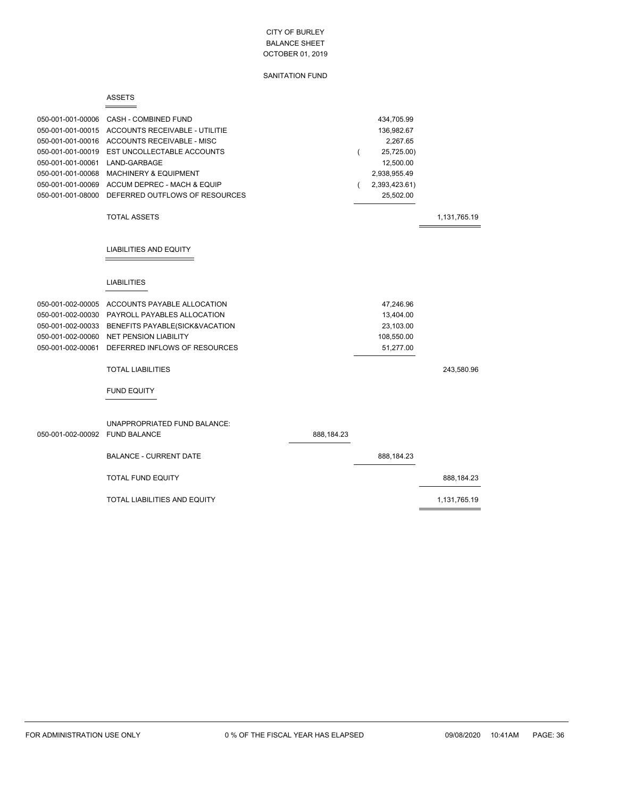|                                | <b>ASSETS</b>                       |            |          |               |              |
|--------------------------------|-------------------------------------|------------|----------|---------------|--------------|
| 050-001-001-00006              | <b>CASH - COMBINED FUND</b>         |            |          | 434,705.99    |              |
| 050-001-001-00015              | ACCOUNTS RECEIVABLE - UTILITIE      |            |          | 136,982.67    |              |
| 050-001-001-00016              | ACCOUNTS RECEIVABLE - MISC          |            |          | 2,267.65      |              |
| 050-001-001-00019              | EST UNCOLLECTABLE ACCOUNTS          |            | $\left($ | 25,725.00)    |              |
| 050-001-001-00061              | LAND-GARBAGE                        |            |          | 12,500.00     |              |
| 050-001-001-00068              | <b>MACHINERY &amp; EQUIPMENT</b>    |            |          | 2,938,955.49  |              |
| 050-001-001-00069              | ACCUM DEPREC - MACH & EQUIP         |            |          | 2,393,423.61) |              |
| 050-001-001-08000              | DEFERRED OUTFLOWS OF RESOURCES      |            |          | 25,502.00     |              |
|                                | <b>TOTAL ASSETS</b>                 |            |          |               | 1,131,765.19 |
|                                | <b>LIABILITIES AND EQUITY</b>       |            |          |               |              |
|                                | <b>LIABILITIES</b>                  |            |          |               |              |
| 050-001-002-00005              | ACCOUNTS PAYABLE ALLOCATION         |            |          | 47,246.96     |              |
| 050-001-002-00030              | PAYROLL PAYABLES ALLOCATION         |            |          | 13,404.00     |              |
| 050-001-002-00033              | BENEFITS PAYABLE(SICK&VACATION      |            |          | 23,103.00     |              |
| 050-001-002-00060              | <b>NET PENSION LIABILITY</b>        |            |          | 108,550.00    |              |
| 050-001-002-00061              | DEFERRED INFLOWS OF RESOURCES       |            |          | 51,277.00     |              |
|                                | <b>TOTAL LIABILITIES</b>            |            |          |               | 243,580.96   |
|                                | <b>FUND EQUITY</b>                  |            |          |               |              |
| 050-001-002-00092 FUND BALANCE | UNAPPROPRIATED FUND BALANCE:        | 888,184.23 |          |               |              |
|                                | <b>BALANCE - CURRENT DATE</b>       |            |          | 888,184.23    |              |
|                                | <b>TOTAL FUND EQUITY</b>            |            |          |               | 888,184.23   |
|                                | <b>TOTAL LIABILITIES AND EQUITY</b> |            |          |               | 1,131,765.19 |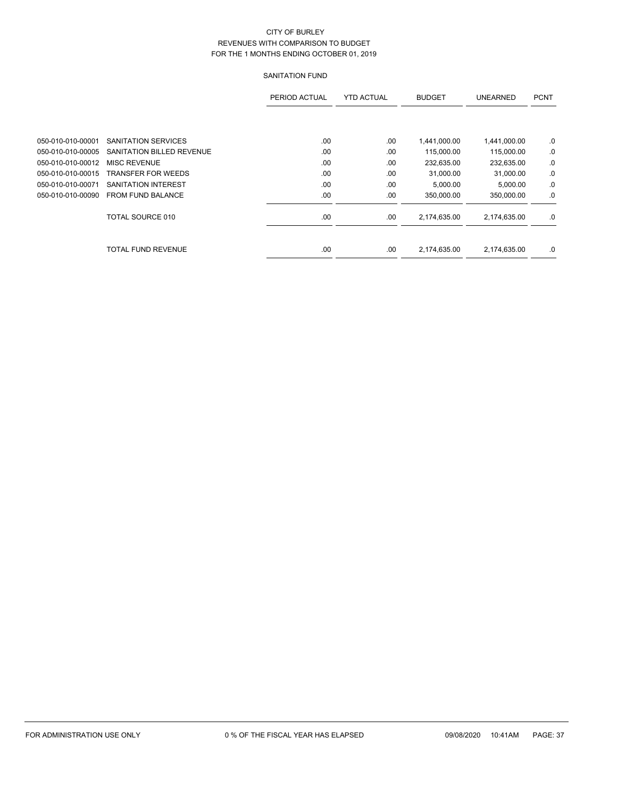|                   |                           | PERIOD ACTUAL | <b>YTD ACTUAL</b> | <b>BUDGET</b> | <b>UNEARNED</b> | <b>PCNT</b> |
|-------------------|---------------------------|---------------|-------------------|---------------|-----------------|-------------|
|                   |                           |               |                   |               |                 |             |
| 050-010-010-00001 | SANITATION SERVICES       | .00           | .00               | 1,441,000.00  | 1,441,000.00    | .0          |
| 050-010-010-00005 | SANITATION BILLED REVENUE | .00           | .00               | 115,000.00    | 115,000.00      | .0          |
| 050-010-010-00012 | MISC REVENUE              | .00           | .00               | 232,635.00    | 232,635.00      | .0          |
| 050-010-010-00015 | <b>TRANSFER FOR WEEDS</b> | .00           | .00               | 31,000.00     | 31,000.00       | .0          |
| 050-010-010-00071 | SANITATION INTEREST       | .00           | .00               | 5,000.00      | 5.000.00        | .0          |
| 050-010-010-00090 | <b>FROM FUND BALANCE</b>  | .00           | .00               | 350,000.00    | 350,000.00      | .0          |
|                   | TOTAL SOURCE 010          | .00           | .00               | 2,174,635.00  | 2,174,635.00    | .0          |
|                   | TOTAL FUND REVENUE        | .00           | .00               | 2,174,635.00  | 2,174,635.00    | .0          |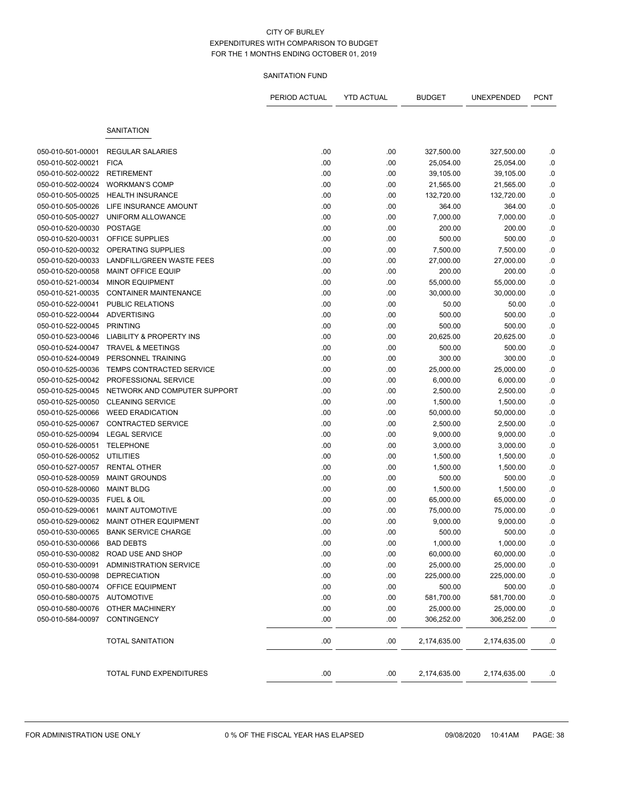|                   |                               | PERIOD ACTUAL | <b>YTD ACTUAL</b> | BUDGET       | UNEXPENDED   | <b>PCNT</b> |
|-------------------|-------------------------------|---------------|-------------------|--------------|--------------|-------------|
|                   | <b>SANITATION</b>             |               |                   |              |              |             |
| 050-010-501-00001 | <b>REGULAR SALARIES</b>       | .00           | .00               | 327,500.00   | 327,500.00   |             |
| 050-010-502-00021 | <b>FICA</b>                   | .00           | .00               | 25,054.00    | 25,054.00    | .0<br>.0    |
| 050-010-502-00022 | <b>RETIREMENT</b>             | .00           | .00               | 39,105.00    | 39,105.00    | .0          |
| 050-010-502-00024 | <b>WORKMAN'S COMP</b>         | .00           | .00               | 21,565.00    | 21,565.00    | $\cdot$ 0   |
| 050-010-505-00025 | <b>HEALTH INSURANCE</b>       | .00           | .00               | 132,720.00   | 132,720.00   | .0          |
| 050-010-505-00026 | LIFE INSURANCE AMOUNT         | .00           | .00               | 364.00       | 364.00       | .0          |
| 050-010-505-00027 | UNIFORM ALLOWANCE             | .00           | .00               | 7,000.00     | 7,000.00     | 0.0         |
| 050-010-520-00030 | <b>POSTAGE</b>                | .00           | .00               | 200.00       | 200.00       | .0          |
| 050-010-520-00031 | <b>OFFICE SUPPLIES</b>        | .00           | .00               | 500.00       | 500.00       | .0          |
| 050-010-520-00032 | OPERATING SUPPLIES            | .00           | .00               | 7,500.00     | 7,500.00     | .0          |
| 050-010-520-00033 | LANDFILL/GREEN WASTE FEES     | .00           | .00               | 27,000.00    | 27,000.00    | .0          |
| 050-010-520-00058 | <b>MAINT OFFICE EQUIP</b>     | .00           | .00               | 200.00       | 200.00       | .0          |
| 050-010-521-00034 | <b>MINOR EQUIPMENT</b>        | .00           | .00               | 55,000.00    | 55,000.00    | 0.0         |
| 050-010-521-00035 | <b>CONTAINER MAINTENANCE</b>  | .00           | .00               | 30,000.00    | 30,000.00    | .0          |
| 050-010-522-00041 | PUBLIC RELATIONS              | .00           | .00               | 50.00        | 50.00        | .0          |
| 050-010-522-00044 | <b>ADVERTISING</b>            | .00           | .00               | 500.00       | 500.00       | $\cdot$ 0   |
| 050-010-522-00045 | <b>PRINTING</b>               | .00           | .00               | 500.00       | 500.00       | $\cdot$ 0   |
| 050-010-523-00046 | LIABILITY & PROPERTY INS      | .00           | .00               | 20,625.00    | 20,625.00    | .0          |
| 050-010-524-00047 | <b>TRAVEL &amp; MEETINGS</b>  | .00           | .00               | 500.00       | 500.00       | .0          |
| 050-010-524-00049 | PERSONNEL TRAINING            | .00           | .00               | 300.00       | 300.00       | .0          |
| 050-010-525-00036 | TEMPS CONTRACTED SERVICE      | .00           | .00               | 25,000.00    | 25,000.00    | .0          |
| 050-010-525-00042 | PROFESSIONAL SERVICE          | .00           | .00               | 6,000.00     | 6,000.00     | $\cdot$ 0   |
| 050-010-525-00045 | NETWORK AND COMPUTER SUPPORT  | .00           | .00               | 2,500.00     | 2,500.00     | .0          |
| 050-010-525-00050 | <b>CLEANING SERVICE</b>       | .00           | .00               | 1,500.00     | 1,500.00     | $\cdot$ 0   |
| 050-010-525-00066 | <b>WEED ERADICATION</b>       | .00           | .00               | 50,000.00    | 50,000.00    | .0          |
| 050-010-525-00067 | <b>CONTRACTED SERVICE</b>     | .00           | .00               | 2,500.00     | 2,500.00     | $\cdot$ 0   |
| 050-010-525-00094 | <b>LEGAL SERVICE</b>          | .00           | .00               | 9,000.00     | 9,000.00     | 0.0         |
| 050-010-526-00051 | <b>TELEPHONE</b>              | .00           | .00               | 3,000.00     | 3,000.00     | .0          |
| 050-010-526-00052 | UTILITIES                     | .00           | .00               | 1,500.00     | 1,500.00     | 0.0         |
| 050-010-527-00057 | <b>RENTAL OTHER</b>           | .00           | .00               | 1,500.00     | 1,500.00     | .0          |
| 050-010-528-00059 | <b>MAINT GROUNDS</b>          | .00           | .00               | 500.00       | 500.00       | .0          |
| 050-010-528-00060 | <b>MAINT BLDG</b>             | .00           | .00               | 1,500.00     | 1,500.00     | $\cdot$ 0   |
| 050-010-529-00035 | <b>FUEL &amp; OIL</b>         | .00           | .00               | 65,000.00    | 65,000.00    | .0          |
| 050-010-529-00061 | <b>MAINT AUTOMOTIVE</b>       | .00           | .00               | 75,000.00    | 75,000.00    | $\cdot$ 0   |
| 050-010-529-00062 | <b>MAINT OTHER EQUIPMENT</b>  | .00           | .00               | 9,000.00     | 9,000.00     | .0          |
| 050-010-530-00065 | <b>BANK SERVICE CHARGE</b>    | .00           | .00               | 500.00       | 500.00       | .0          |
| 050-010-530-00066 | <b>BAD DEBTS</b>              | .00           | .00               | 1,000.00     | 1,000.00     | 0.          |
| 050-010-530-00082 | ROAD USE AND SHOP             | .00           | .00               | 60,000.00    | 60,000.00    | $\cdot$ 0   |
| 050-010-530-00091 | <b>ADMINISTRATION SERVICE</b> | .00           | .00               | 25,000.00    | 25,000.00    | 0.0         |
| 050-010-530-00098 | <b>DEPRECIATION</b>           | .00           | .00               | 225,000.00   | 225,000.00   | .0          |
| 050-010-580-00074 | OFFICE EQUIPMENT              | .00           | .00               | 500.00       | 500.00       | .0          |
| 050-010-580-00075 | <b>AUTOMOTIVE</b>             | .00           | .00               | 581,700.00   | 581,700.00   | .0          |
| 050-010-580-00076 | OTHER MACHINERY               | .00           | .00               | 25,000.00    | 25,000.00    | .0          |
| 050-010-584-00097 | CONTINGENCY                   | .00           | .00               | 306,252.00   | 306,252.00   | .0          |
|                   | <b>TOTAL SANITATION</b>       | .00           | .00               | 2,174,635.00 | 2,174,635.00 | .0          |
|                   | TOTAL FUND EXPENDITURES       | .00.          | .00               | 2,174,635.00 | 2,174,635.00 | .0          |
|                   |                               |               |                   |              |              |             |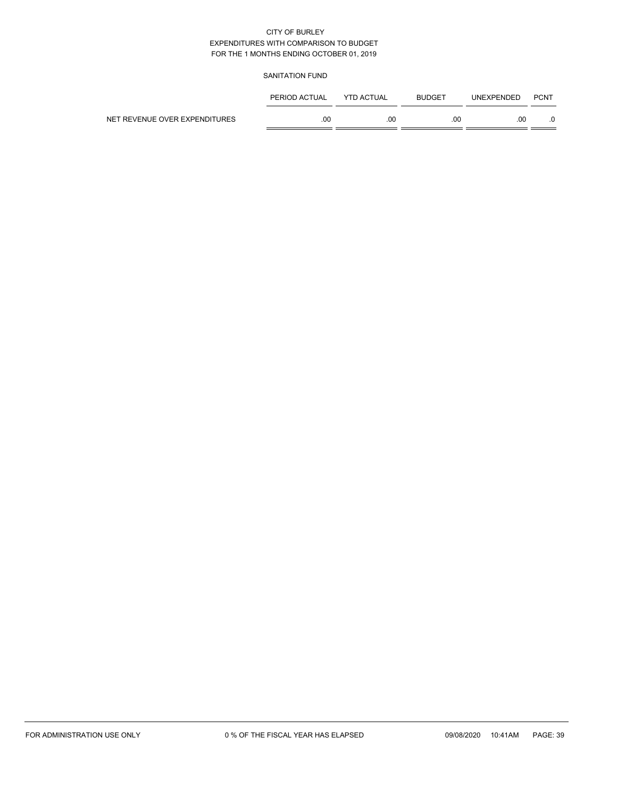|                               | PERIOD ACTUAL | <b>YTD ACTUAL</b> | <b>BUDGET</b> | <b>UNEXPENDED</b> | <b>PCNT</b> |
|-------------------------------|---------------|-------------------|---------------|-------------------|-------------|
| NET REVENUE OVER EXPENDITURES | .00           | .00               | .00           | .00               |             |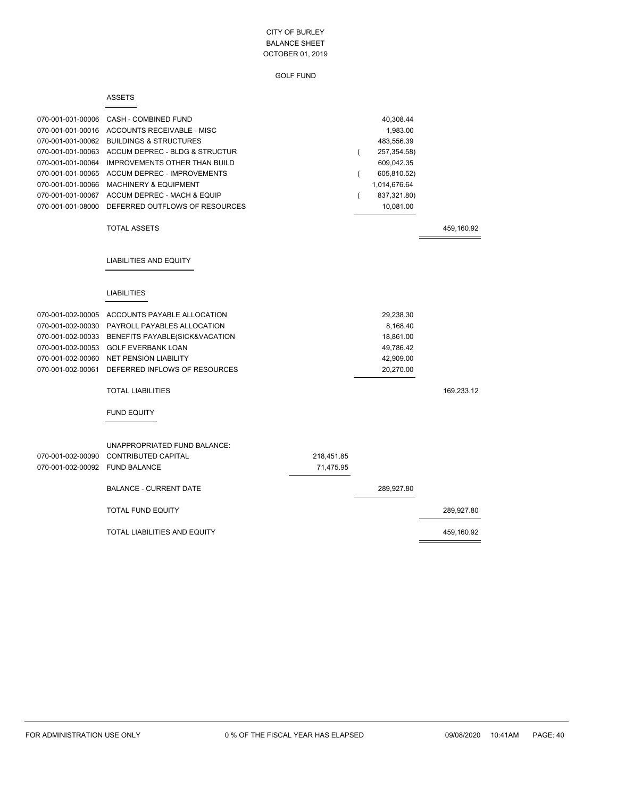| × |
|---|
|---|

|                                | 070-001-001-00006 CASH - COMBINED FUND        |            |          | 40,308.44     |            |
|--------------------------------|-----------------------------------------------|------------|----------|---------------|------------|
|                                | 070-001-001-00016 ACCOUNTS RECEIVABLE - MISC  |            |          | 1,983.00      |            |
|                                | 070-001-001-00062 BUILDINGS & STRUCTURES      |            |          | 483,556.39    |            |
| 070-001-001-00063              | ACCUM DEPREC - BLDG & STRUCTUR                |            | $\left($ | 257, 354. 58) |            |
| 070-001-001-00064              | <b>IMPROVEMENTS OTHER THAN BUILD</b>          |            |          | 609,042.35    |            |
| 070-001-001-00065              | <b>ACCUM DEPREC - IMPROVEMENTS</b>            |            | (        | 605,810.52)   |            |
| 070-001-001-00066              | <b>MACHINERY &amp; EQUIPMENT</b>              |            |          | 1,014,676.64  |            |
| 070-001-001-00067              | ACCUM DEPREC - MACH & EQUIP                   |            |          | 837,321.80)   |            |
| 070-001-001-08000              | DEFERRED OUTFLOWS OF RESOURCES                |            |          | 10,081.00     |            |
|                                | <b>TOTAL ASSETS</b>                           |            |          |               | 459,160.92 |
|                                | LIABILITIES AND EQUITY                        |            |          |               |            |
|                                | <b>LIABILITIES</b>                            |            |          |               |            |
|                                |                                               |            |          |               |            |
|                                | 070-001-002-00005 ACCOUNTS PAYABLE ALLOCATION |            |          | 29,238.30     |            |
|                                | 070-001-002-00030 PAYROLL PAYABLES ALLOCATION |            |          | 8,168.40      |            |
| 070-001-002-00033              | BENEFITS PAYABLE(SICK&VACATION                |            |          | 18,861.00     |            |
| 070-001-002-00053              | <b>GOLF EVERBANK LOAN</b>                     |            |          | 49,786.42     |            |
| 070-001-002-00060              | <b>NET PENSION LIABILITY</b>                  |            |          | 42,909.00     |            |
| 070-001-002-00061              | DEFERRED INFLOWS OF RESOURCES                 |            |          | 20,270.00     |            |
|                                | <b>TOTAL LIABILITIES</b>                      |            |          |               | 169,233.12 |
|                                | <b>FUND EQUITY</b>                            |            |          |               |            |
|                                | UNAPPROPRIATED FUND BALANCE:                  |            |          |               |            |
| 070-001-002-00090              | <b>CONTRIBUTED CAPITAL</b>                    | 218,451.85 |          |               |            |
| 070-001-002-00092 FUND BALANCE |                                               | 71,475.95  |          |               |            |
|                                | <b>BALANCE - CURRENT DATE</b>                 |            |          | 289,927.80    |            |
|                                | <b>TOTAL FUND EQUITY</b>                      |            |          |               | 289,927.80 |
|                                | TOTAL LIABILITIES AND EQUITY                  |            |          |               | 459,160.92 |
|                                |                                               |            |          |               |            |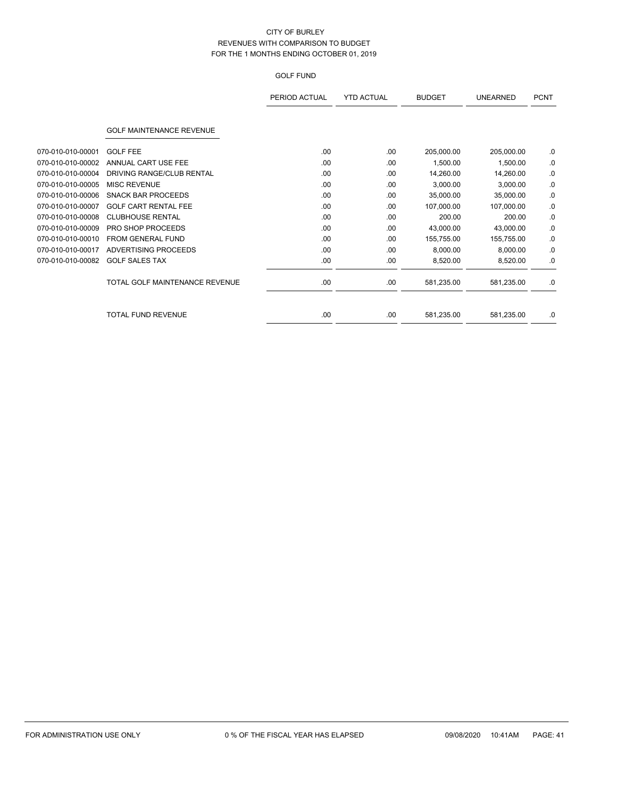|                   |                                 | PERIOD ACTUAL | <b>YTD ACTUAL</b> | <b>BUDGET</b> | <b>UNEARNED</b> | <b>PCNT</b> |
|-------------------|---------------------------------|---------------|-------------------|---------------|-----------------|-------------|
|                   | <b>GOLF MAINTENANCE REVENUE</b> |               |                   |               |                 |             |
| 070-010-010-00001 | <b>GOLF FEE</b>                 | .00           | .00.              | 205,000.00    | 205,000.00      | .0          |
| 070-010-010-00002 | ANNUAL CART USE FEE             | .00           | .00               | 1,500.00      | 1,500.00        | .0          |
| 070-010-010-00004 | DRIVING RANGE/CLUB RENTAL       | .00           | .00.              | 14,260.00     | 14,260.00       | .0          |
| 070-010-010-00005 | <b>MISC REVENUE</b>             | .00           | .00               | 3,000.00      | 3,000.00        | .0          |
| 070-010-010-00006 | <b>SNACK BAR PROCEEDS</b>       | .00           | .00.              | 35,000.00     | 35,000.00       | .0          |
| 070-010-010-00007 | <b>GOLF CART RENTAL FEE</b>     | .00           | .00.              | 107,000.00    | 107,000.00      | .0          |
| 070-010-010-00008 | <b>CLUBHOUSE RENTAL</b>         | .00           | .00               | 200.00        | 200.00          | .0          |
| 070-010-010-00009 | <b>PRO SHOP PROCEEDS</b>        | .00           | .00               | 43,000.00     | 43,000.00       | .0          |
| 070-010-010-00010 | FROM GENERAL FUND               | .00           | .00.              | 155,755.00    | 155,755.00      | .0          |
| 070-010-010-00017 | ADVERTISING PROCEEDS            | .00           | .00               | 8,000.00      | 8,000.00        | .0          |
| 070-010-010-00082 | <b>GOLF SALES TAX</b>           | .00           | .00.              | 8,520.00      | 8,520.00        | .0          |
|                   | TOTAL GOLF MAINTENANCE REVENUE  | .00           | .00.              | 581,235.00    | 581,235.00      | .0          |
|                   | TOTAL FUND REVENUE              | .00           | .00.              | 581,235.00    | 581,235.00      | .0          |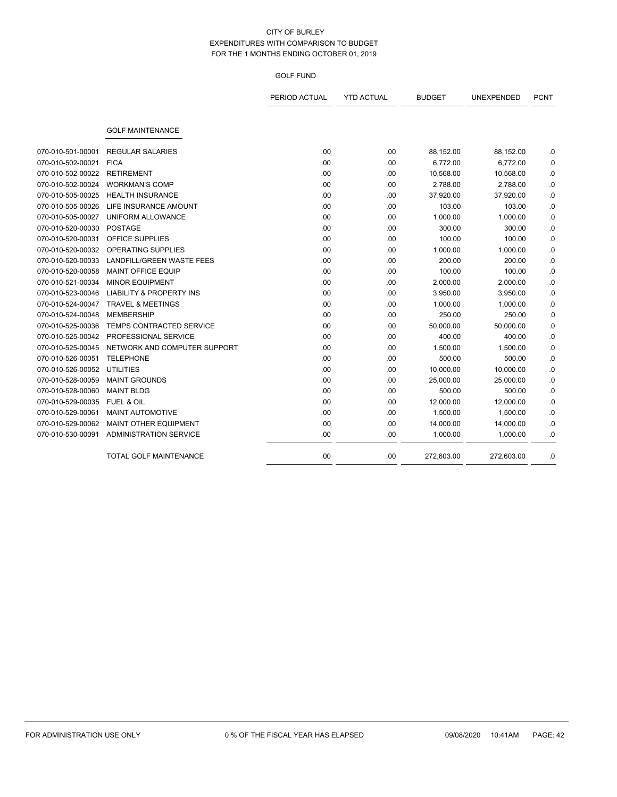|                   |                                     | PERIOD ACTUAL | <b>YTD ACTUAL</b> | <b>BUDGET</b> | UNEXPENDED | <b>PCNT</b> |
|-------------------|-------------------------------------|---------------|-------------------|---------------|------------|-------------|
|                   |                                     |               |                   |               |            |             |
|                   | <b>GOLF MAINTENANCE</b>             |               |                   |               |            |             |
| 070-010-501-00001 | <b>REGULAR SALARIES</b>             | .00           | .00               | 88,152.00     | 88,152.00  | .0          |
| 070-010-502-00021 | <b>FICA</b>                         | .00           | .00               | 6,772.00      | 6,772.00   | .0          |
| 070-010-502-00022 | <b>RETIREMENT</b>                   | .00           | .00               | 10,568.00     | 10,568.00  | .0          |
| 070-010-502-00024 | <b>WORKMAN'S COMP</b>               | .00           | .00               | 2,788.00      | 2,788.00   | $\cdot$     |
| 070-010-505-00025 | <b>HEALTH INSURANCE</b>             | .00           | .00               | 37,920.00     | 37,920.00  | $\cdot$     |
| 070-010-505-00026 | LIFE INSURANCE AMOUNT               | .00           | .00               | 103.00        | 103.00     | .0          |
| 070-010-505-00027 | UNIFORM ALLOWANCE                   | .00           | .00               | 1,000.00      | 1,000.00   | .0          |
| 070-010-520-00030 | <b>POSTAGE</b>                      | .00           | .00               | 300.00        | 300.00     | .0          |
| 070-010-520-00031 | OFFICE SUPPLIES                     | .00           | .00               | 100.00        | 100.00     | .0          |
| 070-010-520-00032 | <b>OPERATING SUPPLIES</b>           | .00           | .00               | 1,000.00      | 1,000.00   | .0          |
| 070-010-520-00033 | LANDFILL/GREEN WASTE FEES           | .00           | .00               | 200.00        | 200.00     | .0          |
| 070-010-520-00058 | <b>MAINT OFFICE EQUIP</b>           | .00           | .00               | 100.00        | 100.00     | .0          |
| 070-010-521-00034 | <b>MINOR EQUIPMENT</b>              | .00           | .00               | 2,000.00      | 2,000.00   | .0          |
| 070-010-523-00046 | <b>LIABILITY &amp; PROPERTY INS</b> | .00           | .00               | 3,950.00      | 3,950.00   | .0          |
| 070-010-524-00047 | <b>TRAVEL &amp; MEETINGS</b>        | .00           | .00               | 1,000.00      | 1,000.00   | .0          |
| 070-010-524-00048 | <b>MEMBERSHIP</b>                   | .00           | .00               | 250.00        | 250.00     | .0          |
| 070-010-525-00036 | <b>TEMPS CONTRACTED SERVICE</b>     | .00           | .00               | 50,000.00     | 50,000.00  | .0          |
| 070-010-525-00042 | PROFESSIONAL SERVICE                | .00           | .00               | 400.00        | 400.00     | .0          |
| 070-010-525-00045 | NETWORK AND COMPUTER SUPPORT        | .00           | .00               | 1,500.00      | 1,500.00   | .0          |
| 070-010-526-00051 | <b>TELEPHONE</b>                    | .00           | .00               | 500.00        | 500.00     | .0          |
| 070-010-526-00052 | <b>UTILITIES</b>                    | .00           | .00               | 10,000.00     | 10,000.00  | .0          |
| 070-010-528-00059 | <b>MAINT GROUNDS</b>                | .00           | .00               | 25,000.00     | 25,000.00  | .0          |
| 070-010-528-00060 | <b>MAINT BLDG</b>                   | .00           | .00               | 500.00        | 500.00     | .0          |
| 070-010-529-00035 | <b>FUEL &amp; OIL</b>               | .00           | .00               | 12,000.00     | 12,000.00  | .0          |
| 070-010-529-00061 | <b>MAINT AUTOMOTIVE</b>             | .00           | .00               | 1,500.00      | 1,500.00   | .0          |
| 070-010-529-00062 | <b>MAINT OTHER EQUIPMENT</b>        | .00           | .00               | 14,000.00     | 14,000.00  | 0.          |
| 070-010-530-00091 | ADMINISTRATION SERVICE              | .00           | .00               | 1,000.00      | 1,000.00   | $\cdot$ 0   |
|                   | <b>TOTAL GOLF MAINTENANCE</b>       | .00           | .00               | 272,603.00    | 272,603.00 | .0          |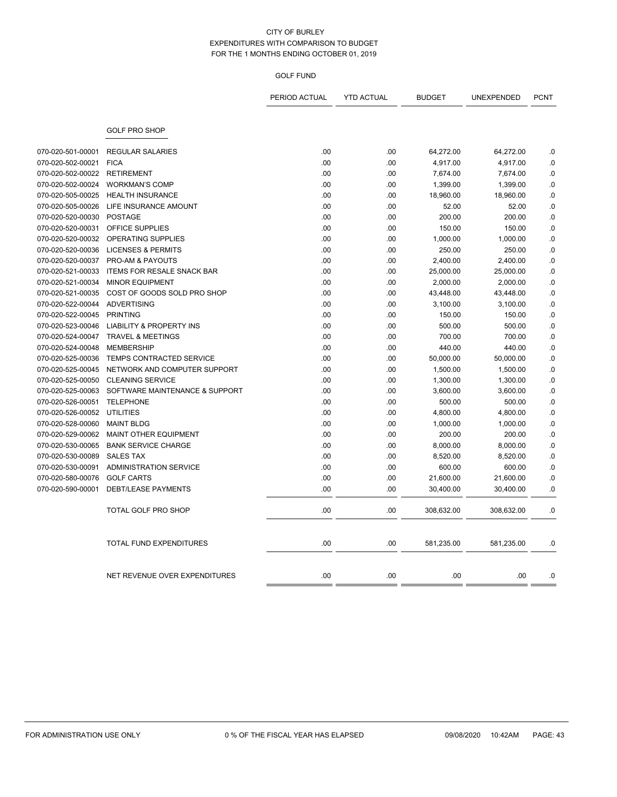|                   |                                     | PERIOD ACTUAL | <b>YTD ACTUAL</b> | <b>BUDGET</b> | UNEXPENDED | <b>PCNT</b> |
|-------------------|-------------------------------------|---------------|-------------------|---------------|------------|-------------|
|                   | <b>GOLF PRO SHOP</b>                |               |                   |               |            |             |
| 070-020-501-00001 | <b>REGULAR SALARIES</b>             | .00           | .00               | 64,272.00     | 64,272.00  | .0          |
| 070-020-502-00021 | <b>FICA</b>                         | .00           | .00               | 4,917.00      | 4,917.00   | .0          |
| 070-020-502-00022 | <b>RETIREMENT</b>                   | .00           | .00               | 7,674.00      | 7,674.00   | .0          |
| 070-020-502-00024 | <b>WORKMAN'S COMP</b>               | .00           | .00               | 1,399.00      | 1,399.00   | .0          |
| 070-020-505-00025 | <b>HEALTH INSURANCE</b>             | .00           | .00               | 18,960.00     | 18,960.00  | .0          |
| 070-020-505-00026 | LIFE INSURANCE AMOUNT               | .00           | .00               | 52.00         | 52.00      | .0          |
| 070-020-520-00030 | <b>POSTAGE</b>                      | .00           | .00               | 200.00        | 200.00     | .0          |
| 070-020-520-00031 | OFFICE SUPPLIES                     | .00           | .00               | 150.00        | 150.00     | .0          |
| 070-020-520-00032 | OPERATING SUPPLIES                  | .00           | .00               | 1,000.00      | 1,000.00   | .0          |
| 070-020-520-00036 | <b>LICENSES &amp; PERMITS</b>       | .00           | .00               | 250.00        | 250.00     | .0          |
| 070-020-520-00037 | PRO-AM & PAYOUTS                    | .00           | .00               | 2,400.00      | 2,400.00   | 0.          |
| 070-020-521-00033 | <b>ITEMS FOR RESALE SNACK BAR</b>   | .00           | .00               | 25,000.00     | 25,000.00  | .0          |
| 070-020-521-00034 | <b>MINOR EQUIPMENT</b>              | .00           | .00               | 2,000.00      | 2,000.00   | $\cdot$ 0   |
| 070-020-521-00035 | COST OF GOODS SOLD PRO SHOP         | .00           | .00               | 43,448.00     | 43,448.00  | .0          |
| 070-020-522-00044 | <b>ADVERTISING</b>                  | .00           | .00               | 3,100.00      | 3,100.00   | $\cdot$ 0   |
| 070-020-522-00045 | <b>PRINTING</b>                     | .00           | .00               | 150.00        | 150.00     | .0          |
| 070-020-523-00046 | <b>LIABILITY &amp; PROPERTY INS</b> | .00           | .00               | 500.00        | 500.00     | .0          |
| 070-020-524-00047 | <b>TRAVEL &amp; MEETINGS</b>        | .00           | .00               | 700.00        | 700.00     | .0          |
| 070-020-524-00048 | <b>MEMBERSHIP</b>                   | .00           | .00               | 440.00        | 440.00     | .0          |
| 070-020-525-00036 | TEMPS CONTRACTED SERVICE            | .00           | .00               | 50,000.00     | 50,000.00  | .0          |
| 070-020-525-00045 | NETWORK AND COMPUTER SUPPORT        | .00           | .00               | 1,500.00      | 1,500.00   | $\cdot$ 0   |
| 070-020-525-00050 | <b>CLEANING SERVICE</b>             | .00           | .00               | 1,300.00      | 1,300.00   | .0          |
| 070-020-525-00063 | SOFTWARE MAINTENANCE & SUPPORT      | .00           | .00               | 3,600.00      | 3,600.00   | .0          |
| 070-020-526-00051 | <b>TELEPHONE</b>                    | .00           | .00               | 500.00        | 500.00     | .0          |
| 070-020-526-00052 | <b>UTILITIES</b>                    | .00           | .00               | 4,800.00      | 4,800.00   | .0          |
| 070-020-528-00060 | <b>MAINT BLDG</b>                   | .00           | .00               | 1,000.00      | 1,000.00   | .0          |
| 070-020-529-00062 | <b>MAINT OTHER EQUIPMENT</b>        | .00           | .00               | 200.00        | 200.00     | .0          |
| 070-020-530-00065 | <b>BANK SERVICE CHARGE</b>          | .00           | .00               | 8,000.00      | 8,000.00   | 0.          |
| 070-020-530-00089 | <b>SALES TAX</b>                    | .00           | .00               | 8,520.00      | 8,520.00   | .0          |
| 070-020-530-00091 | <b>ADMINISTRATION SERVICE</b>       | .00           | .00               | 600.00        | 600.00     | .0          |
| 070-020-580-00076 | <b>GOLF CARTS</b>                   | .00           | .00               | 21,600.00     | 21,600.00  | .0          |
| 070-020-590-00001 | <b>DEBT/LEASE PAYMENTS</b>          | .00           | .00               | 30,400.00     | 30,400.00  | .0          |
|                   | <b>TOTAL GOLF PRO SHOP</b>          | .00           | .00               | 308,632.00    | 308,632.00 | .0          |
|                   | <b>TOTAL FUND EXPENDITURES</b>      | .00           | .00               | 581,235.00    | 581,235.00 | .0          |
|                   | NET REVENUE OVER EXPENDITURES       | .00           | .00               | .00           | .00        | .0          |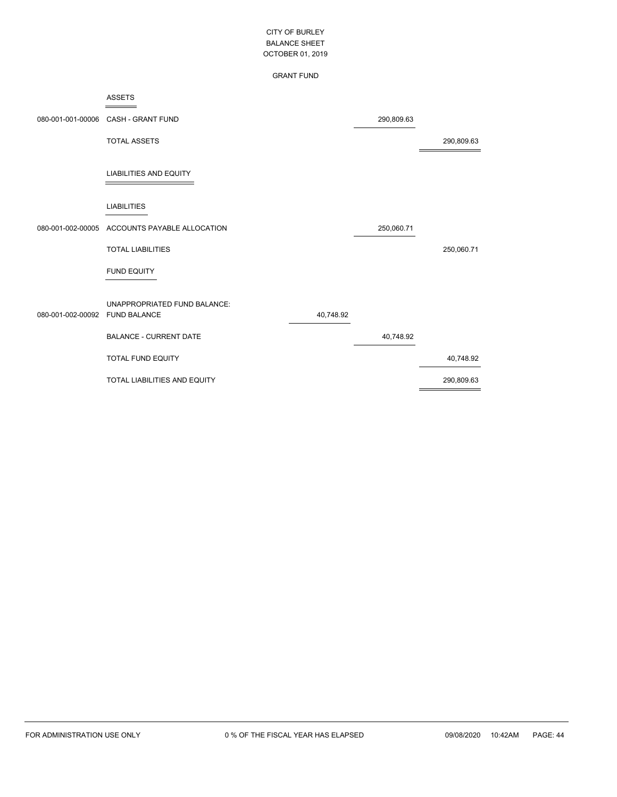#### GRANT FUND

|                   | <b>ASSETS</b>                                       |           |            |            |
|-------------------|-----------------------------------------------------|-----------|------------|------------|
| 080-001-001-00006 | CASH - GRANT FUND                                   |           | 290,809.63 |            |
|                   | <b>TOTAL ASSETS</b>                                 |           |            | 290,809.63 |
|                   | <b>LIABILITIES AND EQUITY</b>                       |           |            |            |
|                   | <b>LIABILITIES</b>                                  |           |            |            |
| 080-001-002-00005 | ACCOUNTS PAYABLE ALLOCATION                         |           | 250,060.71 |            |
|                   | <b>TOTAL LIABILITIES</b>                            |           |            | 250,060.71 |
|                   | <b>FUND EQUITY</b>                                  |           |            |            |
| 080-001-002-00092 | UNAPPROPRIATED FUND BALANCE:<br><b>FUND BALANCE</b> | 40,748.92 |            |            |
|                   | <b>BALANCE - CURRENT DATE</b>                       |           | 40,748.92  |            |
|                   | <b>TOTAL FUND EQUITY</b>                            |           |            | 40,748.92  |
|                   | TOTAL LIABILITIES AND EQUITY                        |           |            | 290,809.63 |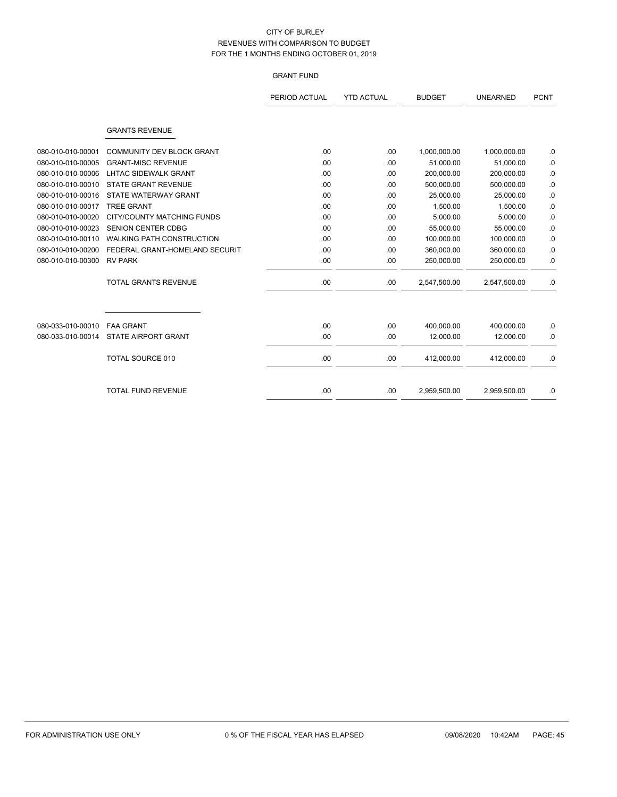# GRANT FUND

|                   |                                  | PERIOD ACTUAL | <b>YTD ACTUAL</b> | <b>BUDGET</b> | <b>UNEARNED</b> | <b>PCNT</b> |
|-------------------|----------------------------------|---------------|-------------------|---------------|-----------------|-------------|
|                   |                                  |               |                   |               |                 |             |
|                   | <b>GRANTS REVENUE</b>            |               |                   |               |                 |             |
| 080-010-010-00001 | <b>COMMUNITY DEV BLOCK GRANT</b> | .00.          | .00               | 1,000,000.00  | 1,000,000.00    | .0          |
| 080-010-010-00005 | <b>GRANT-MISC REVENUE</b>        | .00           | .00               | 51,000.00     | 51,000.00       | $\cdot$ 0   |
| 080-010-010-00006 | <b>LHTAC SIDEWALK GRANT</b>      | .00           | .00               | 200,000.00    | 200,000.00      | .0          |
| 080-010-010-00010 | <b>STATE GRANT REVENUE</b>       | .00           | .00               | 500,000.00    | 500,000.00      | .0          |
| 080-010-010-00016 | STATE WATERWAY GRANT             | .00           | .00               | 25.000.00     | 25,000.00       | $\cdot$ 0   |
| 080-010-010-00017 | <b>TREE GRANT</b>                | .00           | .00               | 1,500.00      | 1,500.00        | .0          |
| 080-010-010-00020 | CITY/COUNTY MATCHING FUNDS       | .00           | .00               | 5,000.00      | 5,000.00        | .0          |
| 080-010-010-00023 | <b>SENION CENTER CDBG</b>        | .00           | .00               | 55,000.00     | 55,000.00       | $\cdot$ 0   |
| 080-010-010-00110 | WALKING PATH CONSTRUCTION        | .00           | .00               | 100,000.00    | 100,000.00      | .0          |
| 080-010-010-00200 | FEDERAL GRANT-HOMELAND SECURIT   | .00           | .00               | 360,000.00    | 360,000.00      | .0          |
| 080-010-010-00300 | <b>RV PARK</b>                   | .00.          | .00               | 250,000.00    | 250,000.00      | .0          |
|                   | <b>TOTAL GRANTS REVENUE</b>      | .00.          | .00               | 2,547,500.00  | 2,547,500.00    | .0          |
|                   |                                  |               |                   |               |                 |             |
| 080-033-010-00010 | <b>FAA GRANT</b>                 | .00           | .00               | 400,000.00    | 400,000.00      | .0          |
| 080-033-010-00014 | <b>STATE AIRPORT GRANT</b>       | .00.          | .00               | 12,000.00     | 12,000.00       | .0          |
|                   | TOTAL SOURCE 010                 | .00.          | .00               | 412,000.00    | 412,000.00      | .0          |
|                   | <b>TOTAL FUND REVENUE</b>        | .00           | .00               | 2,959,500.00  | 2,959,500.00    | .0          |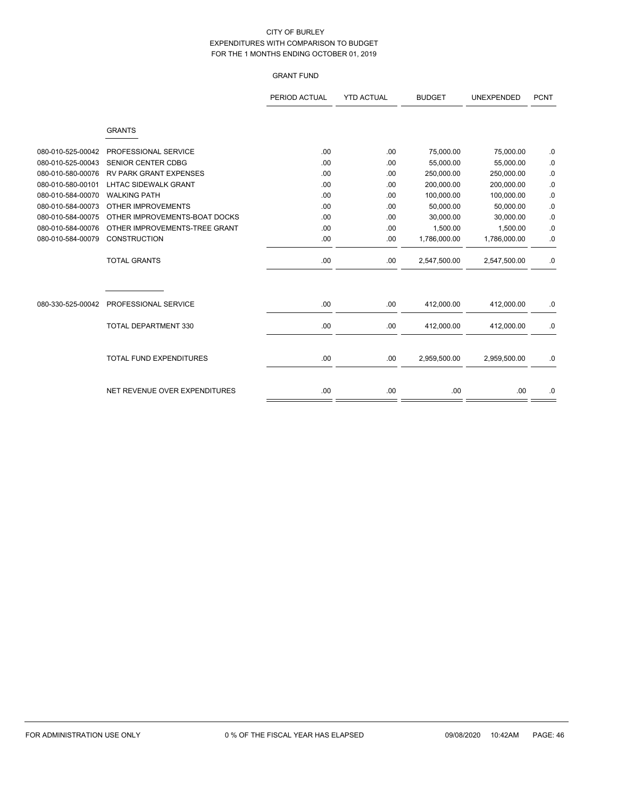## GRANT FUND

|                   |                               | PERIOD ACTUAL | <b>YTD ACTUAL</b> | <b>BUDGET</b> | <b>UNEXPENDED</b> | <b>PCNT</b> |
|-------------------|-------------------------------|---------------|-------------------|---------------|-------------------|-------------|
|                   |                               |               |                   |               |                   |             |
|                   | <b>GRANTS</b>                 |               |                   |               |                   |             |
| 080-010-525-00042 | PROFESSIONAL SERVICE          | .00           | .00               | 75,000.00     | 75,000.00         | .0          |
| 080-010-525-00043 | <b>SENIOR CENTER CDBG</b>     | .00           | .00               | 55,000.00     | 55,000.00         | .0          |
| 080-010-580-00076 | <b>RV PARK GRANT EXPENSES</b> | .00           | .00               | 250,000.00    | 250,000.00        | .0          |
| 080-010-580-00101 | <b>LHTAC SIDEWALK GRANT</b>   | .00           | .00               | 200,000.00    | 200,000.00        | .0          |
| 080-010-584-00070 | <b>WALKING PATH</b>           | .00           | .00               | 100,000.00    | 100,000.00        | 0.          |
| 080-010-584-00073 | <b>OTHER IMPROVEMENTS</b>     | .00           | .00               | 50,000.00     | 50,000.00         | 0.          |
| 080-010-584-00075 | OTHER IMPROVEMENTS-BOAT DOCKS | .00           | .00               | 30,000.00     | 30,000.00         | .0          |
| 080-010-584-00076 | OTHER IMPROVEMENTS-TREE GRANT | .00           | .00               | 1,500.00      | 1,500.00          | .0          |
| 080-010-584-00079 | <b>CONSTRUCTION</b>           | .00           | .00               | 1,786,000.00  | 1,786,000.00      | .0          |
|                   | <b>TOTAL GRANTS</b>           | .00           | .00.              | 2,547,500.00  | 2,547,500.00      | .0          |
|                   |                               |               |                   |               |                   |             |
| 080-330-525-00042 | PROFESSIONAL SERVICE          | .00           | .00               | 412,000.00    | 412,000.00        | .0          |
|                   | <b>TOTAL DEPARTMENT 330</b>   | .00           | .00               | 412,000.00    | 412,000.00        | .0          |
|                   | TOTAL FUND EXPENDITURES       | .00           | .00               | 2,959,500.00  | 2,959,500.00      | .0          |
|                   | NET REVENUE OVER EXPENDITURES | .00           | .00               | .00           | .00               | .0          |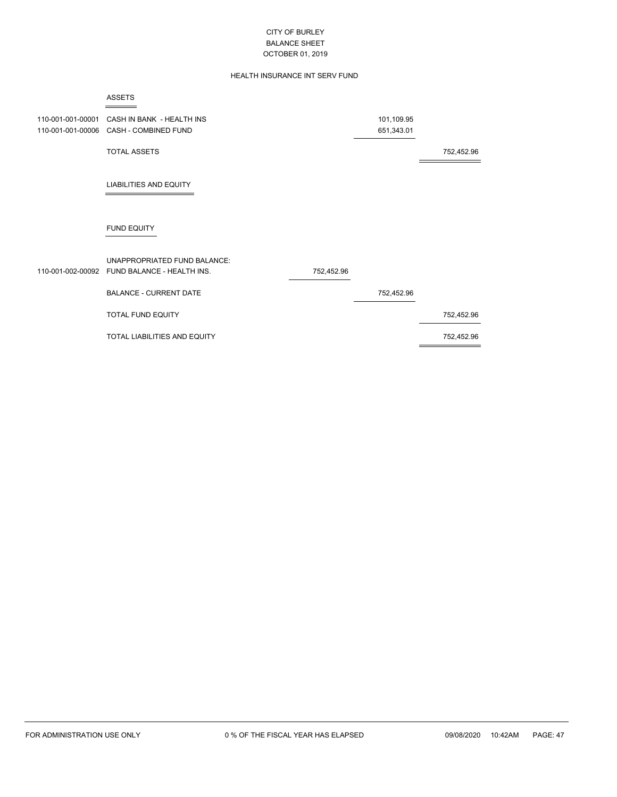## HEALTH INSURANCE INT SERV FUND

|                                        | <b>ASSETS</b>                                                                       |            |                          |            |
|----------------------------------------|-------------------------------------------------------------------------------------|------------|--------------------------|------------|
| 110-001-001-00001<br>110-001-001-00006 | CASH IN BANK - HEALTH INS<br>CASH - COMBINED FUND                                   |            | 101,109.95<br>651,343.01 |            |
|                                        | <b>TOTAL ASSETS</b>                                                                 |            |                          | 752,452.96 |
|                                        | <b>LIABILITIES AND EQUITY</b>                                                       |            |                          |            |
|                                        | <b>FUND EQUITY</b>                                                                  |            |                          |            |
|                                        | <b>UNAPPROPRIATED FUND BALANCE:</b><br>110-001-002-00092 FUND BALANCE - HEALTH INS. | 752,452.96 |                          |            |
|                                        | <b>BALANCE - CURRENT DATE</b>                                                       |            | 752,452.96               |            |
|                                        | <b>TOTAL FUND EQUITY</b>                                                            |            |                          | 752,452.96 |
|                                        | TOTAL LIABILITIES AND EQUITY                                                        |            |                          | 752,452.96 |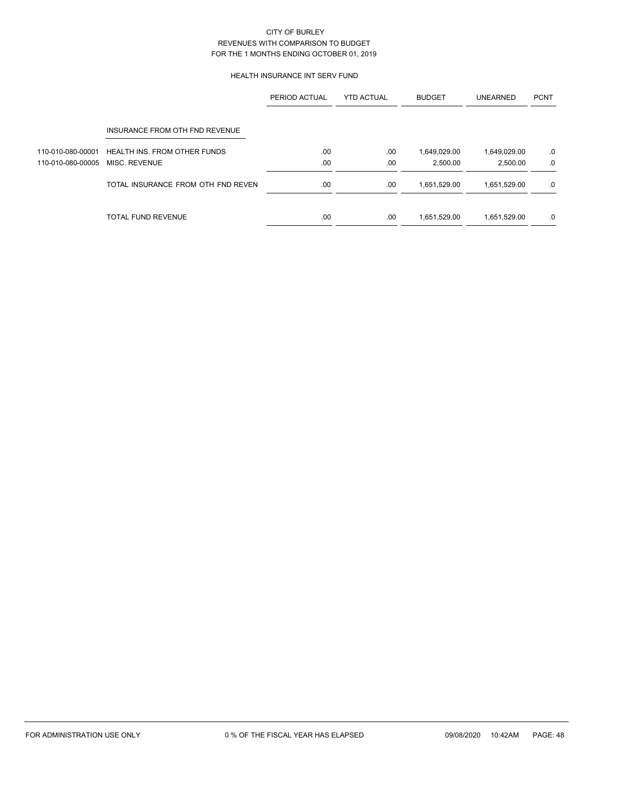### HEALTH INSURANCE INT SERV FUND

|                   |                                     | PERIOD ACTUAL | <b>YTD ACTUAL</b> | <b>BUDGET</b> | <b>UNEARNED</b> | <b>PCNT</b> |
|-------------------|-------------------------------------|---------------|-------------------|---------------|-----------------|-------------|
|                   | INSURANCE FROM OTH FND REVENUE      |               |                   |               |                 |             |
| 110-010-080-00001 | <b>HEALTH INS. FROM OTHER FUNDS</b> | .00           | .00               | 1,649,029.00  | 1,649,029.00    | .0          |
| 110-010-080-00005 | MISC. REVENUE                       | .00           | .00               | 2.500.00      | 2,500.00        | .0          |
|                   | TOTAL INSURANCE FROM OTH FND REVEN  | .00           | .00               | 1,651,529.00  | 1,651,529.00    | .0          |
|                   | TOTAL FUND REVENUE                  | .00           | .00               | 1,651,529.00  | 1,651,529.00    | .0          |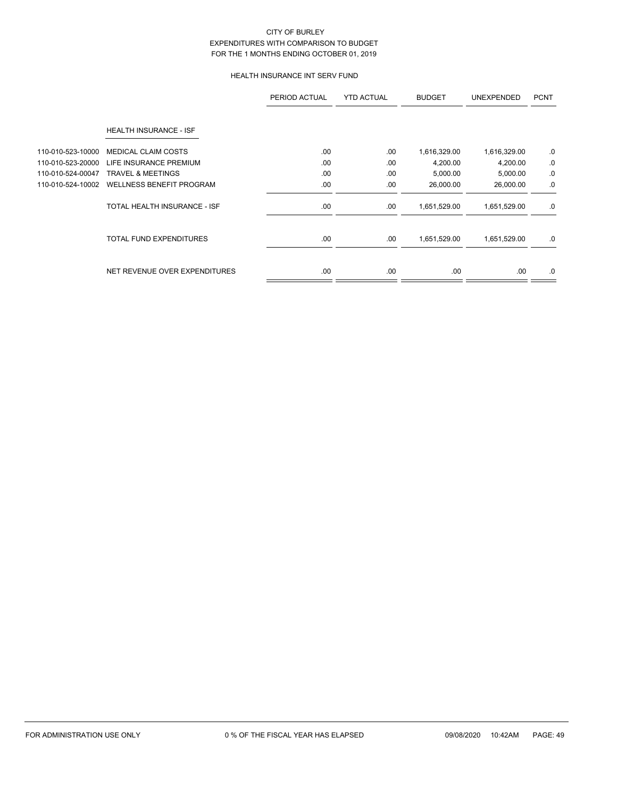## HEALTH INSURANCE INT SERV FUND

|                   |                                 | PERIOD ACTUAL | <b>YTD ACTUAL</b> | <b>BUDGET</b> | <b>UNEXPENDED</b> | <b>PCNT</b> |
|-------------------|---------------------------------|---------------|-------------------|---------------|-------------------|-------------|
|                   | HEALTH INSURANCE - ISF          |               |                   |               |                   |             |
| 110-010-523-10000 | <b>MEDICAL CLAIM COSTS</b>      | .00           | .00               | 1,616,329.00  | 1,616,329.00      | .0          |
| 110-010-523-20000 | LIFE INSURANCE PREMIUM          | .00           | .00               | 4,200.00      | 4,200.00          | .0          |
| 110-010-524-00047 | <b>TRAVEL &amp; MEETINGS</b>    | .00           | .00               | 5,000.00      | 5,000.00          | .0          |
| 110-010-524-10002 | <b>WELLNESS BENEFIT PROGRAM</b> | .00           | .00               | 26,000.00     | 26,000.00         | .0          |
|                   | TOTAL HEALTH INSURANCE - ISF    | .00.          | .00               | 1,651,529.00  | 1,651,529.00      | .0          |
|                   | <b>TOTAL FUND EXPENDITURES</b>  | .00.          | .00               | 1,651,529.00  | 1,651,529.00      | .0          |
|                   | NET REVENUE OVER EXPENDITURES   | .00.          | .00               | .00.          | .00.              | .0          |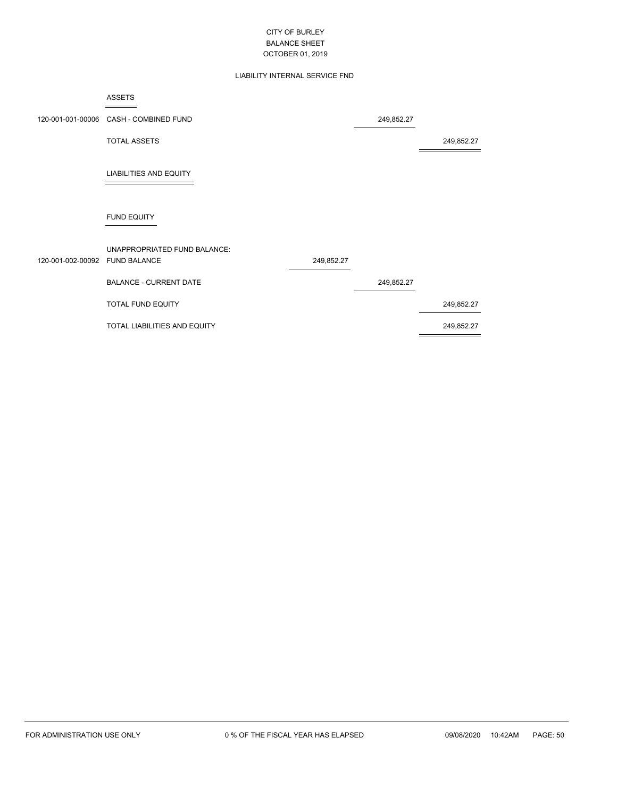## LIABILITY INTERNAL SERVICE FND

|                   | <b>ASSETS</b>                                       |            |            |            |
|-------------------|-----------------------------------------------------|------------|------------|------------|
|                   | 120-001-001-00006 CASH - COMBINED FUND              |            | 249,852.27 |            |
|                   | <b>TOTAL ASSETS</b>                                 |            |            | 249,852.27 |
|                   | <b>LIABILITIES AND EQUITY</b>                       |            |            |            |
|                   | <b>FUND EQUITY</b>                                  |            |            |            |
| 120-001-002-00092 | UNAPPROPRIATED FUND BALANCE:<br><b>FUND BALANCE</b> | 249,852.27 |            |            |
|                   | <b>BALANCE - CURRENT DATE</b>                       |            | 249,852.27 |            |
|                   | TOTAL FUND EQUITY                                   |            |            | 249,852.27 |
|                   | TOTAL LIABILITIES AND EQUITY                        |            |            | 249,852.27 |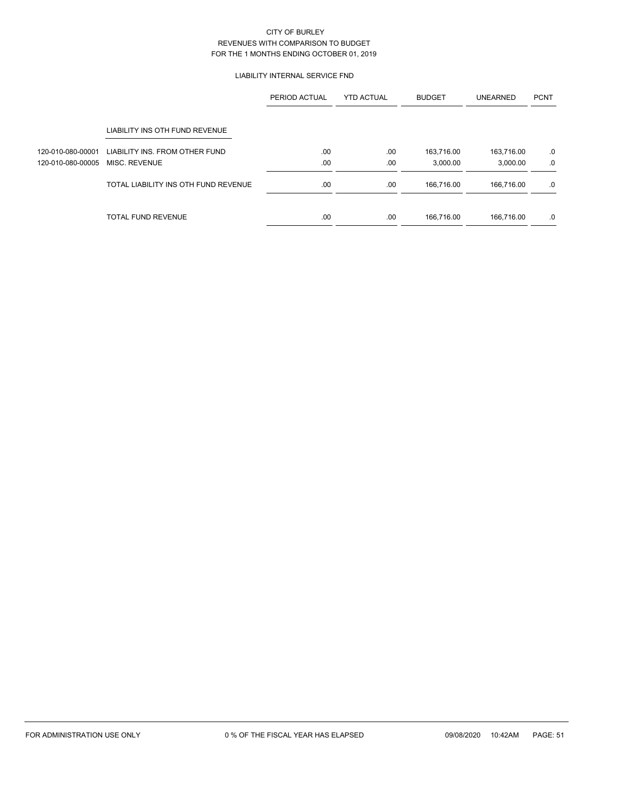### LIABILITY INTERNAL SERVICE FND

|                   |                                      | PERIOD ACTUAL | <b>YTD ACTUAL</b> | <b>BUDGET</b> | <b>UNEARNED</b> | <b>PCNT</b> |
|-------------------|--------------------------------------|---------------|-------------------|---------------|-----------------|-------------|
|                   | LIABILITY INS OTH FUND REVENUE       |               |                   |               |                 |             |
| 120-010-080-00001 | LIABILITY INS. FROM OTHER FUND       | .00.          | .00               | 163,716.00    | 163,716.00      | .0          |
| 120-010-080-00005 | MISC. REVENUE                        | .00           | .00               | 3,000.00      | 3,000.00        | .0          |
|                   | TOTAL LIABILITY INS OTH FUND REVENUE | .00           | .00               | 166.716.00    | 166.716.00      | .0          |
|                   | <b>TOTAL FUND REVENUE</b>            | .00           | .00               | 166.716.00    | 166.716.00      | .0          |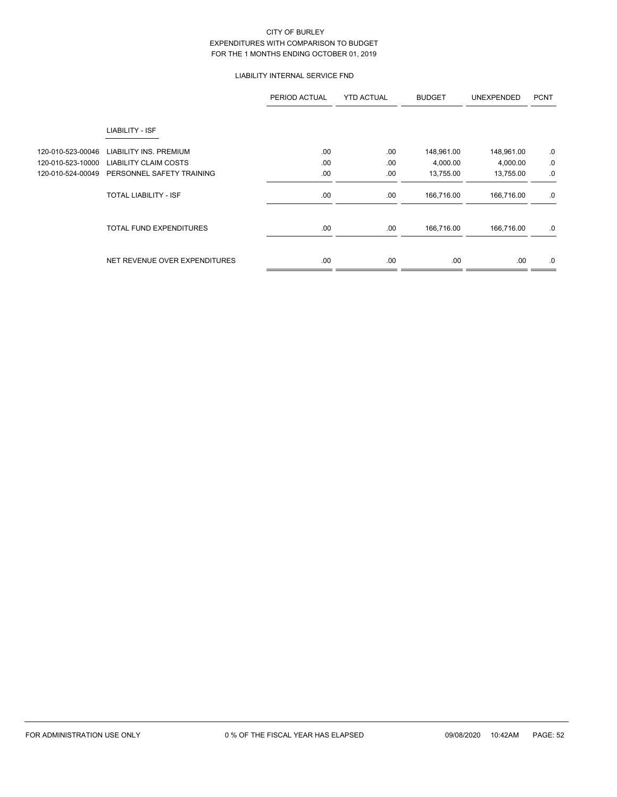## LIABILITY INTERNAL SERVICE FND

|                   |                                | PERIOD ACTUAL | <b>YTD ACTUAL</b> | <b>BUDGET</b> | <b>UNEXPENDED</b> | <b>PCNT</b> |
|-------------------|--------------------------------|---------------|-------------------|---------------|-------------------|-------------|
|                   | LIABILITY - ISF                |               |                   |               |                   |             |
| 120-010-523-00046 | LIABILITY INS, PREMIUM         | .00           | .00               | 148,961.00    | 148,961.00        | .0          |
| 120-010-523-10000 | <b>LIABILITY CLAIM COSTS</b>   | .00           | .00               | 4,000.00      | 4,000.00          | .0          |
| 120-010-524-00049 | PERSONNEL SAFETY TRAINING      | .00           | .00               | 13,755.00     | 13,755.00         | .0          |
|                   | TOTAL LIABILITY - ISF          | .00           | .00               | 166,716.00    | 166,716.00        | .0          |
|                   | <b>TOTAL FUND EXPENDITURES</b> | .00           | .00               | 166,716.00    | 166,716.00        | .0          |
|                   | NET REVENUE OVER EXPENDITURES  | .00           | .00               | .00.          | .00               | .0          |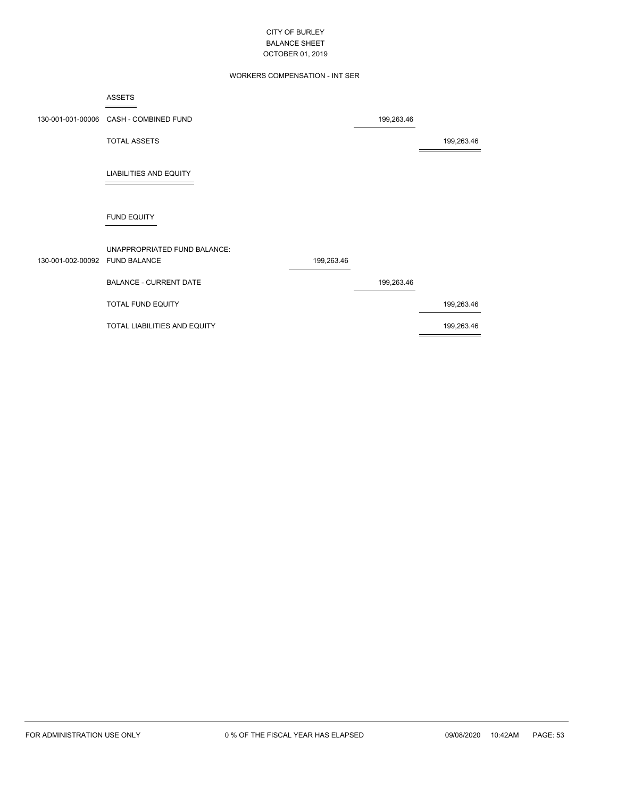## WORKERS COMPENSATION - INT SER

| ASSETS                                    |            |
|-------------------------------------------|------------|
|                                           |            |
| 130-001-001-00006    CASH - COMBINED FUND | 199,263.46 |
| TOTAL ASSETS                              |            |

÷

199,263.46

LIABILITIES AND EQUITY

# FUND EQUITY

| 130-001-002-00092 FUND BALANCE | UNAPPROPRIATED FUND BALANCE: | 199,263.46 |            |            |
|--------------------------------|------------------------------|------------|------------|------------|
|                                | BALANCE - CURRENT DATE       |            | 199,263.46 |            |
|                                | <b>TOTAL FUND EQUITY</b>     |            |            | 199,263.46 |
|                                | TOTAL LIABILITIES AND EQUITY |            |            | 199,263.46 |
|                                |                              |            |            |            |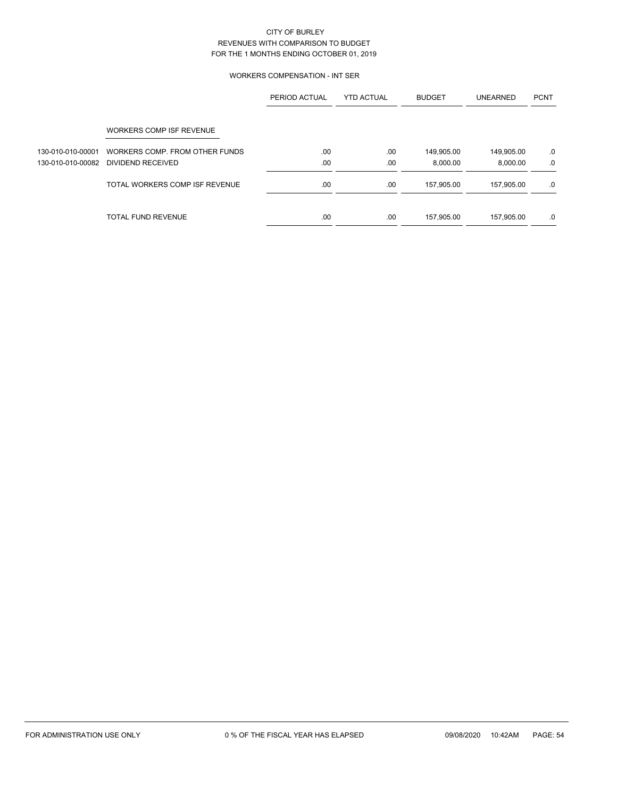### WORKERS COMPENSATION - INT SER

|                   |                                | PERIOD ACTUAL | <b>YTD ACTUAL</b> | <b>BUDGET</b> | <b>UNEARNED</b> | <b>PCNT</b> |
|-------------------|--------------------------------|---------------|-------------------|---------------|-----------------|-------------|
|                   | WORKERS COMP ISF REVENUE       |               |                   |               |                 |             |
| 130-010-010-00001 | WORKERS COMP. FROM OTHER FUNDS | .00           | .00               | 149,905.00    | 149,905.00      | .0          |
| 130-010-010-00082 | DIVIDEND RECEIVED              | .00           | .00               | 8.000.00      | 8.000.00        | .0          |
|                   | TOTAL WORKERS COMP ISF REVENUE | .00           | .00               | 157,905.00    | 157,905.00      | .0          |
|                   | <b>TOTAL FUND REVENUE</b>      | .00           | .00               | 157,905.00    | 157,905.00      | .0          |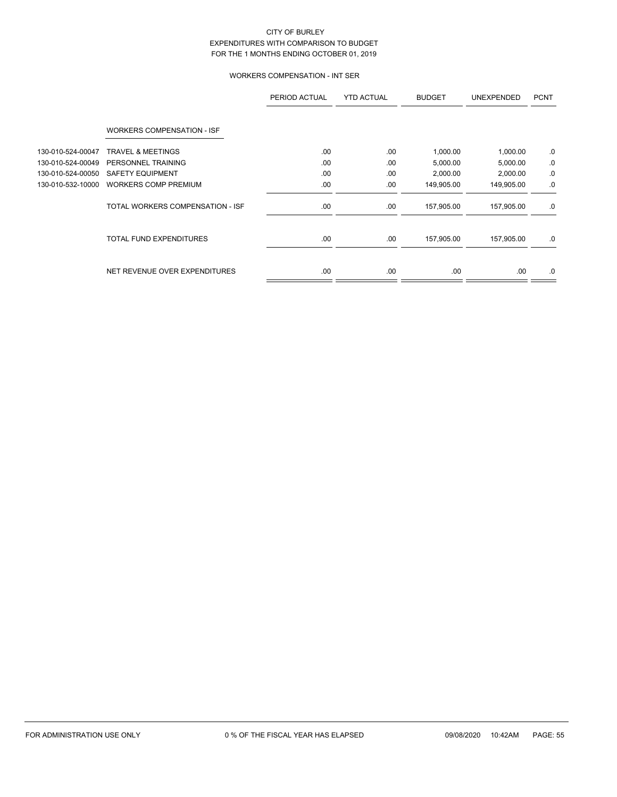# WORKERS COMPENSATION - INT SER

|                   |                                   | PERIOD ACTUAL | <b>YTD ACTUAL</b> | <b>BUDGET</b> | <b>UNEXPENDED</b> | <b>PCNT</b> |
|-------------------|-----------------------------------|---------------|-------------------|---------------|-------------------|-------------|
|                   | <b>WORKERS COMPENSATION - ISF</b> |               |                   |               |                   |             |
| 130-010-524-00047 | <b>TRAVEL &amp; MEETINGS</b>      | .00           | .00               | 1,000.00      | 1,000.00          | .0          |
| 130-010-524-00049 | PERSONNEL TRAINING                | .00           | .00               | 5,000.00      | 5,000.00          | 0.          |
| 130-010-524-00050 | <b>SAFETY EQUIPMENT</b>           | .00           | .00               | 2,000.00      | 2,000.00          | 0.          |
| 130-010-532-10000 | <b>WORKERS COMP PREMIUM</b>       | .00           | .00               | 149,905.00    | 149,905.00        | $.0\,$      |
|                   | TOTAL WORKERS COMPENSATION - ISF  | .00.          | .00               | 157,905.00    | 157,905.00        | .0          |
|                   | <b>TOTAL FUND EXPENDITURES</b>    | .00           | .00               | 157,905.00    | 157,905.00        | .0          |
|                   | NET REVENUE OVER EXPENDITURES     | .00.          | .00               | .00.          | .00.              | .0          |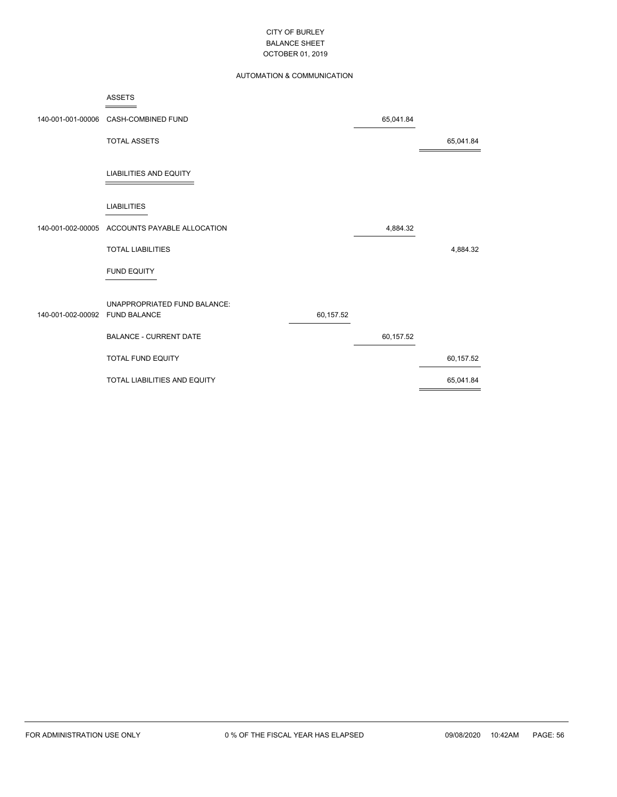## AUTOMATION & COMMUNICATION

|                   | <b>ASSETS</b><br>$ -$         |           |           |           |
|-------------------|-------------------------------|-----------|-----------|-----------|
| 140-001-001-00006 | CASH-COMBINED FUND            |           | 65,041.84 |           |
|                   | <b>TOTAL ASSETS</b>           |           |           | 65,041.84 |
|                   | <b>LIABILITIES AND EQUITY</b> |           |           |           |
|                   | <b>LIABILITIES</b>            |           |           |           |
| 140-001-002-00005 | ACCOUNTS PAYABLE ALLOCATION   |           | 4,884.32  |           |
|                   | <b>TOTAL LIABILITIES</b>      |           |           | 4,884.32  |
|                   | <b>FUND EQUITY</b>            |           |           |           |
|                   | UNAPPROPRIATED FUND BALANCE:  |           |           |           |
| 140-001-002-00092 | <b>FUND BALANCE</b>           | 60,157.52 |           |           |
|                   | <b>BALANCE - CURRENT DATE</b> |           | 60,157.52 |           |
|                   | <b>TOTAL FUND EQUITY</b>      |           |           | 60,157.52 |
|                   | TOTAL LIABILITIES AND EQUITY  |           |           | 65,041.84 |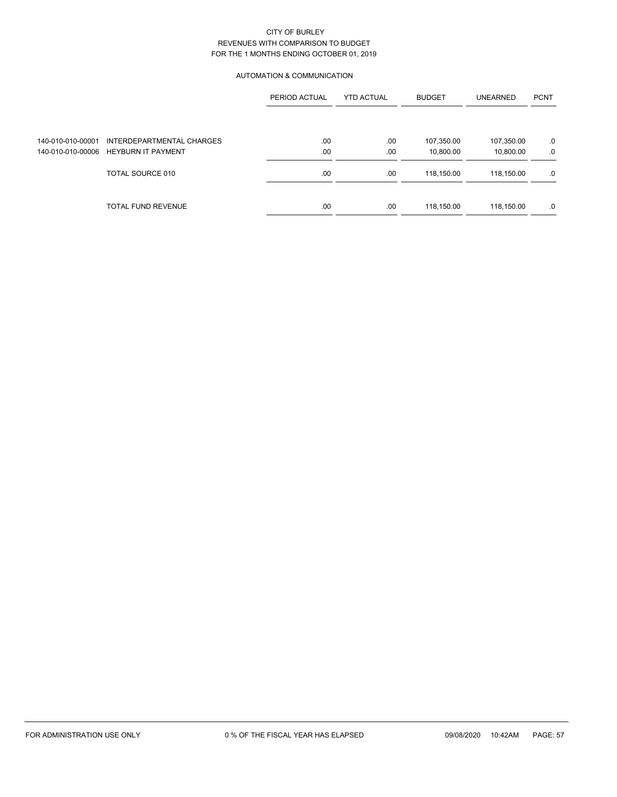### AUTOMATION & COMMUNICATION

|                   |                                      | PERIOD ACTUAL | <b>YTD ACTUAL</b> | <b>BUDGET</b> | <b>UNEARNED</b> | <b>PCNT</b> |
|-------------------|--------------------------------------|---------------|-------------------|---------------|-----------------|-------------|
|                   |                                      |               |                   |               |                 |             |
| 140-010-010-00001 | INTERDEPARTMENTAL CHARGES            | .00           | .00               | 107,350.00    | 107,350.00      | .0          |
|                   | 140-010-010-00006 HEYBURN IT PAYMENT | .00           | .00               | 10,800.00     | 10,800.00       | .0          |
|                   | TOTAL SOURCE 010                     | .00.          | .00               | 118,150.00    | 118,150.00      | .0          |
|                   | <b>TOTAL FUND REVENUE</b>            | .00.          | .00               | 118,150.00    | 118,150.00      | .0          |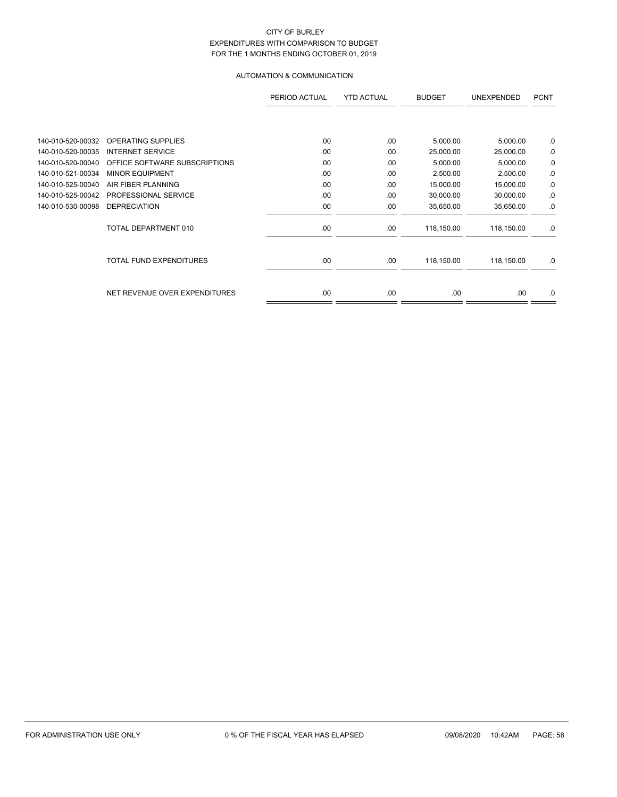# AUTOMATION & COMMUNICATION

|                   |                                | PERIOD ACTUAL | <b>YTD ACTUAL</b> | <b>BUDGET</b> | <b>UNEXPENDED</b> | <b>PCNT</b> |
|-------------------|--------------------------------|---------------|-------------------|---------------|-------------------|-------------|
|                   |                                |               |                   |               |                   |             |
| 140-010-520-00032 | OPERATING SUPPLIES             | .00           | .00               | 5,000.00      | 5,000.00          | .0          |
| 140-010-520-00035 | <b>INTERNET SERVICE</b>        | .00           | .00               | 25,000.00     | 25,000.00         | 0.          |
| 140-010-520-00040 | OFFICE SOFTWARE SUBSCRIPTIONS  | .00           | .00               | 5,000.00      | 5,000.00          | 0.          |
| 140-010-521-00034 | <b>MINOR EQUIPMENT</b>         | .00           | .00               | 2,500.00      | 2,500.00          | .0          |
| 140-010-525-00040 | AIR FIBER PLANNING             | .00           | .00               | 15,000.00     | 15,000.00         | .0          |
| 140-010-525-00042 | PROFESSIONAL SERVICE           | .00           | .00               | 30,000.00     | 30,000.00         | .0          |
| 140-010-530-00098 | <b>DEPRECIATION</b>            | .00           | .00               | 35,650.00     | 35,650.00         | .0          |
|                   | TOTAL DEPARTMENT 010           | .00           | .00               | 118,150.00    | 118,150.00        | .0          |
|                   | <b>TOTAL FUND EXPENDITURES</b> | .00.          | .00               | 118,150.00    | 118,150.00        | .0          |
|                   | NET REVENUE OVER EXPENDITURES  | .00           | .00               | .00           | .00.              | .0          |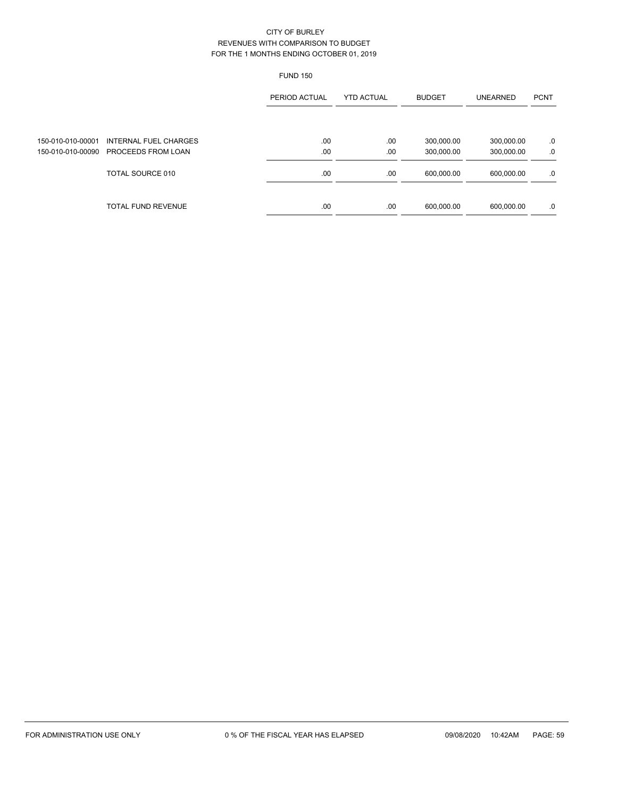|                                        |                                                    | <b>FUND 150</b> |                   |                          |                          |             |
|----------------------------------------|----------------------------------------------------|-----------------|-------------------|--------------------------|--------------------------|-------------|
|                                        |                                                    | PERIOD ACTUAL   | <b>YTD ACTUAL</b> | <b>BUDGET</b>            | <b>UNEARNED</b>          | <b>PCNT</b> |
| 150-010-010-00001<br>150-010-010-00090 | <b>INTERNAL FUEL CHARGES</b><br>PROCEEDS FROM LOAN | .00<br>.00      | .00<br>.00        | 300,000.00<br>300,000.00 | 300,000.00<br>300,000.00 | .0<br>.0    |
|                                        | TOTAL SOURCE 010                                   | .00             | .00               | 600,000.00               | 600,000.00               | .0          |
|                                        | <b>TOTAL FUND REVENUE</b>                          | .00             | .00               | 600,000.00               | 600,000.00               | .0          |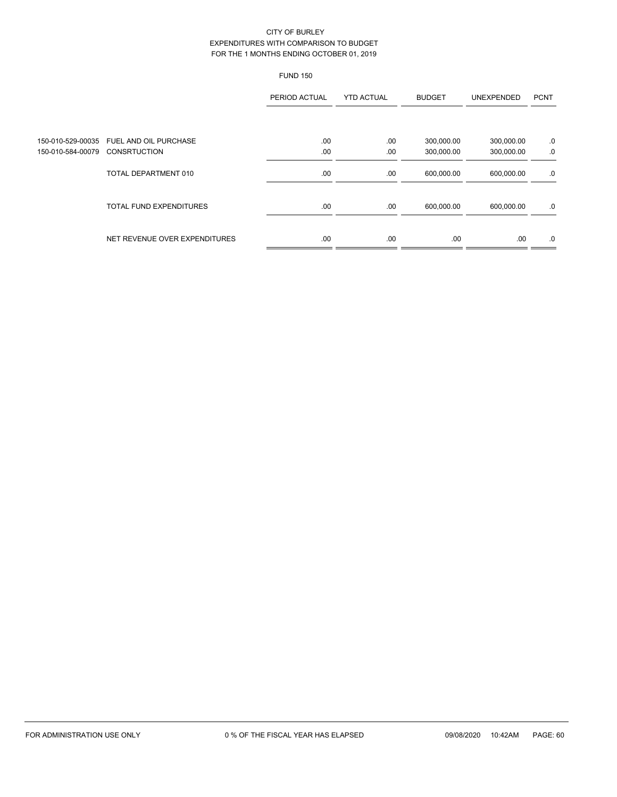|                                        |                                              | <b>FUND 150</b> |                   |                          |                          |             |
|----------------------------------------|----------------------------------------------|-----------------|-------------------|--------------------------|--------------------------|-------------|
|                                        |                                              | PERIOD ACTUAL   | <b>YTD ACTUAL</b> | <b>BUDGET</b>            | <b>UNEXPENDED</b>        | <b>PCNT</b> |
| 150-010-529-00035<br>150-010-584-00079 | FUEL AND OIL PURCHASE<br><b>CONSRTUCTION</b> | .00<br>.00      | .00<br>.00        | 300,000.00<br>300,000.00 | 300,000.00<br>300,000.00 | .0<br>.0    |
|                                        | TOTAL DEPARTMENT 010                         | .00.            | .00               | 600,000.00               | 600,000.00               | .0          |
|                                        | <b>TOTAL FUND EXPENDITURES</b>               | .00.            | .00               | 600,000.00               | 600,000.00               | .0          |
|                                        | NET REVENUE OVER EXPENDITURES                | .00             | .00.              | .00                      | .00                      | .0          |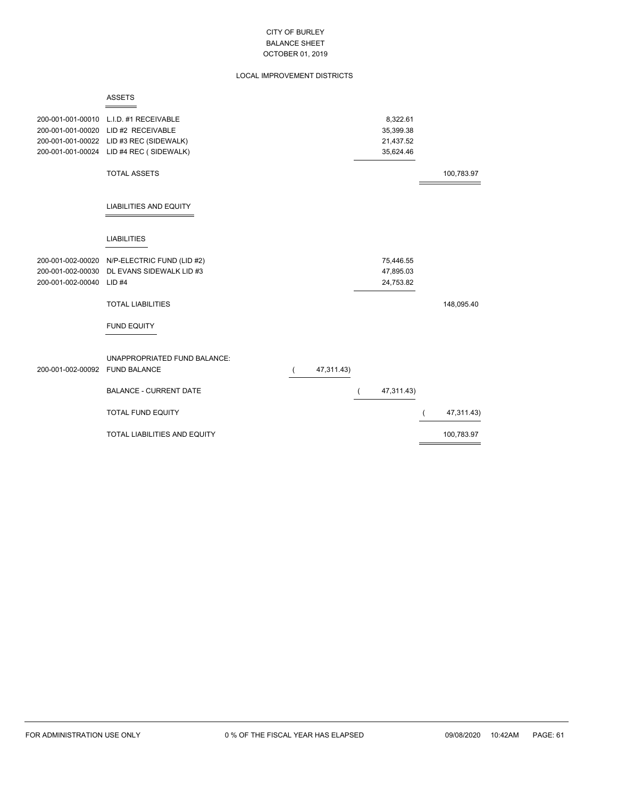### LOCAL IMPROVEMENT DISTRICTS

| 8,322.61<br>200-001-001-00010<br>L.I.D. #1 RECEIVABLE<br>200-001-001-00020<br>LID #2 RECEIVABLE<br>35,399.38<br>LID #3 REC (SIDEWALK)<br>200-001-001-00022<br>21,437.52<br>LID #4 REC (SIDEWALK)<br>35,624.46<br>200-001-001-00024<br><b>TOTAL ASSETS</b><br>100,783.97<br><b>LIABILITIES AND EQUITY</b><br><b>LIABILITIES</b><br>200-001-002-00020 N/P-ELECTRIC FUND (LID #2)<br>75,446.55<br>200-001-002-00030<br>DL EVANS SIDEWALK LID #3<br>47,895.03<br>200-001-002-00040<br>24,753.82<br>$LID$ #4<br><b>TOTAL LIABILITIES</b><br>148,095.40<br><b>FUND EQUITY</b><br>UNAPPROPRIATED FUND BALANCE:<br>200-001-002-00092 FUND BALANCE<br>47,311.43) | <b>ASSETS</b>                 |  |            |  |
|---------------------------------------------------------------------------------------------------------------------------------------------------------------------------------------------------------------------------------------------------------------------------------------------------------------------------------------------------------------------------------------------------------------------------------------------------------------------------------------------------------------------------------------------------------------------------------------------------------------------------------------------------------|-------------------------------|--|------------|--|
|                                                                                                                                                                                                                                                                                                                                                                                                                                                                                                                                                                                                                                                         |                               |  |            |  |
|                                                                                                                                                                                                                                                                                                                                                                                                                                                                                                                                                                                                                                                         |                               |  |            |  |
|                                                                                                                                                                                                                                                                                                                                                                                                                                                                                                                                                                                                                                                         |                               |  |            |  |
|                                                                                                                                                                                                                                                                                                                                                                                                                                                                                                                                                                                                                                                         |                               |  |            |  |
|                                                                                                                                                                                                                                                                                                                                                                                                                                                                                                                                                                                                                                                         |                               |  |            |  |
|                                                                                                                                                                                                                                                                                                                                                                                                                                                                                                                                                                                                                                                         |                               |  |            |  |
|                                                                                                                                                                                                                                                                                                                                                                                                                                                                                                                                                                                                                                                         |                               |  |            |  |
|                                                                                                                                                                                                                                                                                                                                                                                                                                                                                                                                                                                                                                                         |                               |  |            |  |
|                                                                                                                                                                                                                                                                                                                                                                                                                                                                                                                                                                                                                                                         |                               |  |            |  |
|                                                                                                                                                                                                                                                                                                                                                                                                                                                                                                                                                                                                                                                         |                               |  |            |  |
|                                                                                                                                                                                                                                                                                                                                                                                                                                                                                                                                                                                                                                                         |                               |  |            |  |
|                                                                                                                                                                                                                                                                                                                                                                                                                                                                                                                                                                                                                                                         |                               |  |            |  |
|                                                                                                                                                                                                                                                                                                                                                                                                                                                                                                                                                                                                                                                         |                               |  |            |  |
|                                                                                                                                                                                                                                                                                                                                                                                                                                                                                                                                                                                                                                                         |                               |  |            |  |
|                                                                                                                                                                                                                                                                                                                                                                                                                                                                                                                                                                                                                                                         |                               |  |            |  |
|                                                                                                                                                                                                                                                                                                                                                                                                                                                                                                                                                                                                                                                         |                               |  |            |  |
|                                                                                                                                                                                                                                                                                                                                                                                                                                                                                                                                                                                                                                                         |                               |  |            |  |
|                                                                                                                                                                                                                                                                                                                                                                                                                                                                                                                                                                                                                                                         |                               |  |            |  |
|                                                                                                                                                                                                                                                                                                                                                                                                                                                                                                                                                                                                                                                         |                               |  |            |  |
|                                                                                                                                                                                                                                                                                                                                                                                                                                                                                                                                                                                                                                                         |                               |  |            |  |
|                                                                                                                                                                                                                                                                                                                                                                                                                                                                                                                                                                                                                                                         |                               |  |            |  |
|                                                                                                                                                                                                                                                                                                                                                                                                                                                                                                                                                                                                                                                         |                               |  |            |  |
|                                                                                                                                                                                                                                                                                                                                                                                                                                                                                                                                                                                                                                                         | <b>BALANCE - CURRENT DATE</b> |  | 47,311.43) |  |
|                                                                                                                                                                                                                                                                                                                                                                                                                                                                                                                                                                                                                                                         |                               |  |            |  |
| <b>TOTAL FUND EQUITY</b><br>47,311.43)                                                                                                                                                                                                                                                                                                                                                                                                                                                                                                                                                                                                                  |                               |  |            |  |
|                                                                                                                                                                                                                                                                                                                                                                                                                                                                                                                                                                                                                                                         |                               |  |            |  |
| TOTAL LIABILITIES AND EQUITY<br>100,783.97                                                                                                                                                                                                                                                                                                                                                                                                                                                                                                                                                                                                              |                               |  |            |  |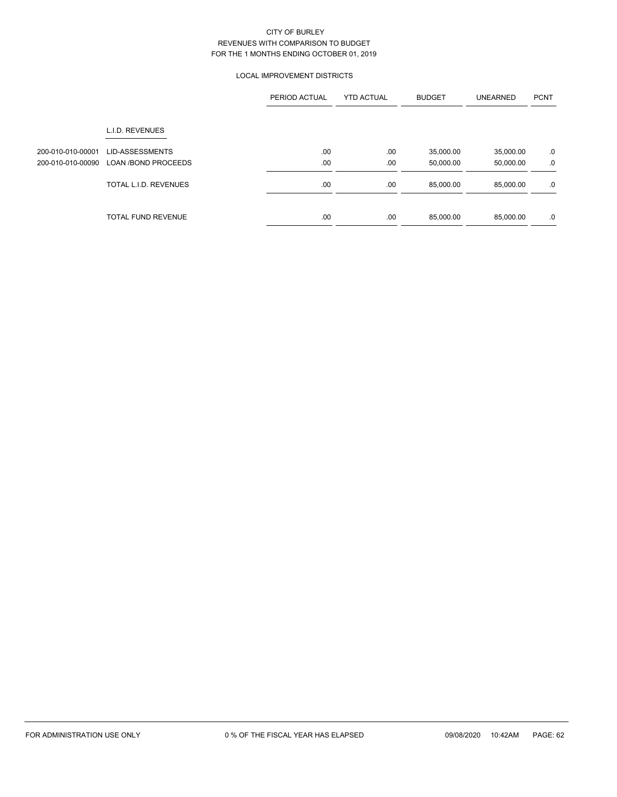## LOCAL IMPROVEMENT DISTRICTS

|                   |                                                     | PERIOD ACTUAL | <b>YTD ACTUAL</b> | <b>BUDGET</b>          | <b>UNEARNED</b>        | <b>PCNT</b> |
|-------------------|-----------------------------------------------------|---------------|-------------------|------------------------|------------------------|-------------|
|                   | L.I.D. REVENUES                                     |               |                   |                        |                        |             |
| 200-010-010-00001 | <b>LID-ASSESSMENTS</b>                              | .00           | .00               | 35,000.00              | 35,000.00              | .0          |
| 200-010-010-00090 | <b>LOAN /BOND PROCEEDS</b><br>TOTAL L.I.D. REVENUES | .00<br>.00    | .00<br>.00        | 50,000.00<br>85.000.00 | 50,000.00<br>85,000.00 | .0<br>.0    |
|                   |                                                     |               |                   |                        |                        |             |
|                   | <b>TOTAL FUND REVENUE</b>                           | .00           | .00               | 85,000.00              | 85,000.00              | .0          |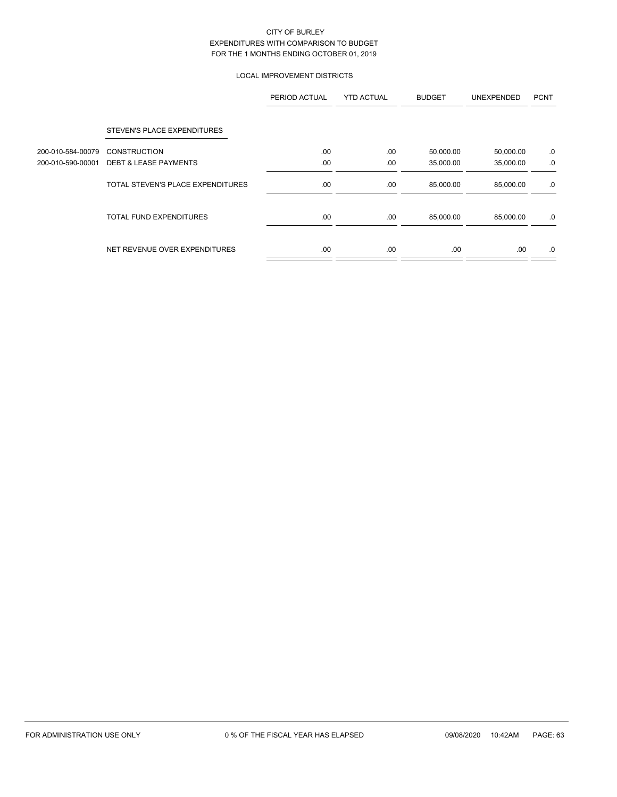## LOCAL IMPROVEMENT DISTRICTS

|                   |                                   | PERIOD ACTUAL | <b>YTD ACTUAL</b> | <b>BUDGET</b> | <b>UNEXPENDED</b> | <b>PCNT</b> |
|-------------------|-----------------------------------|---------------|-------------------|---------------|-------------------|-------------|
|                   | STEVEN'S PLACE EXPENDITURES       |               |                   |               |                   |             |
| 200-010-584-00079 | <b>CONSTRUCTION</b>               | .00           | .00               | 50,000.00     | 50,000.00         | .0          |
| 200-010-590-00001 | <b>DEBT &amp; LEASE PAYMENTS</b>  | .00           | .00               | 35,000.00     | 35,000.00         | .0          |
|                   | TOTAL STEVEN'S PLACE EXPENDITURES | .00.          | .00               | 85,000.00     | 85,000.00         | .0          |
|                   | <b>TOTAL FUND EXPENDITURES</b>    | .00           | .00.              | 85,000.00     | 85,000.00         | .0          |
|                   | NET REVENUE OVER EXPENDITURES     | .00.          | .00               | .00.          | .00               | .0          |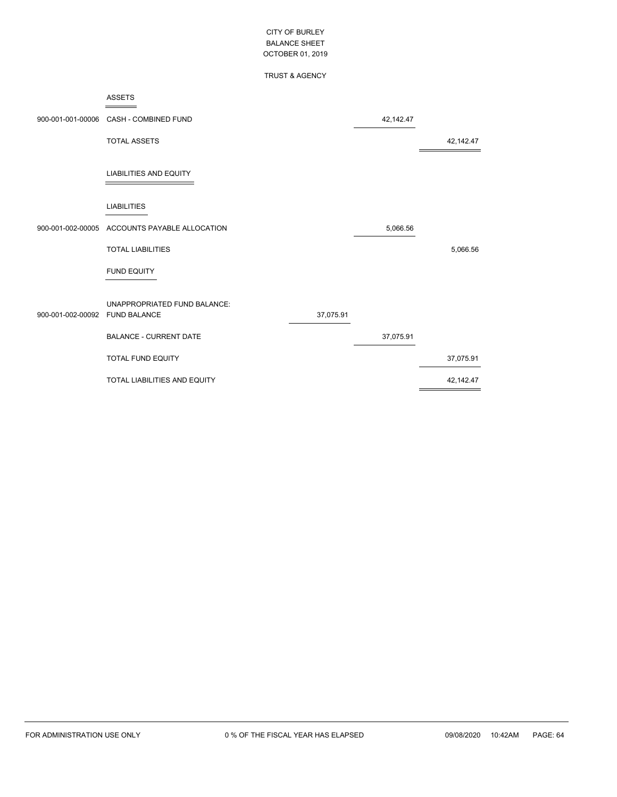## TRUST & AGENCY

|                                | 900-001-001-00006 CASH - COMBINED FUND |           | 42,142.47 |           |
|--------------------------------|----------------------------------------|-----------|-----------|-----------|
|                                | <b>TOTAL ASSETS</b>                    |           |           | 42,142.47 |
|                                | <b>LIABILITIES AND EQUITY</b>          |           |           |           |
|                                | <b>LIABILITIES</b>                     |           |           |           |
| 900-001-002-00005              | ACCOUNTS PAYABLE ALLOCATION            |           | 5,066.56  |           |
|                                | <b>TOTAL LIABILITIES</b>               |           |           | 5,066.56  |
|                                | <b>FUND EQUITY</b>                     |           |           |           |
| 900-001-002-00092 FUND BALANCE | UNAPPROPRIATED FUND BALANCE:           | 37,075.91 |           |           |
|                                | <b>BALANCE - CURRENT DATE</b>          |           | 37,075.91 |           |
|                                | <b>TOTAL FUND EQUITY</b>               |           |           | 37,075.91 |
|                                | TOTAL LIABILITIES AND EQUITY           |           |           | 42,142.47 |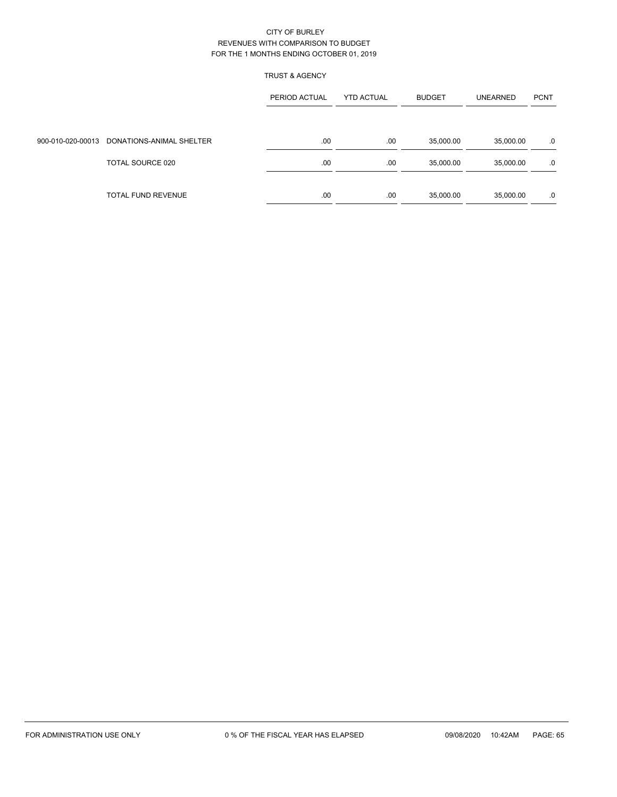## TRUST & AGENCY

|                                            | PERIOD ACTUAL | <b>YTD ACTUAL</b> | <b>BUDGET</b> | <b>UNEARNED</b> | <b>PCNT</b> |
|--------------------------------------------|---------------|-------------------|---------------|-----------------|-------------|
|                                            |               |                   |               |                 |             |
| 900-010-020-00013 DONATIONS-ANIMAL SHELTER | .00           | .00               | 35,000.00     | 35,000.00       | .0          |
| TOTAL SOURCE 020                           | .00           | .00               | 35,000.00     | 35,000.00       | .0          |
|                                            |               |                   |               |                 |             |
| TOTAL FUND REVENUE                         | .00           | .00               | 35,000.00     | 35,000.00       | .0          |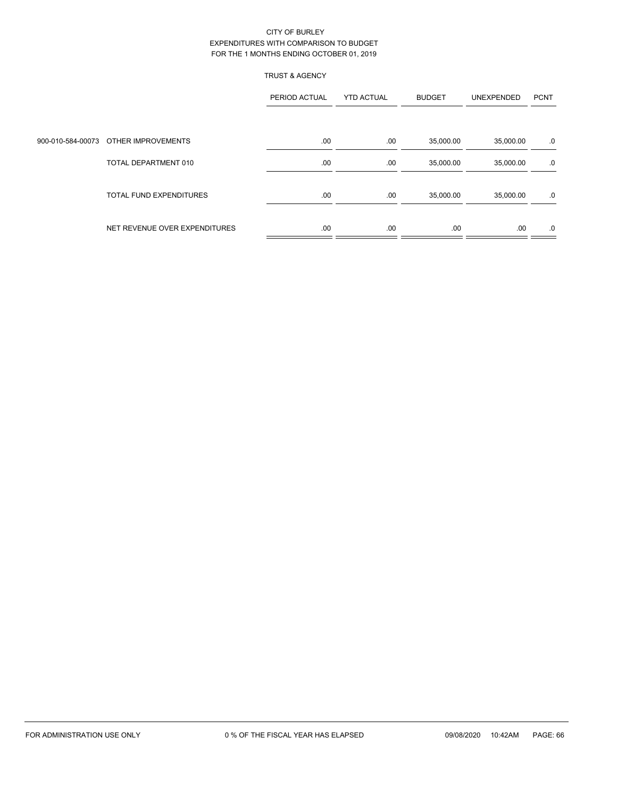## TRUST & AGENCY

|                                      | PERIOD ACTUAL | <b>YTD ACTUAL</b> | <b>BUDGET</b> | UNEXPENDED | <b>PCNT</b> |
|--------------------------------------|---------------|-------------------|---------------|------------|-------------|
|                                      |               |                   |               |            |             |
| 900-010-584-00073 OTHER IMPROVEMENTS | .00           | .00               | 35,000.00     | 35,000.00  | .0          |
| TOTAL DEPARTMENT 010                 | .00           | .00               | 35,000.00     | 35,000.00  | .0          |
| <b>TOTAL FUND EXPENDITURES</b>       | .00           | .00               | 35,000.00     | 35,000.00  | .0          |
| NET REVENUE OVER EXPENDITURES        | .00           | .00               | .00           | .00        | .0          |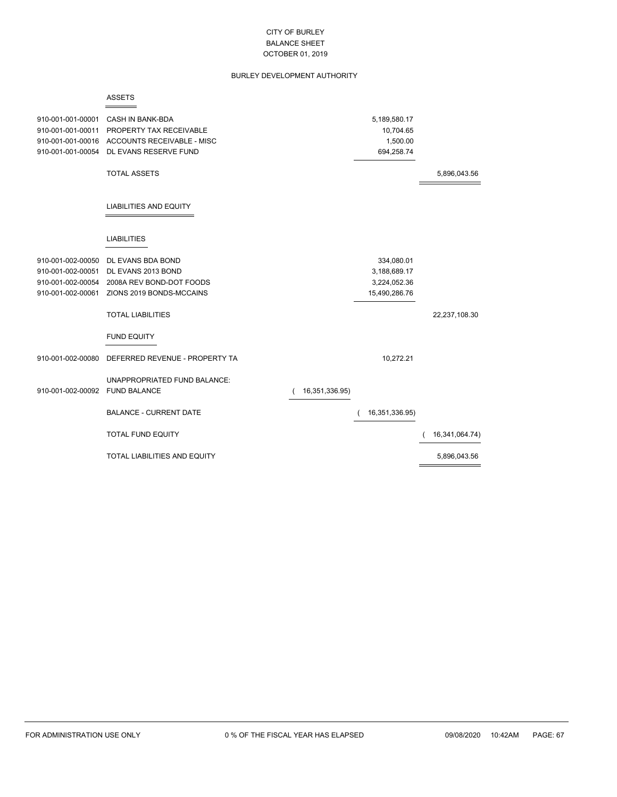### BURLEY DEVELOPMENT AUTHORITY

#### ASSETS

 $=$ 

| 910-001-001-00001<br>910-001-001-00011<br>910-001-001-00016<br>910-001-001-00054 | CASH IN BANK-BDA<br>PROPERTY TAX RECEIVABLE<br>ACCOUNTS RECEIVABLE - MISC<br>DL EVANS RESERVE FUND |                | 5,189,580.17<br>10,704.65<br>1,500.00<br>694,258.74 |                |
|----------------------------------------------------------------------------------|----------------------------------------------------------------------------------------------------|----------------|-----------------------------------------------------|----------------|
|                                                                                  | <b>TOTAL ASSETS</b>                                                                                |                |                                                     | 5,896,043.56   |
|                                                                                  | <b>LIABILITIES AND EQUITY</b>                                                                      |                |                                                     |                |
|                                                                                  | <b>LIABILITIES</b>                                                                                 |                |                                                     |                |
| 910-001-002-00050                                                                | DL EVANS BDA BOND                                                                                  |                | 334,080.01                                          |                |
| 910-001-002-00051                                                                | DL EVANS 2013 BOND                                                                                 |                | 3,188,689.17                                        |                |
| 910-001-002-00054                                                                | 2008A REV BOND-DOT FOODS                                                                           |                | 3,224,052.36                                        |                |
| 910-001-002-00061                                                                | ZIONS 2019 BONDS-MCCAINS                                                                           |                | 15,490,286.76                                       |                |
|                                                                                  | <b>TOTAL LIABILITIES</b>                                                                           |                |                                                     | 22,237,108.30  |
|                                                                                  | <b>FUND EQUITY</b>                                                                                 |                |                                                     |                |
| 910-001-002-00080                                                                | DEFERRED REVENUE - PROPERTY TA                                                                     |                | 10,272.21                                           |                |
| 910-001-002-00092                                                                | UNAPPROPRIATED FUND BALANCE:<br><b>FUND BALANCE</b>                                                | 16,351,336.95) |                                                     |                |
|                                                                                  | <b>BALANCE - CURRENT DATE</b>                                                                      |                | 16,351,336.95)                                      |                |
|                                                                                  | <b>TOTAL FUND EQUITY</b>                                                                           |                |                                                     | 16,341,064.74) |
|                                                                                  | <b>TOTAL LIABILITIES AND EQUITY</b>                                                                |                |                                                     | 5,896,043.56   |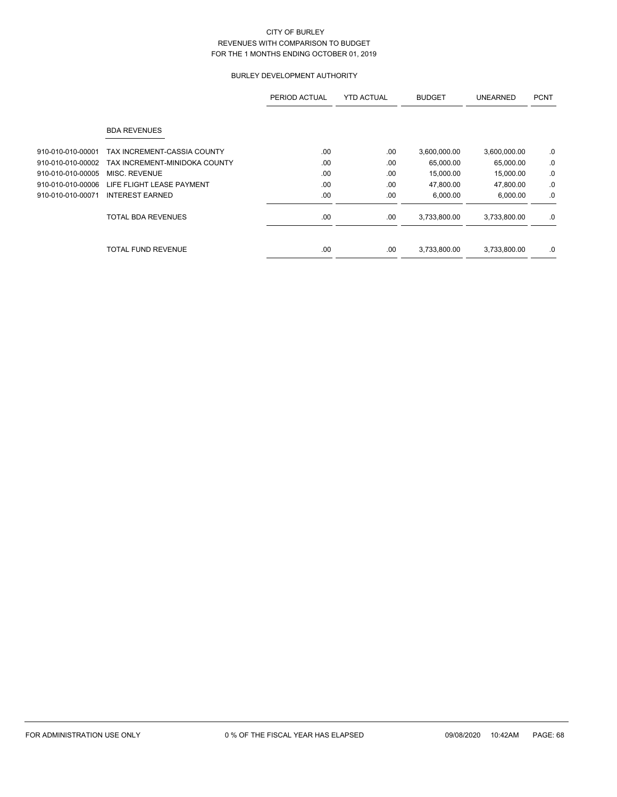## BURLEY DEVELOPMENT AUTHORITY

|                   |                               | PERIOD ACTUAL | <b>YTD ACTUAL</b> | <b>BUDGET</b> | <b>UNEARNED</b> | <b>PCNT</b> |
|-------------------|-------------------------------|---------------|-------------------|---------------|-----------------|-------------|
|                   | <b>BDA REVENUES</b>           |               |                   |               |                 |             |
| 910-010-010-00001 | TAX INCREMENT-CASSIA COUNTY   | .00           | .00               | 3,600,000.00  | 3,600,000.00    | .0          |
| 910-010-010-00002 | TAX INCREMENT-MINIDOKA COUNTY | .00           | .00               | 65,000.00     | 65,000.00       | .0          |
| 910-010-010-00005 | MISC. REVENUE                 | .00           | .00               | 15,000.00     | 15,000.00       | .0          |
| 910-010-010-00006 | LIFE FLIGHT LEASE PAYMENT     | .00           | .00               | 47,800.00     | 47,800.00       | .0          |
| 910-010-010-00071 | <b>INTEREST EARNED</b>        | .00           | .00               | 6,000.00      | 6,000.00        | .0          |
|                   | <b>TOTAL BDA REVENUES</b>     | .00           | .00               | 3,733,800.00  | 3,733,800.00    | .0          |
|                   | TOTAL FUND REVENUE            | .00           | .00               | 3,733,800.00  | 3,733,800.00    | $.0\,$      |